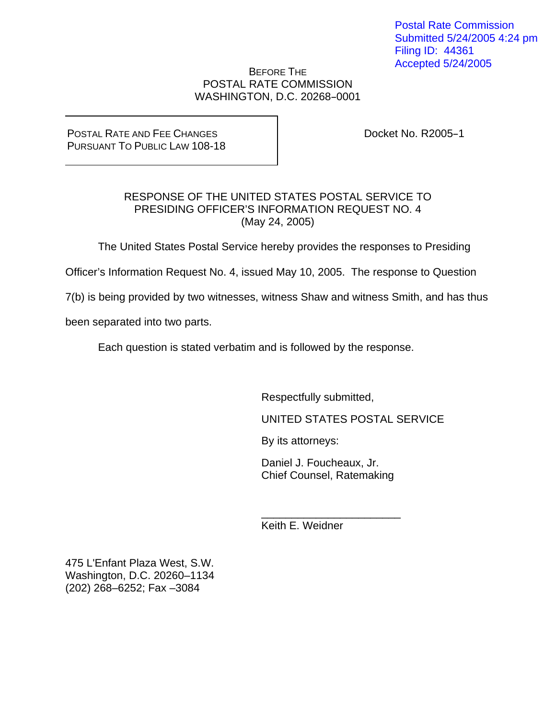Postal Rate Commission Submitted 5/24/2005 4:24 pm Filing ID: 44361 Accepted 5/24/2005

# BEFORE THE POSTAL RATE COMMISSION WASHINGTON, D.C. 20268-0001

POSTAL RATE AND FEE CHANGES PURSUANT TO PUBLIC LAW 108-18 Docket No. R2005-1

# RESPONSE OF THE UNITED STATES POSTAL SERVICE TO PRESIDING OFFICER'S INFORMATION REQUEST NO. 4 (May 24, 2005)

The United States Postal Service hereby provides the responses to Presiding

Officer's Information Request No. 4, issued May 10, 2005. The response to Question

7(b) is being provided by two witnesses, witness Shaw and witness Smith, and has thus

been separated into two parts.

Each question is stated verbatim and is followed by the response.

Respectfully submitted,

UNITED STATES POSTAL SERVICE

By its attorneys:

Daniel J. Foucheaux, Jr. Chief Counsel, Ratemaking

\_\_\_\_\_\_\_\_\_\_\_\_\_\_\_\_\_\_\_\_\_\_\_

Keith E. Weidner

475 L'Enfant Plaza West, S.W. Washington, D.C. 20260–1134 (202) 268–6252; Fax –3084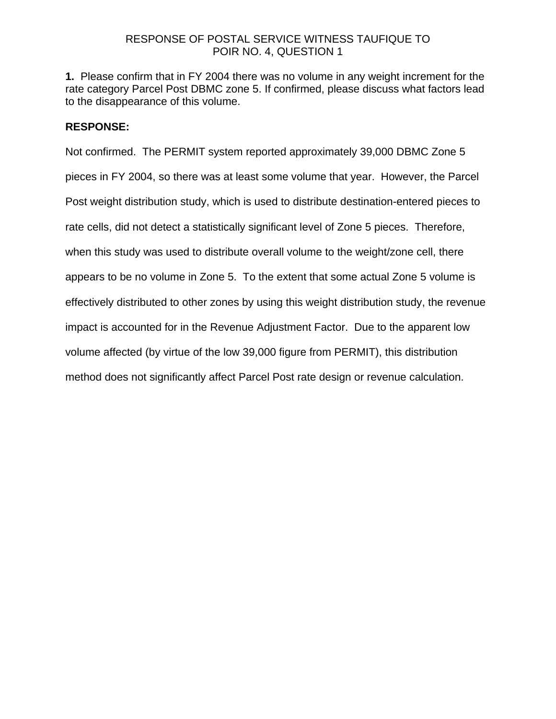# RESPONSE OF POSTAL SERVICE WITNESS TAUFIQUE TO POIR NO. 4, QUESTION 1

**1.** Please confirm that in FY 2004 there was no volume in any weight increment for the rate category Parcel Post DBMC zone 5. If confirmed, please discuss what factors lead to the disappearance of this volume.

# **RESPONSE:**

Not confirmed. The PERMIT system reported approximately 39,000 DBMC Zone 5 pieces in FY 2004, so there was at least some volume that year. However, the Parcel Post weight distribution study, which is used to distribute destination-entered pieces to rate cells, did not detect a statistically significant level of Zone 5 pieces. Therefore, when this study was used to distribute overall volume to the weight/zone cell, there appears to be no volume in Zone 5. To the extent that some actual Zone 5 volume is effectively distributed to other zones by using this weight distribution study, the revenue impact is accounted for in the Revenue Adjustment Factor. Due to the apparent low volume affected (by virtue of the low 39,000 figure from PERMIT), this distribution method does not significantly affect Parcel Post rate design or revenue calculation.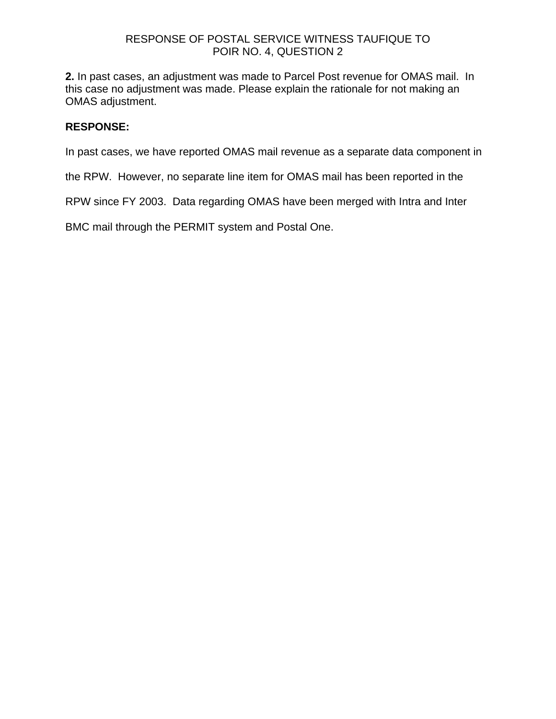# RESPONSE OF POSTAL SERVICE WITNESS TAUFIQUE TO POIR NO. 4, QUESTION 2

**2.** In past cases, an adjustment was made to Parcel Post revenue for OMAS mail. In this case no adjustment was made. Please explain the rationale for not making an OMAS adjustment.

# **RESPONSE:**

In past cases, we have reported OMAS mail revenue as a separate data component in

the RPW. However, no separate line item for OMAS mail has been reported in the

RPW since FY 2003. Data regarding OMAS have been merged with Intra and Inter

BMC mail through the PERMIT system and Postal One.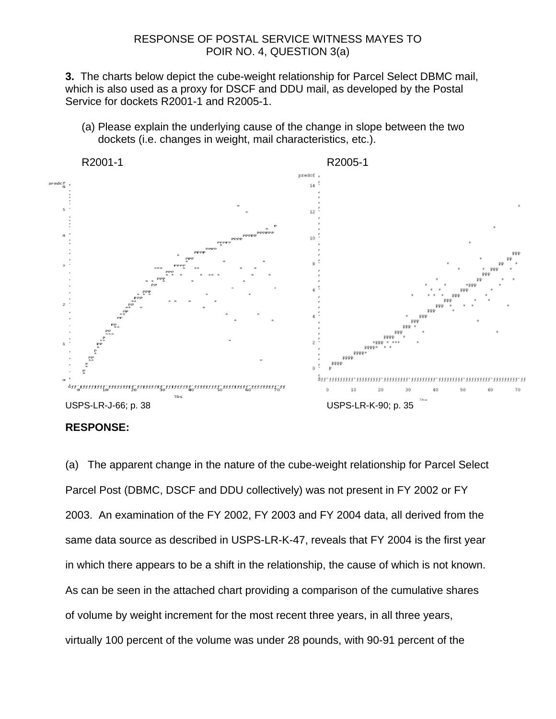### RESPONSE OF POSTAL SERVICE WITNESS MAYES TO POIR NO. 4, QUESTION 3(a)

**3.** The charts below depict the cube-weight relationship for Parcel Select DBMC mail, which is also used as a proxy for DSCF and DDU mail, as developed by the Postal Service for dockets R2001-1 and R2005-1.

(a) Please explain the underlying cause of the change in slope between the two dockets (i.e. changes in weight, mail characteristics, etc.).



#### **RESPONSE:**

(a) The apparent change in the nature of the cube-weight relationship for Parcel Select Parcel Post (DBMC, DSCF and DDU collectively) was not present in FY 2002 or FY 2003. An examination of the FY 2002, FY 2003 and FY 2004 data, all derived from the same data source as described in USPS-LR-K-47, reveals that FY 2004 is the first year in which there appears to be a shift in the relationship, the cause of which is not known. As can be seen in the attached chart providing a comparison of the cumulative shares of volume by weight increment for the most recent three years, in all three years, virtually 100 percent of the volume was under 28 pounds, with 90-91 percent of the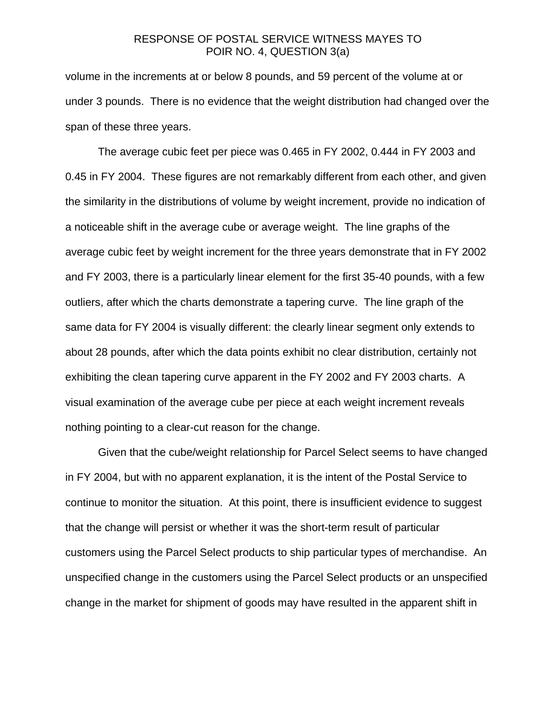## RESPONSE OF POSTAL SERVICE WITNESS MAYES TO POIR NO. 4, QUESTION 3(a)

volume in the increments at or below 8 pounds, and 59 percent of the volume at or under 3 pounds. There is no evidence that the weight distribution had changed over the span of these three years.

 The average cubic feet per piece was 0.465 in FY 2002, 0.444 in FY 2003 and 0.45 in FY 2004. These figures are not remarkably different from each other, and given the similarity in the distributions of volume by weight increment, provide no indication of a noticeable shift in the average cube or average weight. The line graphs of the average cubic feet by weight increment for the three years demonstrate that in FY 2002 and FY 2003, there is a particularly linear element for the first 35-40 pounds, with a few outliers, after which the charts demonstrate a tapering curve. The line graph of the same data for FY 2004 is visually different: the clearly linear segment only extends to about 28 pounds, after which the data points exhibit no clear distribution, certainly not exhibiting the clean tapering curve apparent in the FY 2002 and FY 2003 charts. A visual examination of the average cube per piece at each weight increment reveals nothing pointing to a clear-cut reason for the change.

 Given that the cube/weight relationship for Parcel Select seems to have changed in FY 2004, but with no apparent explanation, it is the intent of the Postal Service to continue to monitor the situation. At this point, there is insufficient evidence to suggest that the change will persist or whether it was the short-term result of particular customers using the Parcel Select products to ship particular types of merchandise. An unspecified change in the customers using the Parcel Select products or an unspecified change in the market for shipment of goods may have resulted in the apparent shift in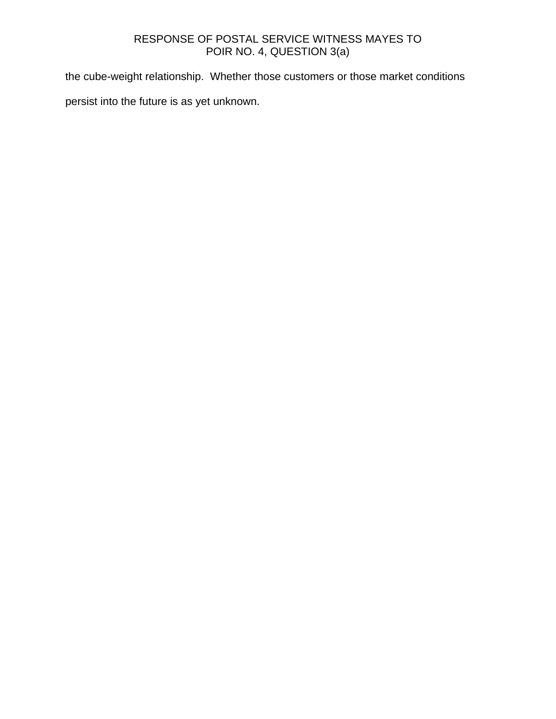# RESPONSE OF POSTAL SERVICE WITNESS MAYES TO POIR NO. 4, QUESTION 3(a)

the cube-weight relationship. Whether those customers or those market conditions

persist into the future is as yet unknown.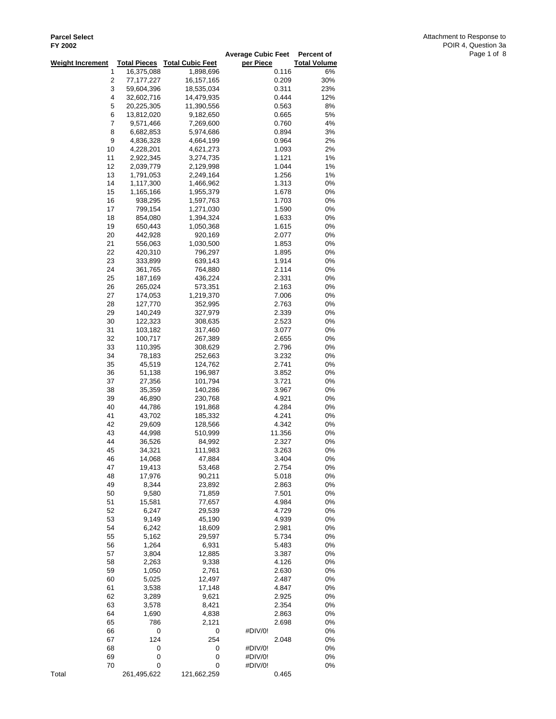| I I LUUL                |                         |                         | <b>Average Cubic Feet</b> | Percent of          |
|-------------------------|-------------------------|-------------------------|---------------------------|---------------------|
| <b>Weight Increment</b> | <b>Total Pieces</b>     | <b>Total Cubic Feet</b> | per Piece                 | <b>Total Volume</b> |
| 1                       | 16,375,088              | 1,898,696               | 0.116                     | 6%                  |
| 2                       | 77,177,227              | 16,157,165              | 0.209                     | 30%                 |
| 3                       | 59,604,396              | 18,535,034              | 0.311                     | 23%                 |
| 4                       | 32,602,716              | 14,479,935              | 0.444                     | 12%                 |
| 5                       | 20,225,305              | 11,390,556              | 0.563                     | 8%                  |
| 6<br>7                  | 13,812,020<br>9,571,466 | 9,182,650<br>7,269,600  | 0.665<br>0.760            | 5%<br>4%            |
| 8                       | 6,682,853               | 5,974,686               | 0.894                     | 3%                  |
| 9                       | 4,836,328               | 4,664,199               | 0.964                     | 2%                  |
| 10                      | 4,228,201               | 4,621,273               | 1.093                     | 2%                  |
| 11                      | 2,922,345               | 3,274,735               | 1.121                     | 1%                  |
| 12                      | 2,039,779               | 2,129,998               | 1.044                     | 1%                  |
| 13                      | 1,791,053               | 2,249,164               | 1.256                     | 1%                  |
| 14                      | 1,117,300               | 1,466,962               | 1.313                     | 0%                  |
| 15                      | 1,165,166               | 1,955,379               | 1.678                     | 0%                  |
| 16                      | 938,295                 | 1,597,763               | 1.703                     | 0%                  |
| 17                      | 799,154                 | 1,271,030               | 1.590                     | 0%                  |
| 18                      | 854,080                 | 1,394,324               | 1.633                     | 0%                  |
| 19                      | 650,443                 | 1,050,368               | 1.615                     | 0%                  |
| 20<br>21                | 442,928                 | 920,169                 | 2.077<br>1.853            | 0%<br>0%            |
| 22                      | 556,063<br>420,310      | 1,030,500<br>796,297    | 1.895                     | 0%                  |
| 23                      | 333,899                 | 639,143                 | 1.914                     | 0%                  |
| 24                      | 361,765                 | 764,880                 | 2.114                     | 0%                  |
| 25                      | 187,169                 | 436,224                 | 2.331                     | 0%                  |
| 26                      | 265,024                 | 573,351                 | 2.163                     | 0%                  |
| 27                      | 174,053                 | 1,219,370               | 7.006                     | 0%                  |
| 28                      | 127,770                 | 352,995                 | 2.763                     | 0%                  |
| 29                      | 140,249                 | 327,979                 | 2.339                     | 0%                  |
| 30                      | 122,323                 | 308,635                 | 2.523                     | 0%                  |
| 31                      | 103,182                 | 317,460                 | 3.077                     | 0%                  |
| 32                      | 100,717                 | 267,389                 | 2.655                     | 0%                  |
| 33                      | 110,395                 | 308,629                 | 2.796                     | 0%                  |
| 34<br>35                | 78,183                  | 252,663                 | 3.232                     | 0%<br>0%            |
| 36                      | 45,519<br>51,138        | 124,762<br>196,987      | 2.741<br>3.852            | 0%                  |
| 37                      | 27,356                  | 101,794                 | 3.721                     | 0%                  |
| 38                      | 35,359                  | 140,286                 | 3.967                     | 0%                  |
| 39                      | 46,890                  | 230,768                 | 4.921                     | 0%                  |
| 40                      | 44,786                  | 191,868                 | 4.284                     | 0%                  |
| 41                      | 43,702                  | 185,332                 | 4.241                     | 0%                  |
| 42                      | 29,609                  | 128,566                 | 4.342                     | 0%                  |
| 43                      | 44,998                  | 510,999                 | 11.356                    | 0%                  |
| 44                      | 36,526                  | 84,992                  | 2.327                     | 0%                  |
| 45                      | 34,321                  | 111,983                 | 3.263                     | 0%                  |
| 46                      | 14,068                  | 47,884                  | 3.404                     | 0%                  |
| 47                      | 19,413                  | 53,468<br>90,211        | 2.754                     | 0%                  |
| 48<br>49                | 17,976<br>8,344         | 23,892                  | 5.018<br>2.863            | 0%<br>0%            |
| 50                      | 9,580                   | 71,859                  | 7.501                     | 0%                  |
| 51                      | 15,581                  | 77,657                  | 4.984                     | 0%                  |
| 52                      | 6,247                   | 29,539                  | 4.729                     | 0%                  |
| 53                      | 9,149                   | 45,190                  | 4.939                     | 0%                  |
| 54                      | 6,242                   | 18,609                  | 2.981                     | 0%                  |
| 55                      | 5,162                   | 29,597                  | 5.734                     | 0%                  |
| 56                      | 1,264                   | 6,931                   | 5.483                     | 0%                  |
| 57                      | 3,804                   | 12,885                  | 3.387                     | 0%                  |
| 58                      | 2,263                   | 9,338                   | 4.126                     | 0%                  |
| 59                      | 1,050                   | 2,761                   | 2.630                     | 0%                  |
| 60                      | 5,025                   | 12,497                  | 2.487                     | 0%                  |
| 61<br>62                | 3,538<br>3,289          | 17,148<br>9,621         | 4.847<br>2.925            | 0%<br>0%            |
| 63                      | 3,578                   | 8,421                   | 2.354                     | 0%                  |
| 64                      | 1,690                   | 4,838                   | 2.863                     | 0%                  |
| 65                      | 786                     | 2,121                   | 2.698                     | 0%                  |
| 66                      | 0                       | 0                       | #DIV/0!                   | 0%                  |
| 67                      | 124                     | 254                     | 2.048                     | 0%                  |
| 68                      | 0                       | 0                       | #DIV/0!                   | 0%                  |
| 69                      | 0                       | 0                       | #DIV/0!                   | 0%                  |
| 70                      | 0                       | 0                       | #DIV/0!                   | 0%                  |
| Total                   | 261,495,622             | 121,662,259             | 0.465                     |                     |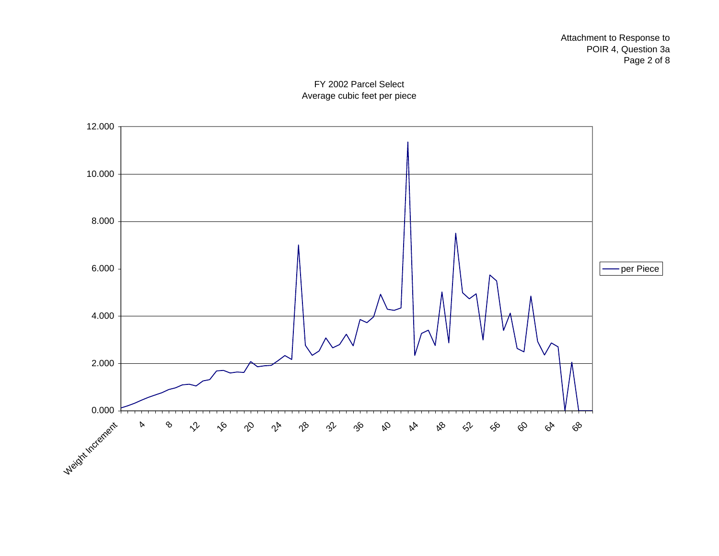

FY 2002 Parcel Select Average cubic feet per piece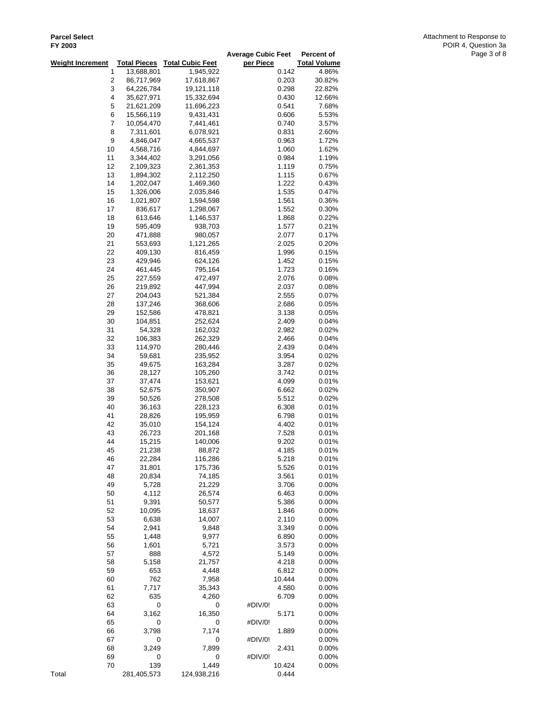| LI KANG                 |                        |                         | <b>Average Cubic Feet</b> | Percent of           |
|-------------------------|------------------------|-------------------------|---------------------------|----------------------|
| <b>Weight Increment</b> | <b>Total Pieces</b>    | <b>Total Cubic Feet</b> | per Piece                 | <b>Total Volume</b>  |
| 1                       | 13,688,801             | 1,945,922               | 0.142                     | 4.86%                |
| 2                       | 86,717,969             | 17,618,867              | 0.203                     | 30.82%               |
| 3                       | 64,226,784             | 19,121,118              | 0.298                     | 22.82%               |
| 4                       | 35,627,971             | 15,332,694              | 0.430                     | 12.66%               |
| 5                       | 21,621,209             | 11,696,223              | 0.541                     | 7.68%                |
| 6                       | 15,566,119             | 9,431,431               | 0.606                     | 5.53%                |
| 7                       | 10,054,470             | 7,441,461               | 0.740                     | 3.57%                |
| 8                       | 7,311,601              | 6,078,921               | 0.831                     | 2.60%                |
| 9                       | 4,846,047              | 4,665,537               | 0.963                     | 1.72%                |
| 10                      | 4,568,716              | 4,844,697               | 1.060                     | 1.62%                |
| 11                      | 3,344,402              | 3,291,056               | 0.984                     | 1.19%                |
| 12                      | 2,109,323              | 2,361,353               | 1.119                     | 0.75%                |
| 13<br>14                | 1,894,302              | 2,112,250<br>1,469,360  | 1.115<br>1.222            | 0.67%<br>0.43%       |
| 15                      | 1,202,047<br>1,326,006 | 2,035,846               | 1.535                     | 0.47%                |
| 16                      | 1,021,807              | 1,594,598               | 1.561                     | 0.36%                |
| 17                      | 836,617                | 1,298,067               | 1.552                     | 0.30%                |
| 18                      | 613,646                | 1,146,537               | 1.868                     | 0.22%                |
| 19                      | 595,409                | 938,703                 | 1.577                     | 0.21%                |
| 20                      | 471,888                | 980,057                 | 2.077                     | 0.17%                |
| 21                      | 553,693                | 1,121,265               | 2.025                     | 0.20%                |
| 22                      | 409,130                | 816,459                 | 1.996                     | 0.15%                |
| 23                      | 429,946                | 624,126                 | 1.452                     | 0.15%                |
| 24                      | 461,445                | 795,164                 | 1.723                     | 0.16%                |
| 25                      | 227,559                | 472,497                 | 2.076                     | 0.08%                |
| 26                      | 219,892                | 447,994                 | 2.037                     | 0.08%                |
| 27                      | 204,043                | 521,384                 | 2.555                     | 0.07%                |
| 28                      | 137,246                | 368,606                 | 2.686                     | 0.05%                |
| 29                      | 152,586                | 478,821                 | 3.138                     | 0.05%                |
| 30                      | 104,851                | 252,624                 | 2.409                     | 0.04%                |
| 31<br>32                | 54,328<br>106,383      | 162,032<br>262,329      | 2.982<br>2.466            | 0.02%<br>0.04%       |
| 33                      | 114,970                | 280,446                 | 2.439                     | 0.04%                |
| 34                      | 59,681                 | 235,952                 | 3.954                     | 0.02%                |
| 35                      | 49,675                 | 163,284                 | 3.287                     | 0.02%                |
| 36                      | 28,127                 | 105,260                 | 3.742                     | 0.01%                |
| 37                      | 37,474                 | 153,621                 | 4.099                     | 0.01%                |
| 38                      | 52,675                 | 350,907                 | 6.662                     | 0.02%                |
| 39                      | 50,526                 | 278,508                 | 5.512                     | 0.02%                |
| 40                      | 36,163                 | 228,123                 | 6.308                     | 0.01%                |
| 41                      | 28,826                 | 195,959                 | 6.798                     | 0.01%                |
| 42                      | 35,010                 | 154,124                 | 4.402                     | 0.01%                |
| 43                      | 26,723                 | 201,168                 | 7.528                     | 0.01%                |
| 44                      | 15,215                 | 140,006                 | 9.202                     | 0.01%                |
| 45                      | 21,238                 | 88,872                  | 4.185                     | 0.01%                |
| 46                      | 22,284<br>31,801       | 116,286<br>175,736      | 5.218                     | 0.01%<br>0.01%       |
| 47<br>48                | 20,834                 | 74,185                  | 5.526<br>3.561            | 0.01%                |
| 49                      | 5,728                  | 21,229                  | 3.706                     | $0.00\%$             |
| 50                      | 4,112                  | 26,574                  | 6.463                     | $0.00\%$             |
| 51                      | 9,391                  | 50,577                  | 5.386                     | $0.00\%$             |
| 52                      | 10,095                 | 18,637                  | 1.846                     | $0.00\%$             |
| 53                      | 6,638                  | 14,007                  | 2.110                     | $0.00\%$             |
| 54                      | 2,941                  | 9,848                   | 3.349                     | $0.00\%$             |
| 55                      | 1,448                  | 9,977                   | 6.890                     | 0.00%                |
| 56                      | 1,601                  | 5,721                   | 3.573                     | 0.00%                |
| 57                      | 888                    | 4,572                   | 5.149                     | 0.00%                |
| 58                      | 5,158                  | 21,757                  | 4.218                     | $0.00\%$             |
| 59                      | 653                    | 4,448                   | 6.812                     | $0.00\%$             |
| 60                      | 762                    | 7,958                   | 10.444                    | $0.00\%$             |
| 61                      | 7,717                  | 35,343                  | 4.580                     | $0.00\%$             |
| 62<br>63                | 635<br>$\pmb{0}$       | 4,260<br>0              | 6.709<br>#DIV/0!          | $0.00\%$<br>$0.00\%$ |
| 64                      | 3,162                  | 16,350                  | 5.171                     | 0.00%                |
| 65                      | 0                      | 0                       | #DIV/0!                   | 0.00%                |
| 66                      | 3,798                  | 7,174                   | 1.889                     | $0.00\%$             |
| 67                      | 0                      | 0                       | #DIV/0!                   | $0.00\%$             |
| 68                      | 3,249                  | 7,899                   | 2.431                     | 0.00%                |
| 69                      | 0                      | 0                       | #DIV/0!                   | $0.00\%$             |
| 70                      | 139                    | 1,449                   | 10.424                    | $0.00\%$             |
| Total                   | 281,405,573            | 124,938,216             | 0.444                     |                      |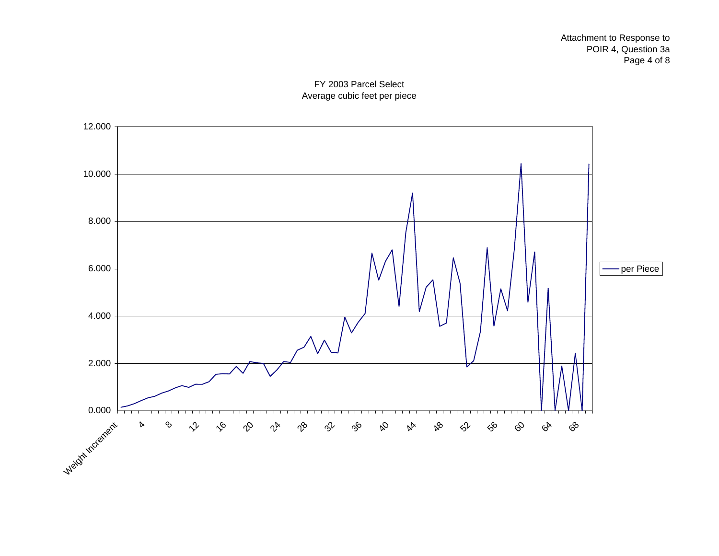

FY 2003 Parcel Select Average cubic feet per piece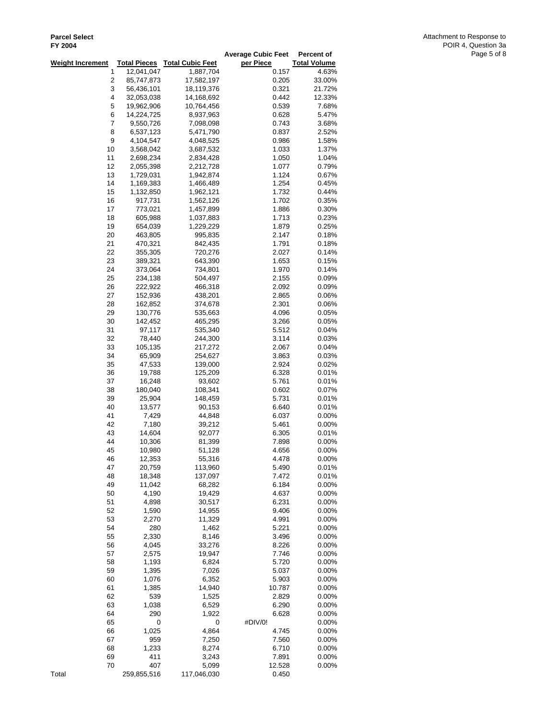| <b>1 1 2004</b>         |                     |                         | <b>Average Cubic Feet</b> | Percent of           |
|-------------------------|---------------------|-------------------------|---------------------------|----------------------|
| <b>Weight Increment</b> | <b>Total Pieces</b> | <b>Total Cubic Feet</b> | per Piece                 | <b>Total Volume</b>  |
| 1                       | 12,041,047          | 1,887,704               | 0.157                     | 4.63%                |
| $\overline{\mathbf{c}}$ | 85,747,873          | 17,582,197              | 0.205                     | 33.00%               |
| 3                       | 56,436,101          | 18,119,376              | 0.321                     | 21.72%               |
| 4                       | 32,053,038          | 14,168,692              | 0.442                     | 12.33%               |
| 5                       | 19,962,906          | 10,764,456              | 0.539                     | 7.68%                |
| 6                       | 14,224,725          | 8,937,963               | 0.628                     | 5.47%                |
| 7                       | 9,550,726           | 7,098,098               | 0.743                     | 3.68%                |
| 8                       | 6,537,123           | 5,471,790               | 0.837                     | 2.52%                |
| 9                       | 4,104,547           | 4,048,525               | 0.986                     | 1.58%                |
| 10                      | 3,568,042           | 3,687,532               | 1.033                     | 1.37%                |
| 11                      | 2,698,234           | 2,834,428               | 1.050                     | 1.04%                |
| 12                      | 2,055,398           | 2,212,728               | 1.077                     | 0.79%                |
| 13                      | 1,729,031           | 1,942,874               | 1.124                     | 0.67%                |
| 14                      | 1,169,383           | 1,466,489               | 1.254                     | 0.45%                |
| 15                      | 1,132,850           | 1,962,121               | 1.732                     | 0.44%                |
| 16                      | 917,731             | 1,562,126               | 1.702                     | 0.35%                |
| 17<br>18                | 773,021<br>605,988  | 1,457,899<br>1,037,883  | 1.886<br>1.713            | 0.30%<br>0.23%       |
| 19                      | 654,039             | 1,229,229               | 1.879                     | 0.25%                |
| 20                      | 463,805             | 995,835                 | 2.147                     | 0.18%                |
| 21                      | 470,321             | 842,435                 | 1.791                     | 0.18%                |
| 22                      | 355,305             | 720,276                 | 2.027                     | 0.14%                |
| 23                      | 389,321             | 643,390                 | 1.653                     | 0.15%                |
| 24                      | 373,064             | 734,801                 | 1.970                     | 0.14%                |
| 25                      | 234,138             | 504,497                 | 2.155                     | 0.09%                |
| 26                      | 222,922             | 466,318                 | 2.092                     | 0.09%                |
| 27                      | 152,936             | 438,201                 | 2.865                     | 0.06%                |
| 28                      | 162,852             | 374,678                 | 2.301                     | 0.06%                |
| 29                      | 130,776             | 535,663                 | 4.096                     | 0.05%                |
| 30                      | 142,452             | 465,295                 | 3.266                     | 0.05%                |
| 31                      | 97,117              | 535,340                 | 5.512                     | 0.04%                |
| 32                      | 78,440              | 244,300                 | 3.114                     | 0.03%                |
| 33                      | 105,135             | 217,272                 | 2.067                     | 0.04%                |
| 34                      | 65,909              | 254,627                 | 3.863                     | 0.03%                |
| 35                      | 47,533              | 139,000                 | 2.924                     | 0.02%                |
| 36                      | 19,788              | 125,209                 | 6.328                     | 0.01%                |
| 37                      | 16,248              | 93,602                  | 5.761                     | 0.01%                |
| 38                      | 180,040             | 108,341                 | 0.602                     | 0.07%                |
| 39                      | 25,904              | 148,459                 | 5.731                     | 0.01%                |
| 40<br>41                | 13,577              | 90,153<br>44,848        | 6.640<br>6.037            | 0.01%                |
| 42                      | 7,429<br>7,180      | 39,212                  | 5.461                     | $0.00\%$<br>$0.00\%$ |
| 43                      | 14,604              | 92,077                  | 6.305                     | 0.01%                |
| 44                      | 10,306              | 81,399                  | 7.898                     | $0.00\%$             |
| 45                      | 10,980              | 51,128                  | 4.656                     | $0.00\%$             |
| 46                      | 12,353              | 55,316                  | 4.478                     | $0.00\%$             |
| 47                      | 20,759              | 113,960                 | 5.490                     | 0.01%                |
| 48                      | 18,348              | 137,097                 | 7.472                     | 0.01%                |
| 49                      | 11,042              | 68,282                  | 6.184                     | $0.00\%$             |
| 50                      | 4,190               | 19,429                  | 4.637                     | 0.00%                |
| 51                      | 4,898               | 30,517                  | 6.231                     | 0.00%                |
| 52                      | 1,590               | 14,955                  | 9.406                     | 0.00%                |
| 53                      | 2,270               | 11,329                  | 4.991                     | 0.00%                |
| 54                      | 280                 | 1,462                   | 5.221                     | 0.00%                |
| 55                      | 2,330               | 8,146                   | 3.496                     | $0.00\%$             |
| 56                      | 4,045               | 33,276                  | 8.226                     | 0.00%                |
| 57                      | 2,575               | 19,947                  | 7.746                     | 0.00%                |
| 58                      | 1,193               | 6,824                   | 5.720                     | $0.00\%$             |
| 59                      | 1,395               | 7,026                   | 5.037                     | 0.00%                |
| 60<br>61                | 1,076               | 6,352<br>14,940         | 5.903                     | 0.00%                |
| 62                      | 1,385<br>539        | 1,525                   | 10.787<br>2.829           | 0.00%<br>$0.00\%$    |
| 63                      | 1,038               | 6,529                   | 6.290                     | 0.00%                |
| 64                      | 290                 | 1,922                   | 6.628                     | 0.00%                |
| 65                      | 0                   | 0                       | #DIV/0!                   | $0.00\%$             |
| 66                      | 1,025               | 4,864                   | 4.745                     | 0.00%                |
| 67                      | 959                 | 7,250                   | 7.560                     | 0.00%                |
| 68                      | 1,233               | 8,274                   | 6.710                     | 0.00%                |
| 69                      | 411                 | 3,243                   | 7.891                     | 0.00%                |
| 70                      | 407                 | 5,099                   | 12.528                    | 0.00%                |
| Total                   | 259,855,516         | 117,046,030             | 0.450                     |                      |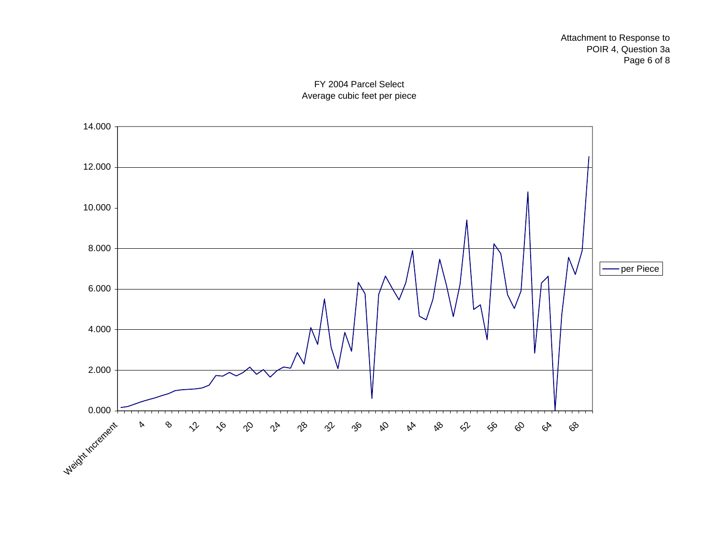

FY 2004 Parcel Select Average cubic feet per piece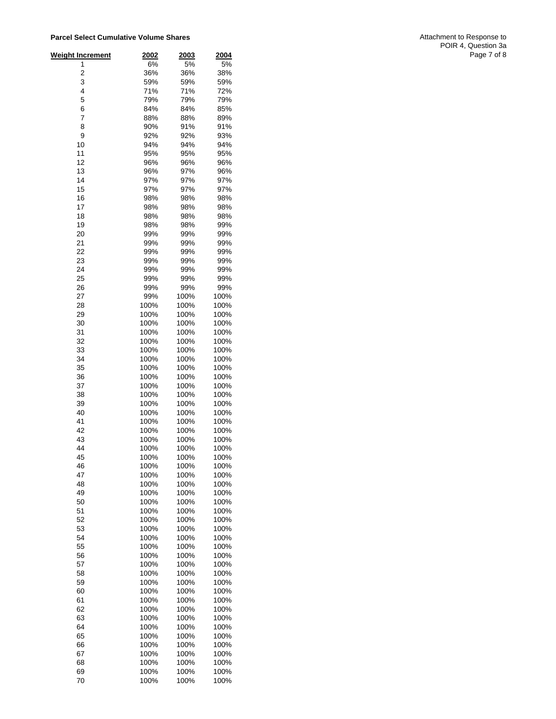| <b>Weight Increment</b> | 2002         | 2003         | 2004         |
|-------------------------|--------------|--------------|--------------|
| 1                       | 6%           | 5%           | 5%           |
| 2<br>3                  | 36%<br>59%   | 36%<br>59%   | 38%<br>59%   |
| 4                       | 71%          | 71%          | 72%          |
| 5                       | 79%          | 79%          | 79%          |
| 6                       | 84%          | 84%          | 85%          |
| 7                       | 88%          | 88%          | 89%          |
| 8                       | 90%          | 91%          | 91%          |
| 9                       | 92%          | 92%          | 93%          |
| 10<br>11                | 94%<br>95%   | 94%<br>95%   | 94%<br>95%   |
| 12                      | 96%          | 96%          | 96%          |
| 13                      | 96%          | 97%          | 96%          |
| 14                      | 97%          | 97%          | 97%          |
| 15                      | 97%          | 97%          | 97%          |
| 16                      | 98%          | 98%          | 98%          |
| 17                      | 98%          | 98%          | 98%          |
| 18<br>19                | 98%<br>98%   | 98%<br>98%   | 98%<br>99%   |
| 20                      | 99%          | 99%          | 99%          |
| 21                      | 99%          | 99%          | 99%          |
| 22                      | 99%          | 99%          | 99%          |
| 23                      | 99%          | 99%          | 99%          |
| 24                      | 99%          | 99%          | 99%          |
| 25                      | 99%          | 99%          | 99%          |
| 26<br>27                | 99%<br>99%   | 99%<br>100%  | 99%<br>100%  |
| 28                      | 100%         | 100%         | 100%         |
| 29                      | 100%         | 100%         | 100%         |
| 30                      | 100%         | 100%         | 100%         |
| 31                      | 100%         | 100%         | 100%         |
| 32                      | 100%         | 100%         | 100%         |
| 33                      | 100%         | 100%         | 100%         |
| 34<br>35                | 100%<br>100% | 100%<br>100% | 100%<br>100% |
| 36                      | 100%         | 100%         | 100%         |
| 37                      | 100%         | 100%         | 100%         |
| 38                      | 100%         | 100%         | 100%         |
| 39                      | 100%         | 100%         | 100%         |
| 40                      | 100%         | 100%         | 100%         |
| 41                      | 100%         | 100%         | 100%         |
| 42<br>43                | 100%<br>100% | 100%<br>100% | 100%<br>100% |
| 44                      | 100%         | 100%         | 100%         |
| 45                      | 100%         | 100%         | 100%         |
| 46                      | 100%         | 100%         | 100%         |
| 47                      | 100%         | 100%         | 100%         |
| 48                      | 100%         | 100%         | 100%         |
| 49                      | 100%         | 100%         | 100%         |
| 50<br>51                | 100%<br>100% | 100%<br>100% | 100%<br>100% |
| 52                      | 100%         | 100%         | 100%         |
| 53                      | 100%         | 100%         | 100%         |
| 54                      | 100%         | 100%         | 100%         |
| 55                      | 100%         | 100%         | 100%         |
| 56                      | 100%         | 100%         | 100%         |
| 57<br>58                | 100%         | 100%<br>100% | 100%         |
| 59                      | 100%<br>100% | 100%         | 100%<br>100% |
| 60                      | 100%         | 100%         | 100%         |
| 61                      | 100%         | 100%         | 100%         |
| 62                      | 100%         | 100%         | 100%         |
| 63                      | 100%         | 100%         | 100%         |
| 64                      | 100%         | 100%         | 100%         |
| 65<br>66                | 100%<br>100% | 100%<br>100% | 100%<br>100% |
| 67                      | 100%         | 100%         | 100%         |
| 68                      | 100%         | 100%         | 100%         |
| 69                      | 100%         | 100%         | 100%         |
| 70                      | 100%         | 100%         | 100%         |

Attachment to Response to POIR 4, Question 3a Page 7 of 8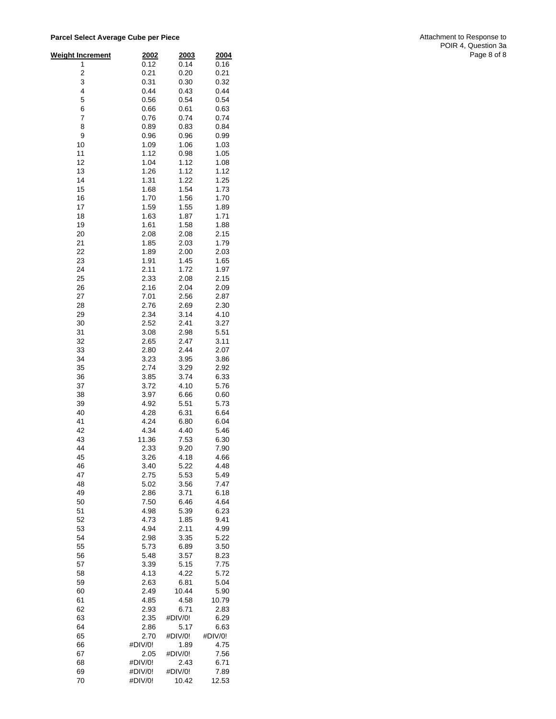**Parcel Select Average Cube per Piec e**

| <u>Weight Increment</u> | 2002            | 2003            | 2004         |
|-------------------------|-----------------|-----------------|--------------|
| 1                       | 0.12            | 0.14            | 0.16         |
| 2                       | 0.21            | 0.20            | 0.21         |
| 3                       | 0.31            | 0.30            | 0.32         |
| 4                       | 0.44            | 0.43            | 0.44         |
| 5                       | 0.56            | 0.54            | 0.54         |
| 6                       | 0.66            | 0.61            | 0.63         |
| 7                       | 0.76            | 0.74            | 0.74         |
| 8                       | 0.89            | 0.83            | 0.84         |
| 9                       | 0.96            | 0.96            | 0.99         |
| 10                      | 1.09            | 1.06            | 1.03         |
| 11                      | 1.12            | 0.98            | 1.05         |
| 12                      | 1.04            | 1.12            | 1.08         |
| 13                      | 1.26            | 1.12            | 1.12         |
| 14                      | 1.31            | 1.22            | 1.25         |
| 15<br>16                | 1.68<br>1.70    | 1.54<br>1.56    | 1.73<br>1.70 |
| 17                      | 1.59            | 1.55            | 1.89         |
| 18                      | 1.63            | 1.87            | 1.71         |
| 19                      | 1.61            | 1.58            | 1.88         |
| 20                      | 2.08            | 2.08            | 2.15         |
| 21                      | 1.85            | 2.03            | 1.79         |
| 22                      | 1.89            | 2.00            | 2.03         |
| 23                      | 1.91            | 1.45            | 1.65         |
| 24                      | 2.11            | 1.72            | 1.97         |
| 25                      | 2.33            | 2.08            | 2.15         |
| 26                      | 2.16            | 2.04            | 2.09         |
| 27                      | 7.01            | 2.56            | 2.87         |
| 28                      | 2.76            | 2.69            | 2.30         |
| 29                      | 2.34            | 3.14            | 4.10         |
| 30                      | 2.52            | 2.41            | 3.27         |
| 31                      | 3.08            | 2.98            | 5.51         |
| 32                      | 2.65            | 2.47            | 3.11         |
| 33                      | 2.80            | 2.44            | 2.07         |
| 34<br>35                | 3.23<br>2.74    | 3.95<br>3.29    | 3.86<br>2.92 |
| 36                      | 3.85            | 3.74            | 6.33         |
| 37                      | 3.72            | 4.10            | 5.76         |
| 38                      | 3.97            | 6.66            | 0.60         |
| 39                      | 4.92            | 5.51            | 5.73         |
| 40                      | 4.28            | 6.31            | 6.64         |
| 41                      | 4.24            | 6.80            | 6.04         |
| 42                      | 4.34            | 4.40            | 5.46         |
| 43                      | 11.36           | 7.53            | 6.30         |
| 44                      | 2.33            | 9.20            | 7.90         |
| 45                      | 3.26            | 4.18            | 4.66         |
| 46                      | 3.40            | 5.22            | 4.48         |
| 47                      | 2.75            | 5.53            | 5.49         |
| 48                      | 5.02            | 3.56            | 7.47         |
| 49<br>50                | 2.86            | 3.71            | 6.18         |
| 51                      | 7.50<br>4.98    | 6.46<br>5.39    | 4.64<br>6.23 |
| 52                      | 4.73            | 1.85            | 9.41         |
| 53                      | 4.94            | 2.11            | 4.99         |
| 54                      | 2.98            | 3.35            | 5.22         |
| 55                      | 5.73            | 6.89            | 3.50         |
| 56                      | 5.48            | 3.57            | 8.23         |
| 57                      | 3.39            | 5.15            | 7.75         |
| 58                      | 4.13            | 4.22            | 5.72         |
| 59                      | 2.63            | 6.81            | 5.04         |
| 60                      | 2.49            | 10.44           | 5.90         |
| 61                      | 4.85            | 4.58            | 10.79        |
| 62                      | 2.93            | 6.71            | 2.83         |
| 63                      | 2.35            | #DIV/0!         | 6.29         |
| 64                      | 2.86            | 5.17            | 6.63         |
| 65                      | 2.70            | #DIV/0!         | #DIV/0!      |
| 66<br>67                | #DIV/0!<br>2.05 | 1.89<br>#DIV/0! | 4.75<br>7.56 |
| 68                      | #DIV/0!         | 2.43            | 6.71         |
| 69                      | #DIV/0!         | #DIV/0!         | 7.89         |
| 70                      | #DIV/0!         | 10.42           | 12.53        |

Attachment to Response to POIR 4, Question 3a Page 8 of 8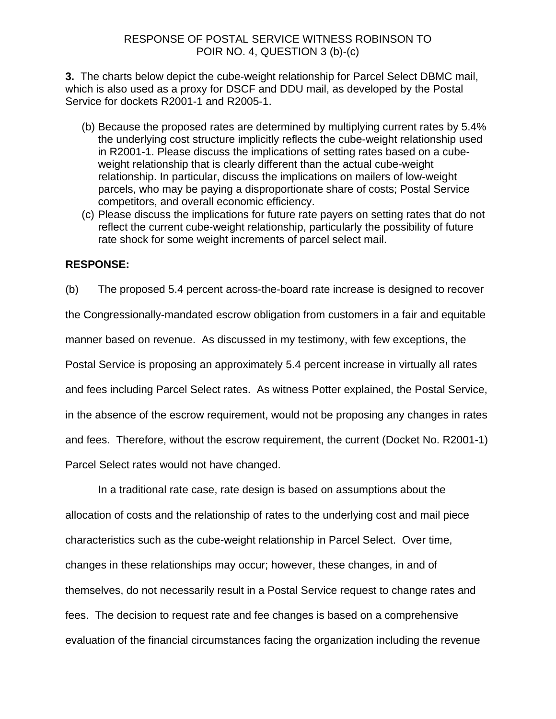**3.** The charts below depict the cube-weight relationship for Parcel Select DBMC mail, which is also used as a proxy for DSCF and DDU mail, as developed by the Postal Service for dockets R2001-1 and R2005-1.

- (b) Because the proposed rates are determined by multiplying current rates by 5.4% the underlying cost structure implicitly reflects the cube-weight relationship used in R2001-1. Please discuss the implications of setting rates based on a cubeweight relationship that is clearly different than the actual cube-weight relationship. In particular, discuss the implications on mailers of low-weight parcels, who may be paying a disproportionate share of costs; Postal Service competitors, and overall economic efficiency.
- (c) Please discuss the implications for future rate payers on setting rates that do not reflect the current cube-weight relationship, particularly the possibility of future rate shock for some weight increments of parcel select mail.

# **RESPONSE:**

(b) The proposed 5.4 percent across-the-board rate increase is designed to recover the Congressionally-mandated escrow obligation from customers in a fair and equitable manner based on revenue. As discussed in my testimony, with few exceptions, the Postal Service is proposing an approximately 5.4 percent increase in virtually all rates and fees including Parcel Select rates. As witness Potter explained, the Postal Service, in the absence of the escrow requirement, would not be proposing any changes in rates and fees. Therefore, without the escrow requirement, the current (Docket No. R2001-1) Parcel Select rates would not have changed.

In a traditional rate case, rate design is based on assumptions about the allocation of costs and the relationship of rates to the underlying cost and mail piece characteristics such as the cube-weight relationship in Parcel Select. Over time, changes in these relationships may occur; however, these changes, in and of themselves, do not necessarily result in a Postal Service request to change rates and fees. The decision to request rate and fee changes is based on a comprehensive evaluation of the financial circumstances facing the organization including the revenue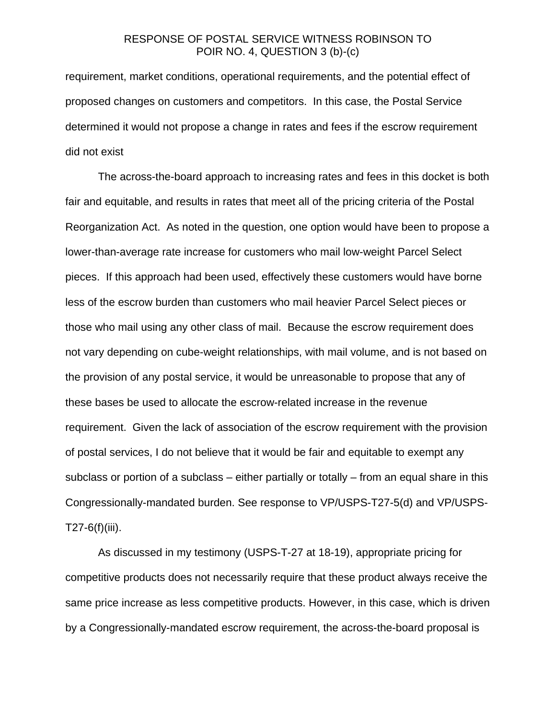requirement, market conditions, operational requirements, and the potential effect of proposed changes on customers and competitors. In this case, the Postal Service determined it would not propose a change in rates and fees if the escrow requirement did not exist

The across-the-board approach to increasing rates and fees in this docket is both fair and equitable, and results in rates that meet all of the pricing criteria of the Postal Reorganization Act. As noted in the question, one option would have been to propose a lower-than-average rate increase for customers who mail low-weight Parcel Select pieces. If this approach had been used, effectively these customers would have borne less of the escrow burden than customers who mail heavier Parcel Select pieces or those who mail using any other class of mail. Because the escrow requirement does not vary depending on cube-weight relationships, with mail volume, and is not based on the provision of any postal service, it would be unreasonable to propose that any of these bases be used to allocate the escrow-related increase in the revenue requirement. Given the lack of association of the escrow requirement with the provision of postal services, I do not believe that it would be fair and equitable to exempt any subclass or portion of a subclass – either partially or totally – from an equal share in this Congressionally-mandated burden. See response to VP/USPS-T27-5(d) and VP/USPS- $T27-6(f)(iii)$ .

As discussed in my testimony (USPS-T-27 at 18-19), appropriate pricing for competitive products does not necessarily require that these product always receive the same price increase as less competitive products. However, in this case, which is driven by a Congressionally-mandated escrow requirement, the across-the-board proposal is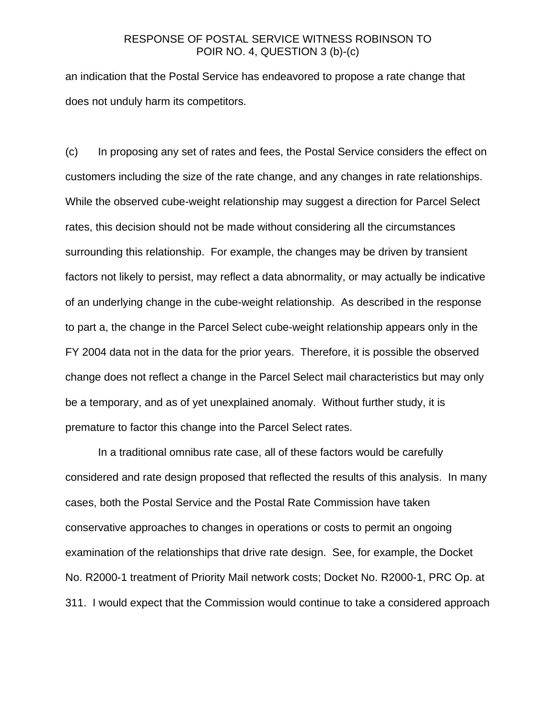an indication that the Postal Service has endeavored to propose a rate change that does not unduly harm its competitors.

(c) In proposing any set of rates and fees, the Postal Service considers the effect on customers including the size of the rate change, and any changes in rate relationships. While the observed cube-weight relationship may suggest a direction for Parcel Select rates, this decision should not be made without considering all the circumstances surrounding this relationship. For example, the changes may be driven by transient factors not likely to persist, may reflect a data abnormality, or may actually be indicative of an underlying change in the cube-weight relationship. As described in the response to part a, the change in the Parcel Select cube-weight relationship appears only in the FY 2004 data not in the data for the prior years. Therefore, it is possible the observed change does not reflect a change in the Parcel Select mail characteristics but may only be a temporary, and as of yet unexplained anomaly. Without further study, it is premature to factor this change into the Parcel Select rates.

In a traditional omnibus rate case, all of these factors would be carefully considered and rate design proposed that reflected the results of this analysis. In many cases, both the Postal Service and the Postal Rate Commission have taken conservative approaches to changes in operations or costs to permit an ongoing examination of the relationships that drive rate design. See, for example, the Docket No. R2000-1 treatment of Priority Mail network costs; Docket No. R2000-1, PRC Op. at 311. I would expect that the Commission would continue to take a considered approach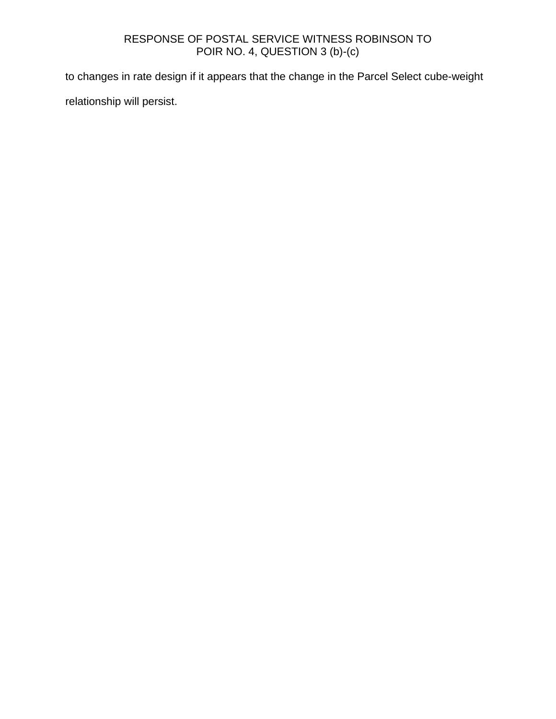to changes in rate design if it appears that the change in the Parcel Select cube-weight relationship will persist.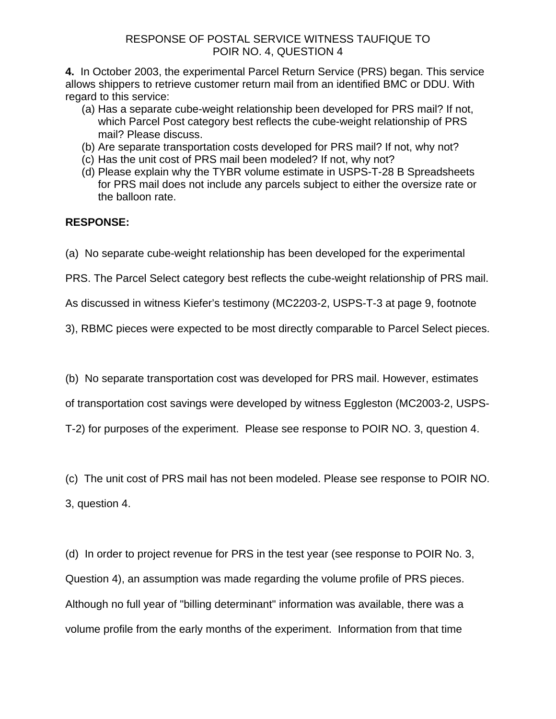**4.** In October 2003, the experimental Parcel Return Service (PRS) began. This service allows shippers to retrieve customer return mail from an identified BMC or DDU. With regard to this service:

- (a) Has a separate cube-weight relationship been developed for PRS mail? If not, which Parcel Post category best reflects the cube-weight relationship of PRS mail? Please discuss.
- (b) Are separate transportation costs developed for PRS mail? If not, why not?
- (c) Has the unit cost of PRS mail been modeled? If not, why not?
- (d) Please explain why the TYBR volume estimate in USPS-T-28 B Spreadsheets for PRS mail does not include any parcels subject to either the oversize rate or the balloon rate.

# **RESPONSE:**

- (a) No separate cube-weight relationship has been developed for the experimental
- PRS. The Parcel Select category best reflects the cube-weight relationship of PRS mail.

As discussed in witness Kiefer's testimony (MC2203-2, USPS-T-3 at page 9, footnote

3), RBMC pieces were expected to be most directly comparable to Parcel Select pieces.

(b) No separate transportation cost was developed for PRS mail. However, estimates

of transportation cost savings were developed by witness Eggleston (MC2003-2, USPS-

T-2) for purposes of the experiment. Please see response to POIR NO. 3, question 4.

(c) The unit cost of PRS mail has not been modeled. Please see response to POIR NO. 3, question 4.

(d) In order to project revenue for PRS in the test year (see response to POIR No. 3, Question 4), an assumption was made regarding the volume profile of PRS pieces. Although no full year of "billing determinant" information was available, there was a volume profile from the early months of the experiment. Information from that time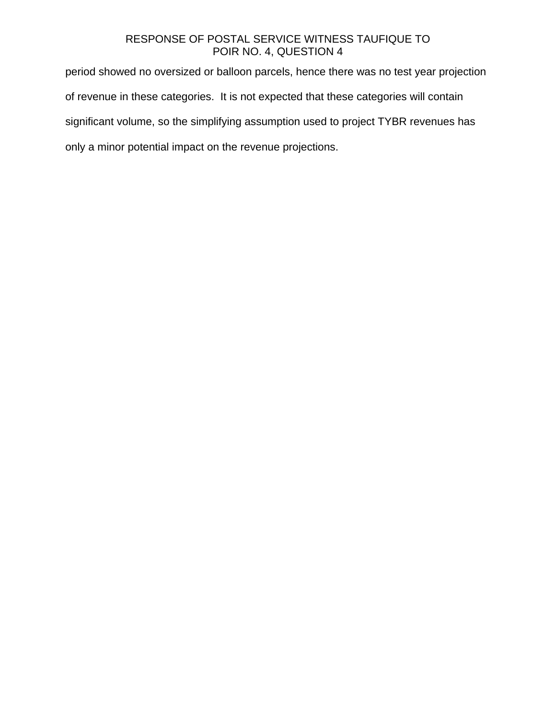# RESPONSE OF POSTAL SERVICE WITNESS TAUFIQUE TO POIR NO. 4, QUESTION 4

period showed no oversized or balloon parcels, hence there was no test year projection of revenue in these categories. It is not expected that these categories will contain significant volume, so the simplifying assumption used to project TYBR revenues has only a minor potential impact on the revenue projections.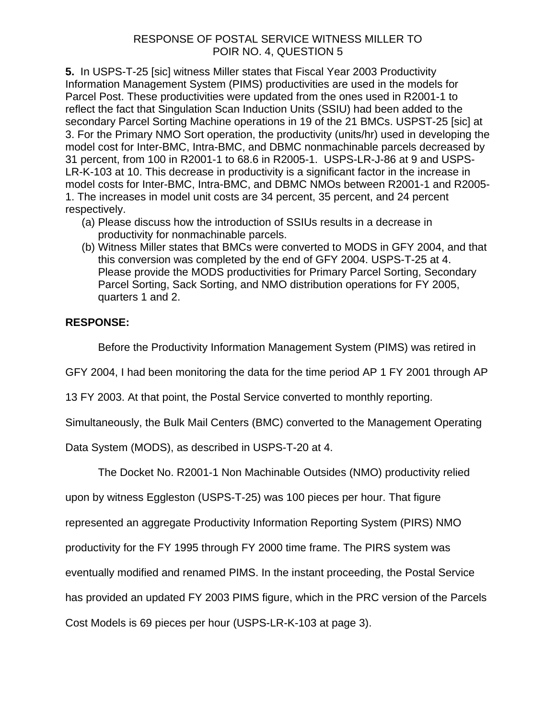# RESPONSE OF POSTAL SERVICE WITNESS MILLER TO POIR NO. 4, QUESTION 5

**5.** In USPS-T-25 [sic] witness Miller states that Fiscal Year 2003 Productivity Information Management System (PIMS) productivities are used in the models for Parcel Post. These productivities were updated from the ones used in R2001-1 to reflect the fact that Singulation Scan Induction Units (SSIU) had been added to the secondary Parcel Sorting Machine operations in 19 of the 21 BMCs. USPST-25 [sic] at 3. For the Primary NMO Sort operation, the productivity (units/hr) used in developing the model cost for Inter-BMC, Intra-BMC, and DBMC nonmachinable parcels decreased by 31 percent, from 100 in R2001-1 to 68.6 in R2005-1. USPS-LR-J-86 at 9 and USPS-LR-K-103 at 10. This decrease in productivity is a significant factor in the increase in model costs for Inter-BMC, Intra-BMC, and DBMC NMOs between R2001-1 and R2005- 1. The increases in model unit costs are 34 percent, 35 percent, and 24 percent respectively.

- (a) Please discuss how the introduction of SSIUs results in a decrease in productivity for nonmachinable parcels.
- (b) Witness Miller states that BMCs were converted to MODS in GFY 2004, and that this conversion was completed by the end of GFY 2004. USPS-T-25 at 4. Please provide the MODS productivities for Primary Parcel Sorting, Secondary Parcel Sorting, Sack Sorting, and NMO distribution operations for FY 2005, quarters 1 and 2.

# **RESPONSE:**

Before the Productivity Information Management System (PIMS) was retired in

GFY 2004, I had been monitoring the data for the time period AP 1 FY 2001 through AP

13 FY 2003. At that point, the Postal Service converted to monthly reporting.

Simultaneously, the Bulk Mail Centers (BMC) converted to the Management Operating

Data System (MODS), as described in USPS-T-20 at 4.

The Docket No. R2001-1 Non Machinable Outsides (NMO) productivity relied

upon by witness Eggleston (USPS-T-25) was 100 pieces per hour. That figure

represented an aggregate Productivity Information Reporting System (PIRS) NMO

productivity for the FY 1995 through FY 2000 time frame. The PIRS system was

eventually modified and renamed PIMS. In the instant proceeding, the Postal Service

has provided an updated FY 2003 PIMS figure, which in the PRC version of the Parcels

Cost Models is 69 pieces per hour (USPS-LR-K-103 at page 3).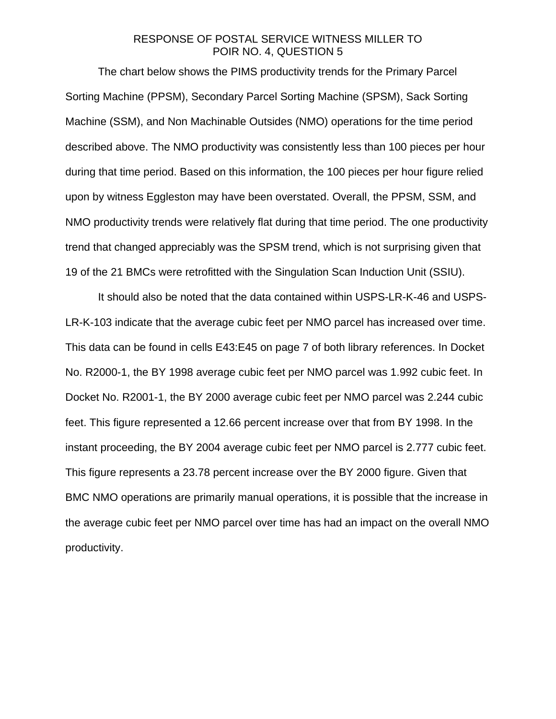# RESPONSE OF POSTAL SERVICE WITNESS MILLER TO POIR NO. 4, QUESTION 5

The chart below shows the PIMS productivity trends for the Primary Parcel Sorting Machine (PPSM), Secondary Parcel Sorting Machine (SPSM), Sack Sorting Machine (SSM), and Non Machinable Outsides (NMO) operations for the time period described above. The NMO productivity was consistently less than 100 pieces per hour during that time period. Based on this information, the 100 pieces per hour figure relied upon by witness Eggleston may have been overstated. Overall, the PPSM, SSM, and NMO productivity trends were relatively flat during that time period. The one productivity trend that changed appreciably was the SPSM trend, which is not surprising given that 19 of the 21 BMCs were retrofitted with the Singulation Scan Induction Unit (SSIU).

It should also be noted that the data contained within USPS-LR-K-46 and USPS-LR-K-103 indicate that the average cubic feet per NMO parcel has increased over time. This data can be found in cells E43:E45 on page 7 of both library references. In Docket No. R2000-1, the BY 1998 average cubic feet per NMO parcel was 1.992 cubic feet. In Docket No. R2001-1, the BY 2000 average cubic feet per NMO parcel was 2.244 cubic feet. This figure represented a 12.66 percent increase over that from BY 1998. In the instant proceeding, the BY 2004 average cubic feet per NMO parcel is 2.777 cubic feet. This figure represents a 23.78 percent increase over the BY 2000 figure. Given that BMC NMO operations are primarily manual operations, it is possible that the increase in the average cubic feet per NMO parcel over time has had an impact on the overall NMO productivity.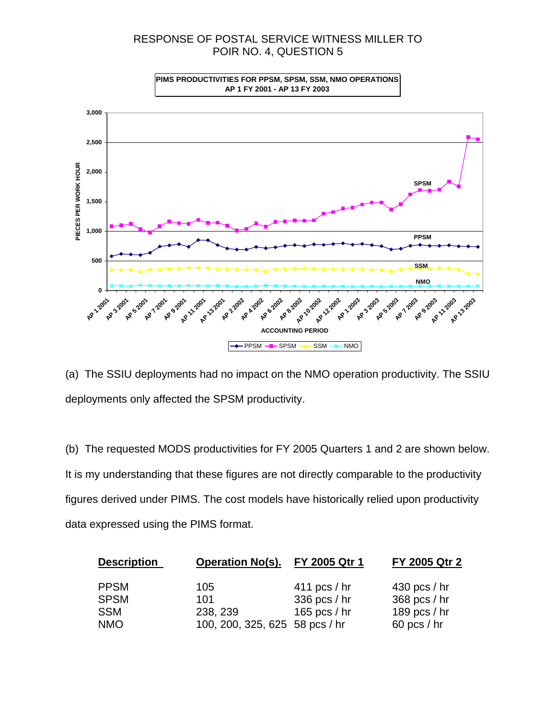# RESPONSE OF POSTAL SERVICE WITNESS MILLER TO POIR NO. 4, QUESTION 5



(a) The SSIU deployments had no impact on the NMO operation productivity. The SSIU deployments only affected the SPSM productivity.

(b) The requested MODS productivities for FY 2005 Quarters 1 and 2 are shown below. It is my understanding that these figures are not directly comparable to the productivity figures derived under PIMS. The cost models have historically relied upon productivity data expressed using the PIMS format.

| <b>Description</b> |             | <b>Operation No(s).</b>        | FY 2005 Qtr 1  | FY 2005 Qtr 2  |  |
|--------------------|-------------|--------------------------------|----------------|----------------|--|
|                    | <b>PPSM</b> | 105                            | 411 pcs $/$ hr | $430$ pcs / hr |  |
|                    | <b>SPSM</b> | 101                            | 336 pcs / hr   | 368 pcs / hr   |  |
|                    | <b>SSM</b>  | 238, 239                       | 165 pcs / $hr$ | 189 pcs $/$ hr |  |
|                    | <b>NMO</b>  | 100, 200, 325, 625 58 pcs / hr |                | 60 pcs $/$ hr  |  |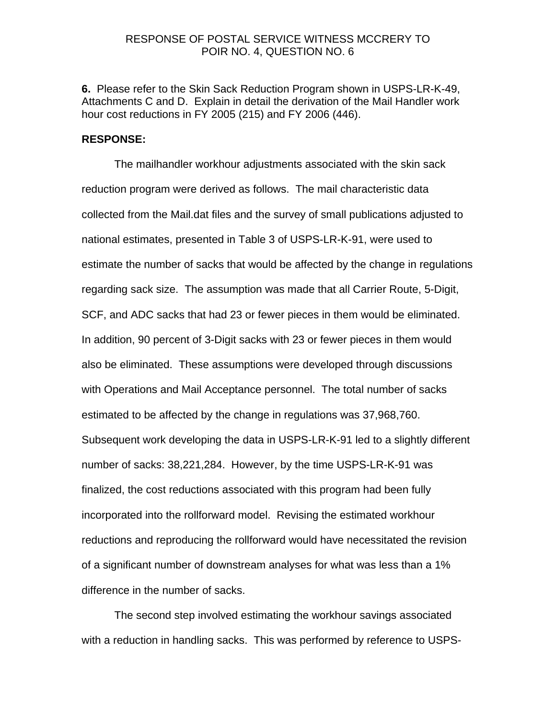## RESPONSE OF POSTAL SERVICE WITNESS MCCRERY TO POIR NO. 4, QUESTION NO. 6

**6.** Please refer to the Skin Sack Reduction Program shown in USPS-LR-K-49, Attachments C and D. Explain in detail the derivation of the Mail Handler work hour cost reductions in FY 2005 (215) and FY 2006 (446).

#### **RESPONSE:**

The mailhandler workhour adjustments associated with the skin sack reduction program were derived as follows. The mail characteristic data collected from the Mail.dat files and the survey of small publications adjusted to national estimates, presented in Table 3 of USPS-LR-K-91, were used to estimate the number of sacks that would be affected by the change in regulations regarding sack size. The assumption was made that all Carrier Route, 5-Digit, SCF, and ADC sacks that had 23 or fewer pieces in them would be eliminated. In addition, 90 percent of 3-Digit sacks with 23 or fewer pieces in them would also be eliminated. These assumptions were developed through discussions with Operations and Mail Acceptance personnel. The total number of sacks estimated to be affected by the change in regulations was 37,968,760. Subsequent work developing the data in USPS-LR-K-91 led to a slightly different number of sacks: 38,221,284. However, by the time USPS-LR-K-91 was finalized, the cost reductions associated with this program had been fully incorporated into the rollforward model. Revising the estimated workhour reductions and reproducing the rollforward would have necessitated the revision of a significant number of downstream analyses for what was less than a 1% difference in the number of sacks.

 The second step involved estimating the workhour savings associated with a reduction in handling sacks. This was performed by reference to USPS-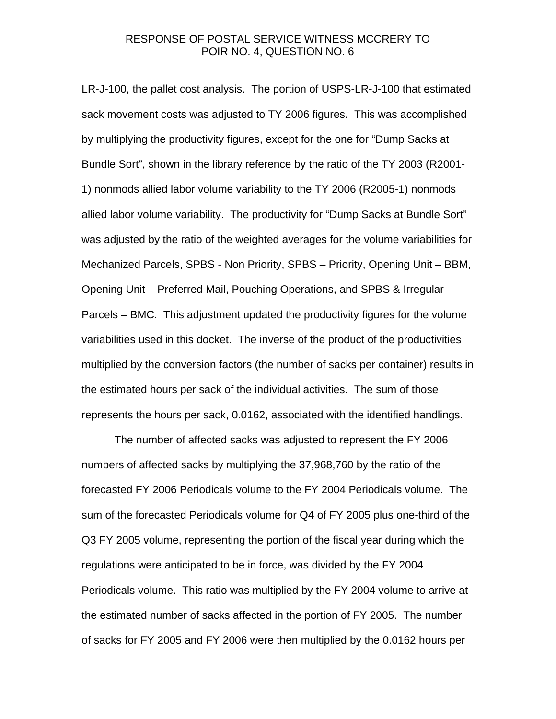# RESPONSE OF POSTAL SERVICE WITNESS MCCRERY TO POIR NO. 4, QUESTION NO. 6

LR-J-100, the pallet cost analysis. The portion of USPS-LR-J-100 that estimated sack movement costs was adjusted to TY 2006 figures. This was accomplished by multiplying the productivity figures, except for the one for "Dump Sacks at Bundle Sort", shown in the library reference by the ratio of the TY 2003 (R2001- 1) nonmods allied labor volume variability to the TY 2006 (R2005-1) nonmods allied labor volume variability. The productivity for "Dump Sacks at Bundle Sort" was adjusted by the ratio of the weighted averages for the volume variabilities for Mechanized Parcels, SPBS - Non Priority, SPBS – Priority, Opening Unit – BBM, Opening Unit – Preferred Mail, Pouching Operations, and SPBS & Irregular Parcels – BMC. This adjustment updated the productivity figures for the volume variabilities used in this docket. The inverse of the product of the productivities multiplied by the conversion factors (the number of sacks per container) results in the estimated hours per sack of the individual activities. The sum of those represents the hours per sack, 0.0162, associated with the identified handlings.

 The number of affected sacks was adjusted to represent the FY 2006 numbers of affected sacks by multiplying the 37,968,760 by the ratio of the forecasted FY 2006 Periodicals volume to the FY 2004 Periodicals volume. The sum of the forecasted Periodicals volume for Q4 of FY 2005 plus one-third of the Q3 FY 2005 volume, representing the portion of the fiscal year during which the regulations were anticipated to be in force, was divided by the FY 2004 Periodicals volume. This ratio was multiplied by the FY 2004 volume to arrive at the estimated number of sacks affected in the portion of FY 2005. The number of sacks for FY 2005 and FY 2006 were then multiplied by the 0.0162 hours per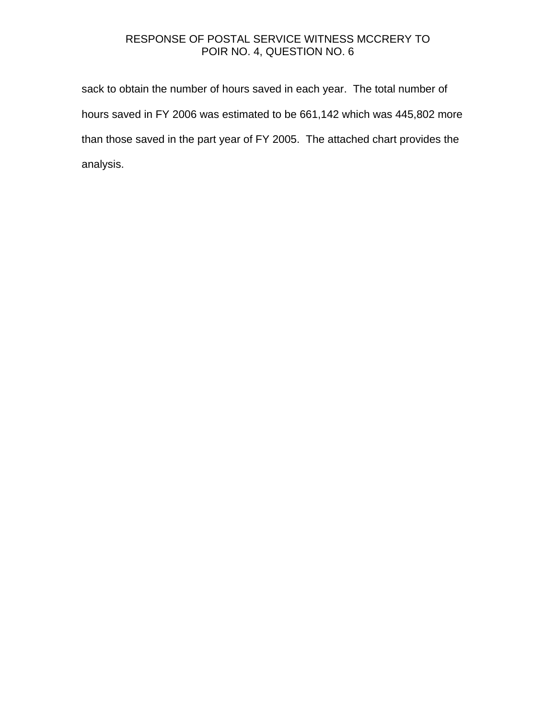# RESPONSE OF POSTAL SERVICE WITNESS MCCRERY TO POIR NO. 4, QUESTION NO. 6

sack to obtain the number of hours saved in each year. The total number of hours saved in FY 2006 was estimated to be 661,142 which was 445,802 more than those saved in the part year of FY 2005. The attached chart provides the analysis.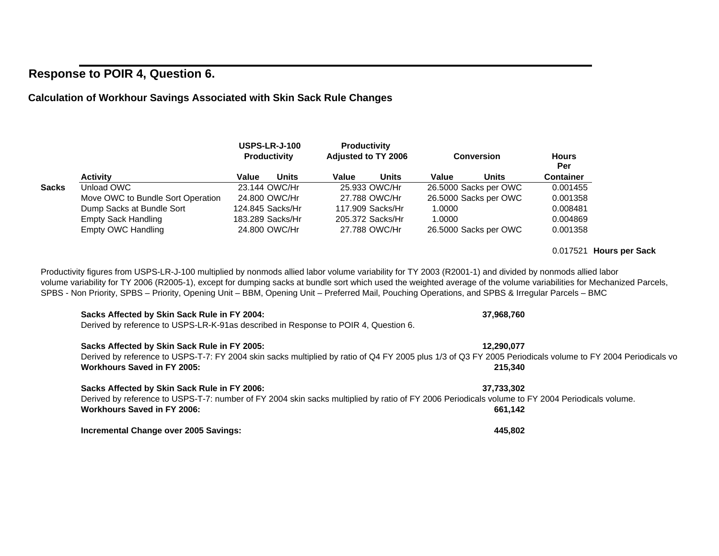# **Response to POIR 4, Question 6.**

# **Calculation of Workhour Savings Associated with Skin Sack Rule Changes**

|              |                                   | <b>USPS-LR-J-100</b><br><b>Productivity</b> |                  | <b>Productivity</b><br><b>Adjusted to TY 2006</b> |                  | <b>Conversion</b> |                       | <b>Hours</b><br>Per |
|--------------|-----------------------------------|---------------------------------------------|------------------|---------------------------------------------------|------------------|-------------------|-----------------------|---------------------|
|              | <b>Activity</b>                   | Value                                       | <b>Units</b>     | Value                                             | <b>Units</b>     | Value             | Units                 | <b>Container</b>    |
| <b>Sacks</b> | Unload OWC                        |                                             | 23.144 OWC/Hr    |                                                   | 25.933 OWC/Hr    |                   | 26.5000 Sacks per OWC | 0.001455            |
|              | Move OWC to Bundle Sort Operation |                                             | 24,800 OWC/Hr    |                                                   | 27.788 OWC/Hr    |                   | 26.5000 Sacks per OWC | 0.001358            |
|              | Dump Sacks at Bundle Sort         |                                             | 124.845 Sacks/Hr |                                                   | 117.909 Sacks/Hr | 1.0000            |                       | 0.008481            |
|              | <b>Empty Sack Handling</b>        |                                             | 183.289 Sacks/Hr |                                                   | 205.372 Sacks/Hr | 1.0000            |                       | 0.004869            |
|              | <b>Empty OWC Handling</b>         |                                             | 24,800 OWC/Hr    |                                                   | 27.788 OWC/Hr    |                   | 26.5000 Sacks per OWC | 0.001358            |

Productivity figures from USPS-LR-J-100 multiplied by nonmods allied labor volume variability for TY 2003 (R2001-1) and divided by nonmods allied labor volume variability for TY 2006 (R2005-1), except for dumping sacks at bundle sort which used the weighted average of the volume variabilities for Mechanized Parcels, SPBS - Non Priority, SPBS – Priority, Opening Unit – BBM, Opening Unit – Preferred Mail, Pouching Operations, and SPBS & Irregular Parcels – BMC

# **Sacks Affected by Skin Sack Rule in FY 2004: 37,968,760**

Derived by reference to USPS-LR-K-91as described in Response to POIR 4, Question 6.

#### **Sacks Affected by Skin Sack Rule in FY 2005: 12,290,077**

Derived by reference to USPS-T-7: FY 2004 skin sacks multiplied by ratio of Q4 FY 2005 plus 1/3 of Q3 FY 2005 Periodicals volume to FY 2004 Periodicals vo **Workhours Saved in FY 2005:215,340**

#### **Sacks Affected by Skin Sack Rule in FY 2006: 37,733,302**

Derived by reference to USPS-T-7: number of FY 2004 skin sacks multiplied by ratio of FY 2006 Periodicals volume to FY 2004 Periodicals volume. **Workhours Saved in FY 2006:661,142**

**Incremental Change over 2005 Savings: 445,802**

#### 0.017521 **Hours per Sack**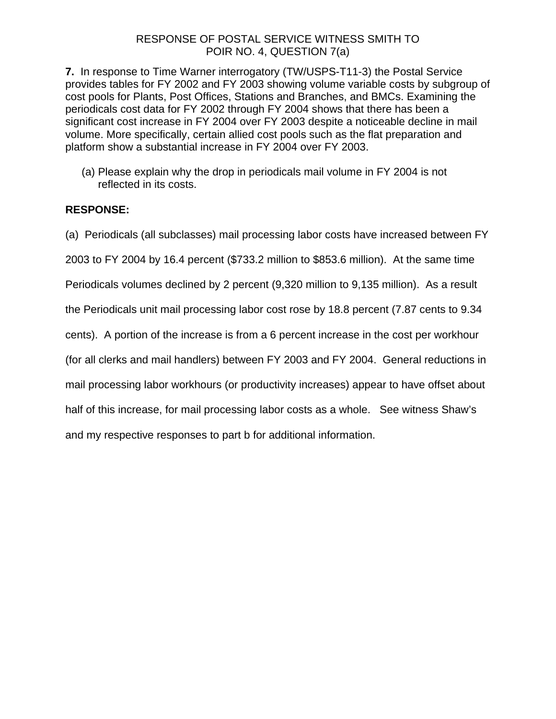# RESPONSE OF POSTAL SERVICE WITNESS SMITH TO POIR NO. 4, QUESTION 7(a)

**7.** In response to Time Warner interrogatory (TW/USPS-T11-3) the Postal Service provides tables for FY 2002 and FY 2003 showing volume variable costs by subgroup of cost pools for Plants, Post Offices, Stations and Branches, and BMCs. Examining the periodicals cost data for FY 2002 through FY 2004 shows that there has been a significant cost increase in FY 2004 over FY 2003 despite a noticeable decline in mail volume. More specifically, certain allied cost pools such as the flat preparation and platform show a substantial increase in FY 2004 over FY 2003.

(a) Please explain why the drop in periodicals mail volume in FY 2004 is not reflected in its costs.

# **RESPONSE:**

(a) Periodicals (all subclasses) mail processing labor costs have increased between FY

2003 to FY 2004 by 16.4 percent (\$733.2 million to \$853.6 million). At the same time

Periodicals volumes declined by 2 percent (9,320 million to 9,135 million). As a result

the Periodicals unit mail processing labor cost rose by 18.8 percent (7.87 cents to 9.34

cents). A portion of the increase is from a 6 percent increase in the cost per workhour

(for all clerks and mail handlers) between FY 2003 and FY 2004. General reductions in

mail processing labor workhours (or productivity increases) appear to have offset about

half of this increase, for mail processing labor costs as a whole. See witness Shaw's

and my respective responses to part b for additional information.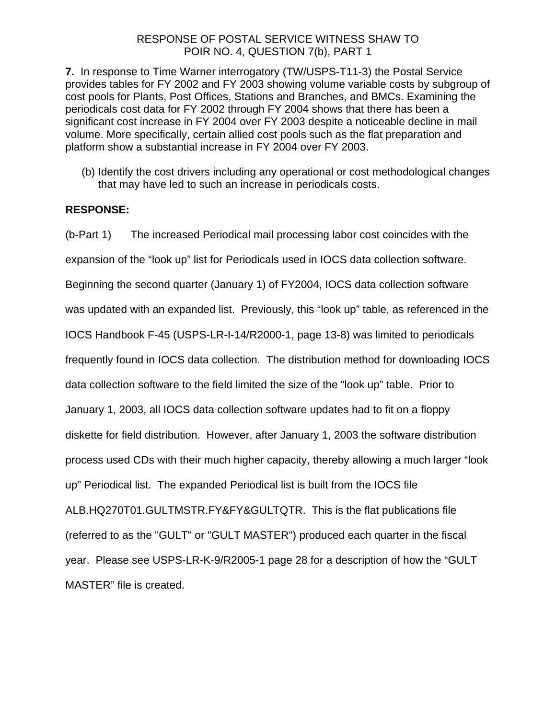# RESPONSE OF POSTAL SERVICE WITNESS SHAW TO POIR NO. 4, QUESTION 7(b), PART 1

**7.** In response to Time Warner interrogatory (TW/USPS-T11-3) the Postal Service provides tables for FY 2002 and FY 2003 showing volume variable costs by subgroup of cost pools for Plants, Post Offices, Stations and Branches, and BMCs. Examining the periodicals cost data for FY 2002 through FY 2004 shows that there has been a significant cost increase in FY 2004 over FY 2003 despite a noticeable decline in mail volume. More specifically, certain allied cost pools such as the flat preparation and platform show a substantial increase in FY 2004 over FY 2003.

(b) Identify the cost drivers including any operational or cost methodological changes that may have led to such an increase in periodicals costs.

# **RESPONSE:**

(b-Part 1) The increased Periodical mail processing labor cost coincides with the expansion of the "look up" list for Periodicals used in IOCS data collection software. Beginning the second quarter (January 1) of FY2004, IOCS data collection software was updated with an expanded list. Previously, this "look up" table, as referenced in the IOCS Handbook F-45 (USPS-LR-I-14/R2000-1, page 13-8) was limited to periodicals frequently found in IOCS data collection. The distribution method for downloading IOCS data collection software to the field limited the size of the "look up" table. Prior to January 1, 2003, all IOCS data collection software updates had to fit on a floppy diskette for field distribution. However, after January 1, 2003 the software distribution process used CDs with their much higher capacity, thereby allowing a much larger "look up" Periodical list. The expanded Periodical list is built from the IOCS file ALB.HQ270T01.GULTMSTR.FY&FY&GULTQTR. This is the flat publications file (referred to as the "GULT" or "GULT MASTER") produced each quarter in the fiscal year. Please see USPS-LR-K-9/R2005-1 page 28 for a description of how the "GULT MASTER" file is created.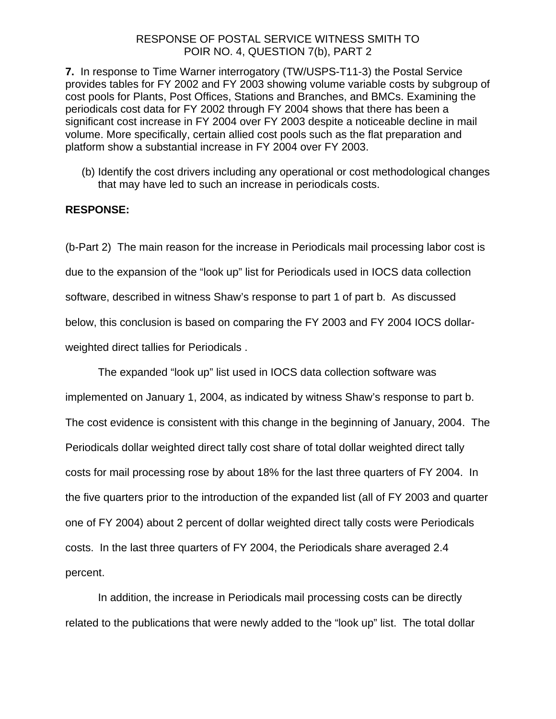# RESPONSE OF POSTAL SERVICE WITNESS SMITH TO POIR NO. 4, QUESTION 7(b), PART 2

**7.** In response to Time Warner interrogatory (TW/USPS-T11-3) the Postal Service provides tables for FY 2002 and FY 2003 showing volume variable costs by subgroup of cost pools for Plants, Post Offices, Stations and Branches, and BMCs. Examining the periodicals cost data for FY 2002 through FY 2004 shows that there has been a significant cost increase in FY 2004 over FY 2003 despite a noticeable decline in mail volume. More specifically, certain allied cost pools such as the flat preparation and platform show a substantial increase in FY 2004 over FY 2003.

(b) Identify the cost drivers including any operational or cost methodological changes that may have led to such an increase in periodicals costs.

# **RESPONSE:**

(b-Part 2) The main reason for the increase in Periodicals mail processing labor cost is due to the expansion of the "look up" list for Periodicals used in IOCS data collection software, described in witness Shaw's response to part 1 of part b. As discussed below, this conclusion is based on comparing the FY 2003 and FY 2004 IOCS dollarweighted direct tallies for Periodicals .

The expanded "look up" list used in IOCS data collection software was implemented on January 1, 2004, as indicated by witness Shaw's response to part b. The cost evidence is consistent with this change in the beginning of January, 2004. The Periodicals dollar weighted direct tally cost share of total dollar weighted direct tally costs for mail processing rose by about 18% for the last three quarters of FY 2004. In the five quarters prior to the introduction of the expanded list (all of FY 2003 and quarter one of FY 2004) about 2 percent of dollar weighted direct tally costs were Periodicals costs. In the last three quarters of FY 2004, the Periodicals share averaged 2.4 percent.

In addition, the increase in Periodicals mail processing costs can be directly related to the publications that were newly added to the "look up" list. The total dollar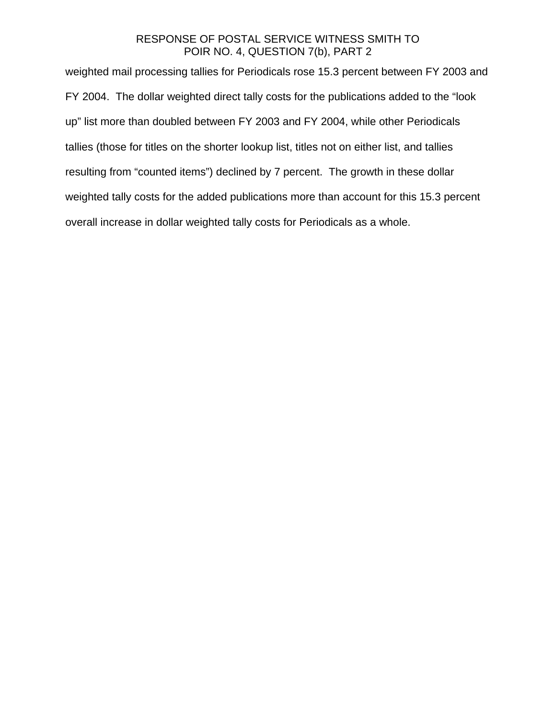# RESPONSE OF POSTAL SERVICE WITNESS SMITH TO POIR NO. 4, QUESTION 7(b), PART 2

weighted mail processing tallies for Periodicals rose 15.3 percent between FY 2003 and FY 2004. The dollar weighted direct tally costs for the publications added to the "look up" list more than doubled between FY 2003 and FY 2004, while other Periodicals tallies (those for titles on the shorter lookup list, titles not on either list, and tallies resulting from "counted items") declined by 7 percent. The growth in these dollar weighted tally costs for the added publications more than account for this 15.3 percent overall increase in dollar weighted tally costs for Periodicals as a whole.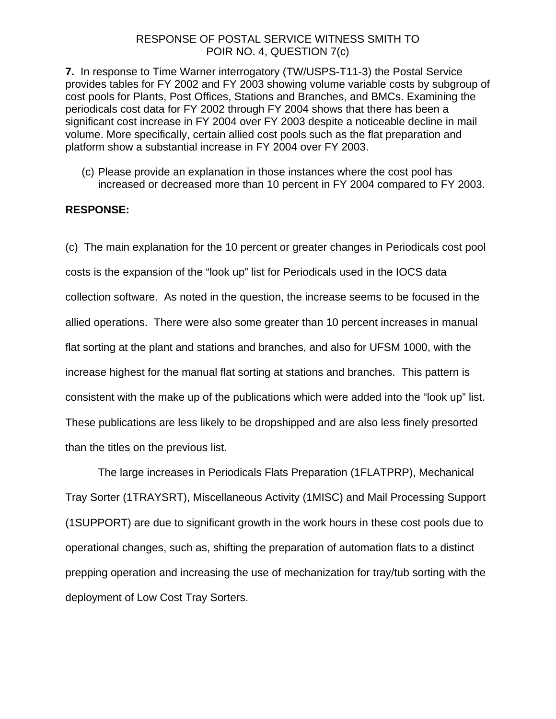# RESPONSE OF POSTAL SERVICE WITNESS SMITH TO POIR NO. 4, QUESTION 7(c)

**7.** In response to Time Warner interrogatory (TW/USPS-T11-3) the Postal Service provides tables for FY 2002 and FY 2003 showing volume variable costs by subgroup of cost pools for Plants, Post Offices, Stations and Branches, and BMCs. Examining the periodicals cost data for FY 2002 through FY 2004 shows that there has been a significant cost increase in FY 2004 over FY 2003 despite a noticeable decline in mail volume. More specifically, certain allied cost pools such as the flat preparation and platform show a substantial increase in FY 2004 over FY 2003.

(c) Please provide an explanation in those instances where the cost pool has increased or decreased more than 10 percent in FY 2004 compared to FY 2003.

# **RESPONSE:**

(c) The main explanation for the 10 percent or greater changes in Periodicals cost pool costs is the expansion of the "look up" list for Periodicals used in the IOCS data collection software. As noted in the question, the increase seems to be focused in the allied operations. There were also some greater than 10 percent increases in manual flat sorting at the plant and stations and branches, and also for UFSM 1000, with the increase highest for the manual flat sorting at stations and branches. This pattern is consistent with the make up of the publications which were added into the "look up" list. These publications are less likely to be dropshipped and are also less finely presorted than the titles on the previous list.

The large increases in Periodicals Flats Preparation (1FLATPRP), Mechanical Tray Sorter (1TRAYSRT), Miscellaneous Activity (1MISC) and Mail Processing Support (1SUPPORT) are due to significant growth in the work hours in these cost pools due to operational changes, such as, shifting the preparation of automation flats to a distinct prepping operation and increasing the use of mechanization for tray/tub sorting with the deployment of Low Cost Tray Sorters.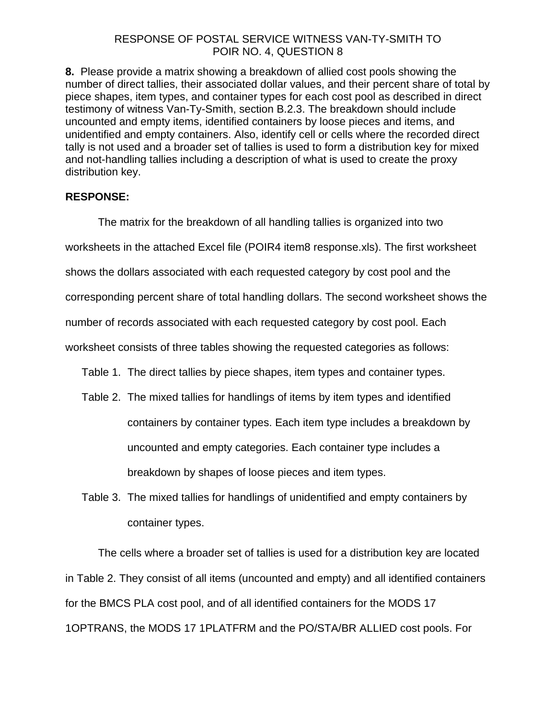# RESPONSE OF POSTAL SERVICE WITNESS VAN-TY-SMITH TO POIR NO. 4, QUESTION 8

**8.** Please provide a matrix showing a breakdown of allied cost pools showing the number of direct tallies, their associated dollar values, and their percent share of total by piece shapes, item types, and container types for each cost pool as described in direct testimony of witness Van-Ty-Smith, section B.2.3. The breakdown should include uncounted and empty items, identified containers by loose pieces and items, and unidentified and empty containers. Also, identify cell or cells where the recorded direct tally is not used and a broader set of tallies is used to form a distribution key for mixed and not-handling tallies including a description of what is used to create the proxy distribution key.

# **RESPONSE:**

The matrix for the breakdown of all handling tallies is organized into two worksheets in the attached Excel file (POIR4 item8 response.xls). The first worksheet shows the dollars associated with each requested category by cost pool and the corresponding percent share of total handling dollars. The second worksheet shows the number of records associated with each requested category by cost pool. Each worksheet consists of three tables showing the requested categories as follows: Table 1. The direct tallies by piece shapes, item types and container types. Table 2. The mixed tallies for handlings of items by item types and identified

- containers by container types. Each item type includes a breakdown by uncounted and empty categories. Each container type includes a breakdown by shapes of loose pieces and item types.
- Table 3. The mixed tallies for handlings of unidentified and empty containers by container types.

The cells where a broader set of tallies is used for a distribution key are located in Table 2. They consist of all items (uncounted and empty) and all identified containers for the BMCS PLA cost pool, and of all identified containers for the MODS 17 1OPTRANS, the MODS 17 1PLATFRM and the PO/STA/BR ALLIED cost pools. For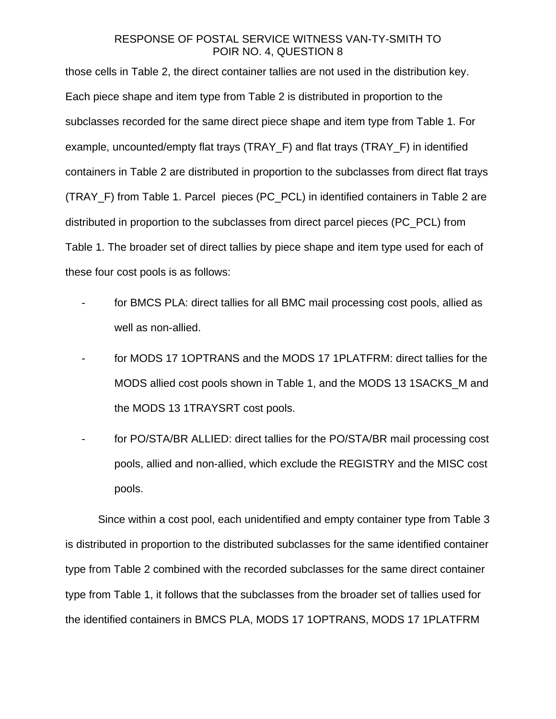# RESPONSE OF POSTAL SERVICE WITNESS VAN-TY-SMITH TO POIR NO. 4, QUESTION 8

those cells in Table 2, the direct container tallies are not used in the distribution key. Each piece shape and item type from Table 2 is distributed in proportion to the subclasses recorded for the same direct piece shape and item type from Table 1. For example, uncounted/empty flat trays (TRAY\_F) and flat trays (TRAY\_F) in identified containers in Table 2 are distributed in proportion to the subclasses from direct flat trays (TRAY\_F) from Table 1. Parcel pieces (PC\_PCL) in identified containers in Table 2 are distributed in proportion to the subclasses from direct parcel pieces (PC\_PCL) from Table 1. The broader set of direct tallies by piece shape and item type used for each of these four cost pools is as follows:

- for BMCS PLA: direct tallies for all BMC mail processing cost pools, allied as well as non-allied.
- for MODS 17 1OPTRANS and the MODS 17 1PLATFRM: direct tallies for the MODS allied cost pools shown in Table 1, and the MODS 13 1SACKS\_M and the MODS 13 1TRAYSRT cost pools.
- for PO/STA/BR ALLIED: direct tallies for the PO/STA/BR mail processing cost pools, allied and non-allied, which exclude the REGISTRY and the MISC cost pools.

Since within a cost pool, each unidentified and empty container type from Table 3 is distributed in proportion to the distributed subclasses for the same identified container type from Table 2 combined with the recorded subclasses for the same direct container type from Table 1, it follows that the subclasses from the broader set of tallies used for the identified containers in BMCS PLA, MODS 17 1OPTRANS, MODS 17 1PLATFRM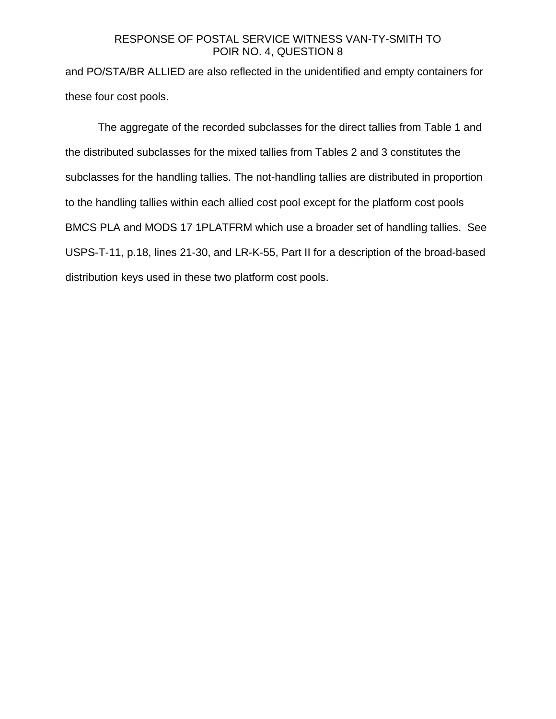# RESPONSE OF POSTAL SERVICE WITNESS VAN-TY-SMITH TO POIR NO. 4, QUESTION 8

and PO/STA/BR ALLIED are also reflected in the unidentified and empty containers for these four cost pools.

The aggregate of the recorded subclasses for the direct tallies from Table 1 and the distributed subclasses for the mixed tallies from Tables 2 and 3 constitutes the subclasses for the handling tallies. The not-handling tallies are distributed in proportion to the handling tallies within each allied cost pool except for the platform cost pools BMCS PLA and MODS 17 1PLATFRM which use a broader set of handling tallies. See USPS-T-11, p.18, lines 21-30, and LR-K-55, Part II for a description of the broad-based distribution keys used in these two platform cost pools.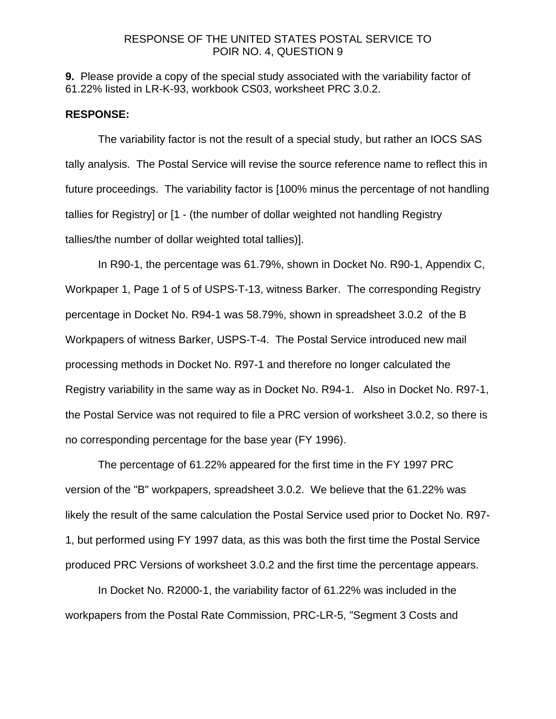#### RESPONSE OF THE UNITED STATES POSTAL SERVICE TO POIR NO. 4, QUESTION 9

**9.** Please provide a copy of the special study associated with the variability factor of 61.22% listed in LR-K-93, workbook CS03, worksheet PRC 3.0.2.

#### **RESPONSE:**

 The variability factor is not the result of a special study, but rather an IOCS SAS tally analysis. The Postal Service will revise the source reference name to reflect this in future proceedings. The variability factor is [100% minus the percentage of not handling tallies for Registry] or [1 - (the number of dollar weighted not handling Registry tallies/the number of dollar weighted total tallies)].

 In R90-1, the percentage was 61.79%, shown in Docket No. R90-1, Appendix C, Workpaper 1, Page 1 of 5 of USPS-T-13, witness Barker. The corresponding Registry percentage in Docket No. R94-1 was 58.79%, shown in spreadsheet 3.0.2 of the B Workpapers of witness Barker, USPS-T-4. The Postal Service introduced new mail processing methods in Docket No. R97-1 and therefore no longer calculated the Registry variability in the same way as in Docket No. R94-1. Also in Docket No. R97-1, the Postal Service was not required to file a PRC version of worksheet 3.0.2, so there is no corresponding percentage for the base year (FY 1996).

 The percentage of 61.22% appeared for the first time in the FY 1997 PRC version of the "B" workpapers, spreadsheet 3.0.2. We believe that the 61.22% was likely the result of the same calculation the Postal Service used prior to Docket No. R97- 1, but performed using FY 1997 data, as this was both the first time the Postal Service produced PRC Versions of worksheet 3.0.2 and the first time the percentage appears.

 In Docket No. R2000-1, the variability factor of 61.22% was included in the workpapers from the Postal Rate Commission, PRC-LR-5, "Segment 3 Costs and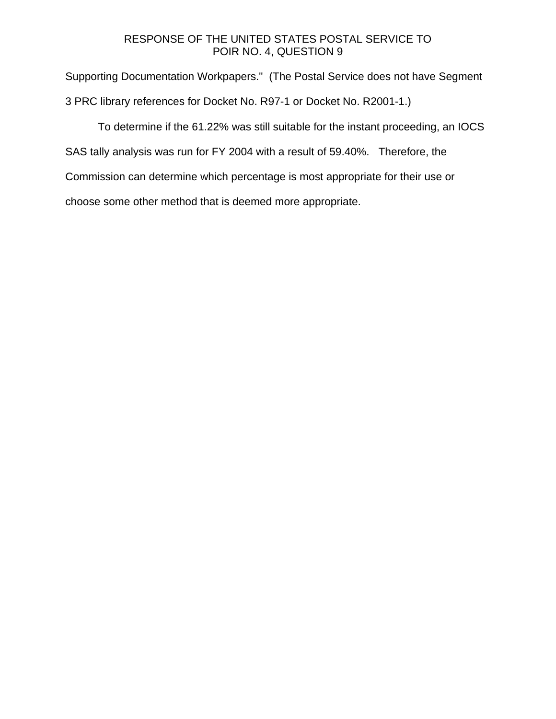### RESPONSE OF THE UNITED STATES POSTAL SERVICE TO POIR NO. 4, QUESTION 9

Supporting Documentation Workpapers." (The Postal Service does not have Segment 3 PRC library references for Docket No. R97-1 or Docket No. R2001-1.)

 To determine if the 61.22% was still suitable for the instant proceeding, an IOCS SAS tally analysis was run for FY 2004 with a result of 59.40%. Therefore, the Commission can determine which percentage is most appropriate for their use or choose some other method that is deemed more appropriate.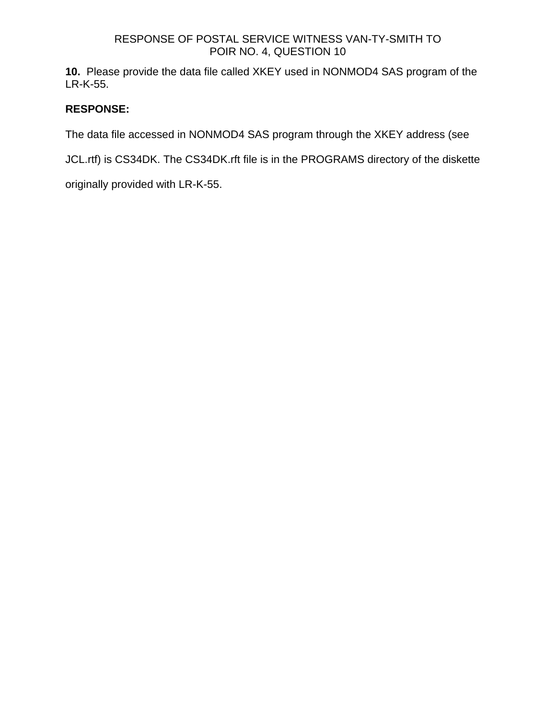## RESPONSE OF POSTAL SERVICE WITNESS VAN-TY-SMITH TO POIR NO. 4, QUESTION 10

**10.** Please provide the data file called XKEY used in NONMOD4 SAS program of the LR-K-55.

## **RESPONSE:**

The data file accessed in NONMOD4 SAS program through the XKEY address (see

JCL.rtf) is CS34DK. The CS34DK.rft file is in the PROGRAMS directory of the diskette

originally provided with LR-K-55.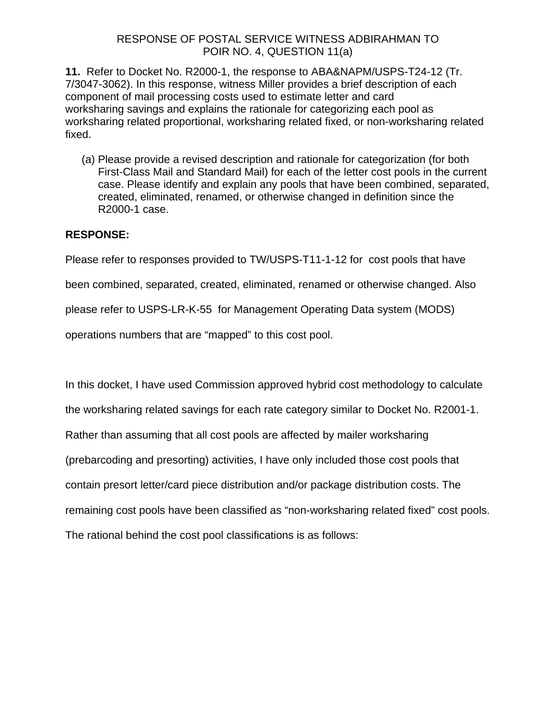**11.** Refer to Docket No. R2000-1, the response to ABA&NAPM/USPS-T24-12 (Tr. 7/3047-3062). In this response, witness Miller provides a brief description of each component of mail processing costs used to estimate letter and card worksharing savings and explains the rationale for categorizing each pool as worksharing related proportional, worksharing related fixed, or non-worksharing related fixed.

(a) Please provide a revised description and rationale for categorization (for both First-Class Mail and Standard Mail) for each of the letter cost pools in the current case. Please identify and explain any pools that have been combined, separated, created, eliminated, renamed, or otherwise changed in definition since the R2000-1 case.

## **RESPONSE:**

Please refer to responses provided to TW/USPS-T11-1-12 for cost pools that have

been combined, separated, created, eliminated, renamed or otherwise changed. Also

please refer to USPS-LR-K-55 for Management Operating Data system (MODS)

operations numbers that are "mapped" to this cost pool.

In this docket, I have used Commission approved hybrid cost methodology to calculate the worksharing related savings for each rate category similar to Docket No. R2001-1. Rather than assuming that all cost pools are affected by mailer worksharing (prebarcoding and presorting) activities, I have only included those cost pools that contain presort letter/card piece distribution and/or package distribution costs. The remaining cost pools have been classified as "non-worksharing related fixed" cost pools. The rational behind the cost pool classifications is as follows: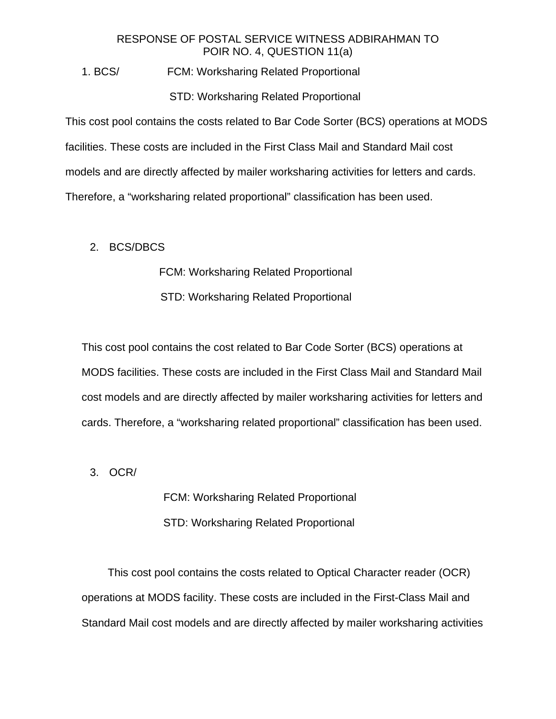1. BCS/ FCM: Worksharing Related Proportional

#### STD: Worksharing Related Proportional

This cost pool contains the costs related to Bar Code Sorter (BCS) operations at MODS facilities. These costs are included in the First Class Mail and Standard Mail cost models and are directly affected by mailer worksharing activities for letters and cards. Therefore, a "worksharing related proportional" classification has been used.

#### 2. BCS/DBCS

FCM: Worksharing Related Proportional

STD: Worksharing Related Proportional

This cost pool contains the cost related to Bar Code Sorter (BCS) operations at MODS facilities. These costs are included in the First Class Mail and Standard Mail cost models and are directly affected by mailer worksharing activities for letters and cards. Therefore, a "worksharing related proportional" classification has been used.

3. OCR/

 FCM: Worksharing Related Proportional STD: Worksharing Related Proportional

 This cost pool contains the costs related to Optical Character reader (OCR) operations at MODS facility. These costs are included in the First-Class Mail and Standard Mail cost models and are directly affected by mailer worksharing activities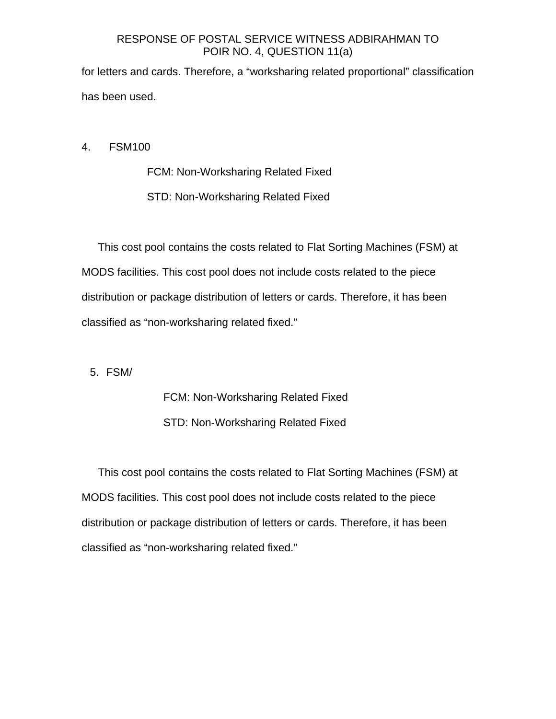for letters and cards. Therefore, a "worksharing related proportional" classification has been used.

4. FSM100

FCM: Non-Worksharing Related Fixed STD: Non-Worksharing Related Fixed

 This cost pool contains the costs related to Flat Sorting Machines (FSM) at MODS facilities. This cost pool does not include costs related to the piece distribution or package distribution of letters or cards. Therefore, it has been classified as "non-worksharing related fixed."

5. FSM/

FCM: Non-Worksharing Related Fixed STD: Non-Worksharing Related Fixed

 This cost pool contains the costs related to Flat Sorting Machines (FSM) at MODS facilities. This cost pool does not include costs related to the piece distribution or package distribution of letters or cards. Therefore, it has been classified as "non-worksharing related fixed."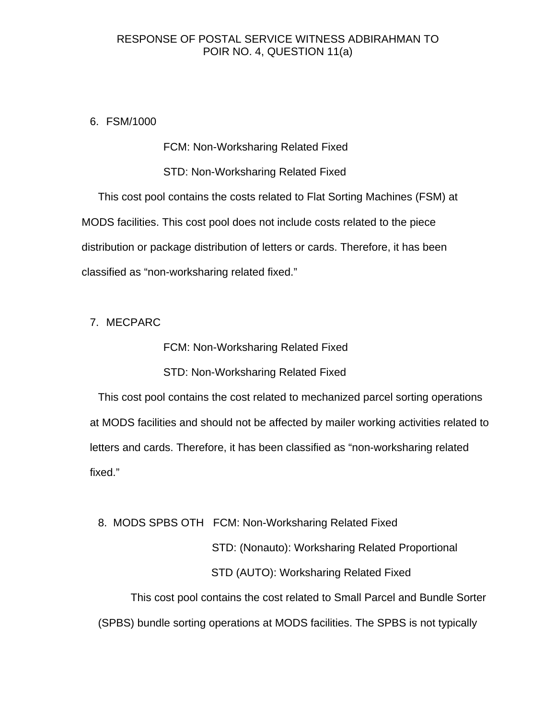6. FSM/1000

FCM: Non-Worksharing Related Fixed

STD: Non-Worksharing Related Fixed

 This cost pool contains the costs related to Flat Sorting Machines (FSM) at MODS facilities. This cost pool does not include costs related to the piece distribution or package distribution of letters or cards. Therefore, it has been classified as "non-worksharing related fixed."

#### 7. MECPARC

FCM: Non-Worksharing Related Fixed

#### STD: Non-Worksharing Related Fixed

 This cost pool contains the cost related to mechanized parcel sorting operations at MODS facilities and should not be affected by mailer working activities related to letters and cards. Therefore, it has been classified as "non-worksharing related fixed."

8. MODS SPBS OTH FCM: Non-Worksharing Related Fixed

 STD: (Nonauto): Worksharing Related Proportional STD (AUTO): Worksharing Related Fixed

 This cost pool contains the cost related to Small Parcel and Bundle Sorter (SPBS) bundle sorting operations at MODS facilities. The SPBS is not typically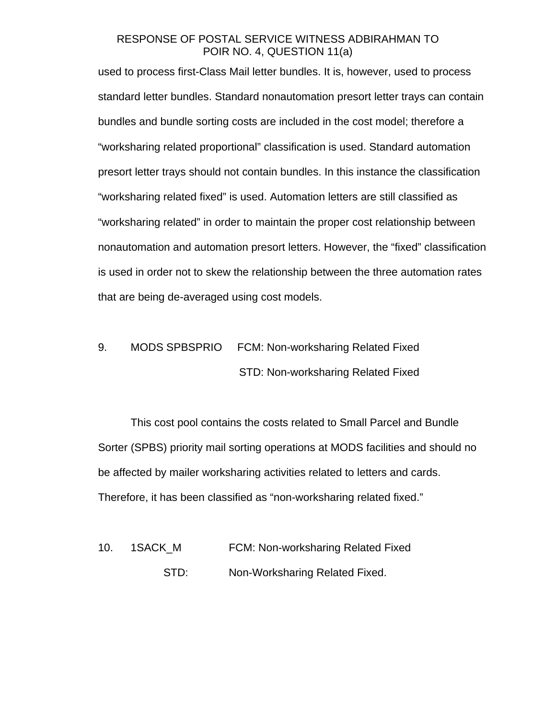used to process first-Class Mail letter bundles. It is, however, used to process standard letter bundles. Standard nonautomation presort letter trays can contain bundles and bundle sorting costs are included in the cost model; therefore a "worksharing related proportional" classification is used. Standard automation presort letter trays should not contain bundles. In this instance the classification "worksharing related fixed" is used. Automation letters are still classified as "worksharing related" in order to maintain the proper cost relationship between nonautomation and automation presort letters. However, the "fixed" classification is used in order not to skew the relationship between the three automation rates that are being de-averaged using cost models.

9. MODS SPBSPRIO FCM: Non-worksharing Related Fixed STD: Non-worksharing Related Fixed

 This cost pool contains the costs related to Small Parcel and Bundle Sorter (SPBS) priority mail sorting operations at MODS facilities and should no be affected by mailer worksharing activities related to letters and cards. Therefore, it has been classified as "non-worksharing related fixed."

10. 1SACK M FCM: Non-worksharing Related Fixed STD: Non-Worksharing Related Fixed.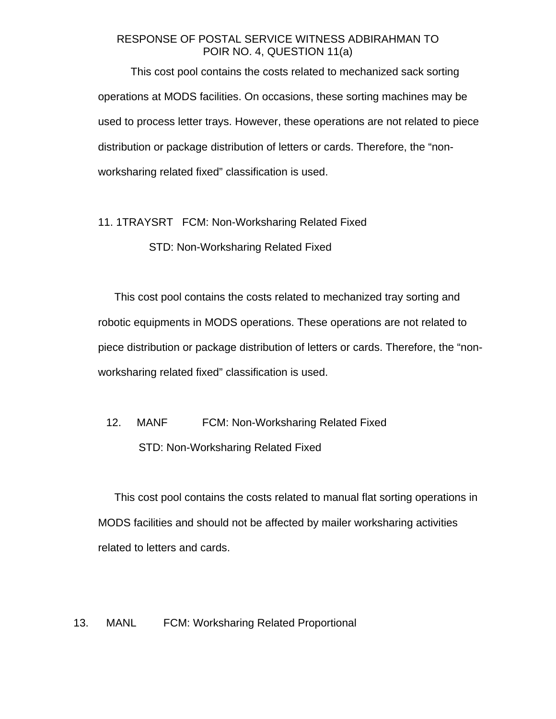This cost pool contains the costs related to mechanized sack sorting operations at MODS facilities. On occasions, these sorting machines may be used to process letter trays. However, these operations are not related to piece distribution or package distribution of letters or cards. Therefore, the "nonworksharing related fixed" classification is used.

#### 11. 1TRAYSRT FCM: Non-Worksharing Related Fixed

#### STD: Non-Worksharing Related Fixed

This cost pool contains the costs related to mechanized tray sorting and robotic equipments in MODS operations. These operations are not related to piece distribution or package distribution of letters or cards. Therefore, the "nonworksharing related fixed" classification is used.

## 12. MANF FCM: Non-Worksharing Related Fixed STD: Non-Worksharing Related Fixed

This cost pool contains the costs related to manual flat sorting operations in MODS facilities and should not be affected by mailer worksharing activities related to letters and cards.

#### 13. MANL FCM: Worksharing Related Proportional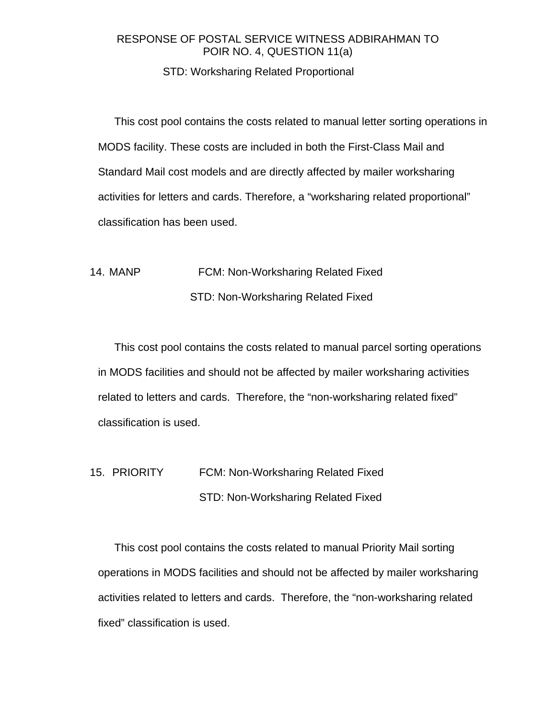## STD: Worksharing Related Proportional

This cost pool contains the costs related to manual letter sorting operations in MODS facility. These costs are included in both the First-Class Mail and Standard Mail cost models and are directly affected by mailer worksharing activities for letters and cards. Therefore, a "worksharing related proportional" classification has been used.

## 14. MANP FCM: Non-Worksharing Related Fixed STD: Non-Worksharing Related Fixed

This cost pool contains the costs related to manual parcel sorting operations in MODS facilities and should not be affected by mailer worksharing activities related to letters and cards. Therefore, the "non-worksharing related fixed" classification is used.

## 15. PRIORITY FCM: Non-Worksharing Related Fixed STD: Non-Worksharing Related Fixed

This cost pool contains the costs related to manual Priority Mail sorting operations in MODS facilities and should not be affected by mailer worksharing activities related to letters and cards. Therefore, the "non-worksharing related fixed" classification is used.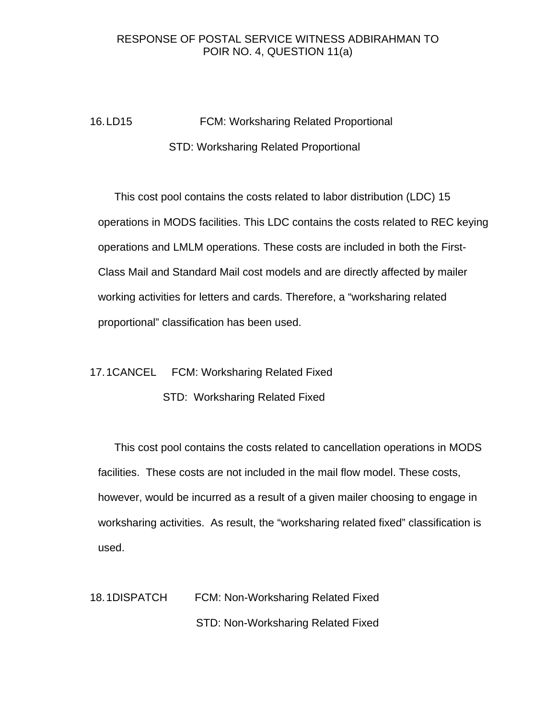16. LD15 FCM: Worksharing Related Proportional STD: Worksharing Related Proportional

This cost pool contains the costs related to labor distribution (LDC) 15 operations in MODS facilities. This LDC contains the costs related to REC keying operations and LMLM operations. These costs are included in both the First-Class Mail and Standard Mail cost models and are directly affected by mailer working activities for letters and cards. Therefore, a "worksharing related proportional" classification has been used.

17. 1CANCEL FCM: Worksharing Related Fixed

STD: Worksharing Related Fixed

This cost pool contains the costs related to cancellation operations in MODS facilities. These costs are not included in the mail flow model. These costs, however, would be incurred as a result of a given mailer choosing to engage in worksharing activities. As result, the "worksharing related fixed" classification is used.

18. 1DISPATCH FCM: Non-Worksharing Related Fixed STD: Non-Worksharing Related Fixed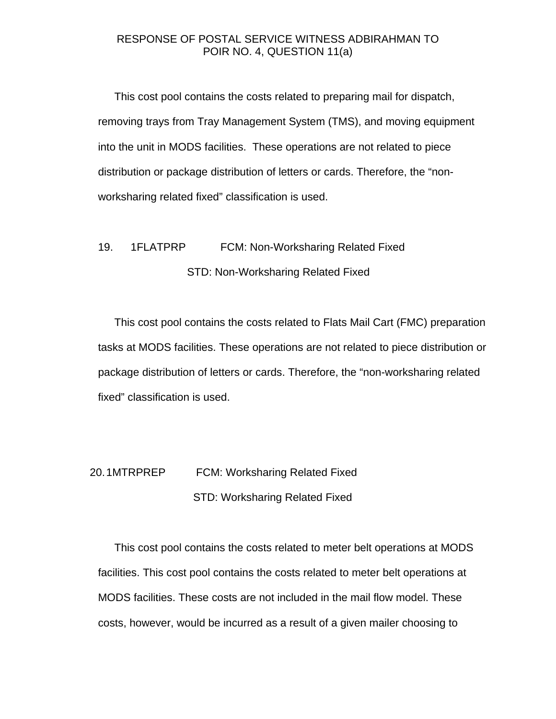This cost pool contains the costs related to preparing mail for dispatch, removing trays from Tray Management System (TMS), and moving equipment into the unit in MODS facilities. These operations are not related to piece distribution or package distribution of letters or cards. Therefore, the "nonworksharing related fixed" classification is used.

## 19. 1FLATPRP FCM: Non-Worksharing Related Fixed STD: Non-Worksharing Related Fixed

This cost pool contains the costs related to Flats Mail Cart (FMC) preparation tasks at MODS facilities. These operations are not related to piece distribution or package distribution of letters or cards. Therefore, the "non-worksharing related fixed" classification is used.

## 20. 1MTRPREP FCM: Worksharing Related Fixed STD: Worksharing Related Fixed

This cost pool contains the costs related to meter belt operations at MODS facilities. This cost pool contains the costs related to meter belt operations at MODS facilities. These costs are not included in the mail flow model. These costs, however, would be incurred as a result of a given mailer choosing to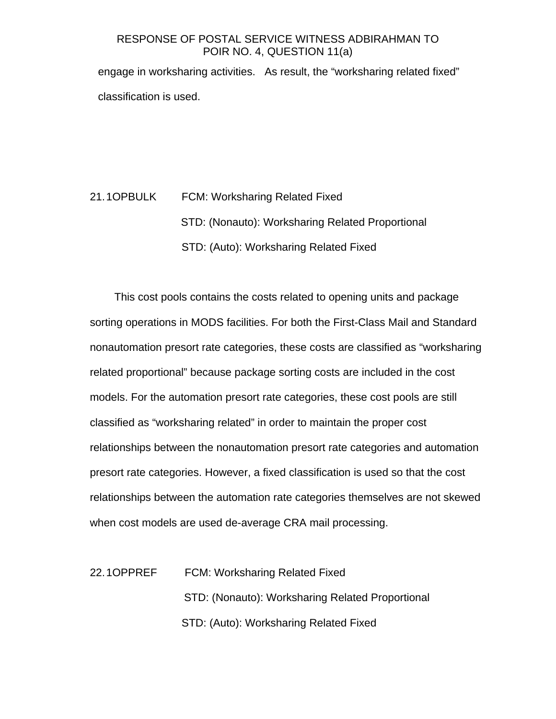engage in worksharing activities. As result, the "worksharing related fixed" classification is used.

# 21. 1OPBULK FCM: Worksharing Related Fixed STD: (Nonauto): Worksharing Related Proportional STD: (Auto): Worksharing Related Fixed

This cost pools contains the costs related to opening units and package sorting operations in MODS facilities. For both the First-Class Mail and Standard nonautomation presort rate categories, these costs are classified as "worksharing related proportional" because package sorting costs are included in the cost models. For the automation presort rate categories, these cost pools are still classified as "worksharing related" in order to maintain the proper cost relationships between the nonautomation presort rate categories and automation presort rate categories. However, a fixed classification is used so that the cost relationships between the automation rate categories themselves are not skewed when cost models are used de-average CRA mail processing.

| 22.10PPREF | <b>FCM: Worksharing Related Fixed</b>            |
|------------|--------------------------------------------------|
|            | STD: (Nonauto): Worksharing Related Proportional |
|            | STD: (Auto): Worksharing Related Fixed           |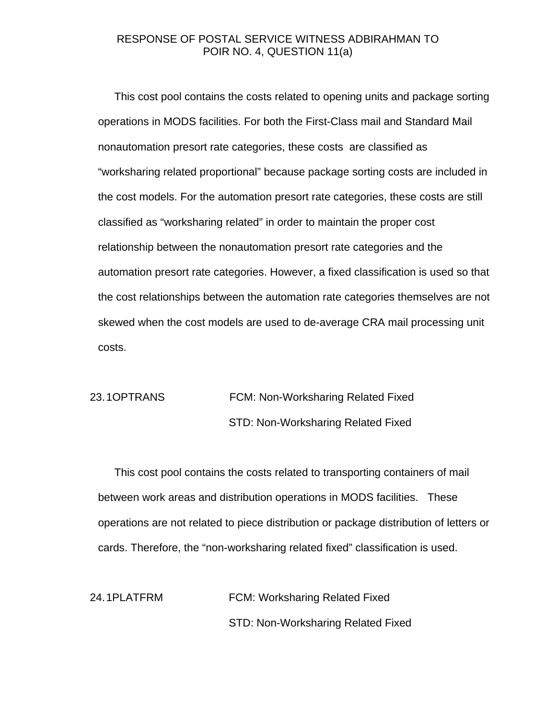This cost pool contains the costs related to opening units and package sorting operations in MODS facilities. For both the First-Class mail and Standard Mail nonautomation presort rate categories, these costs are classified as "worksharing related proportional" because package sorting costs are included in the cost models. For the automation presort rate categories, these costs are still classified as "worksharing related" in order to maintain the proper cost relationship between the nonautomation presort rate categories and the automation presort rate categories. However, a fixed classification is used so that the cost relationships between the automation rate categories themselves are not skewed when the cost models are used to de-average CRA mail processing unit costs.

## 23. 1 OPTRANS FCM: Non-Worksharing Related Fixed STD: Non-Worksharing Related Fixed

This cost pool contains the costs related to transporting containers of mail between work areas and distribution operations in MODS facilities. These operations are not related to piece distribution or package distribution of letters or cards. Therefore, the "non-worksharing related fixed" classification is used.

24. 1PLATFRM FCM: Worksharing Related Fixed STD: Non-Worksharing Related Fixed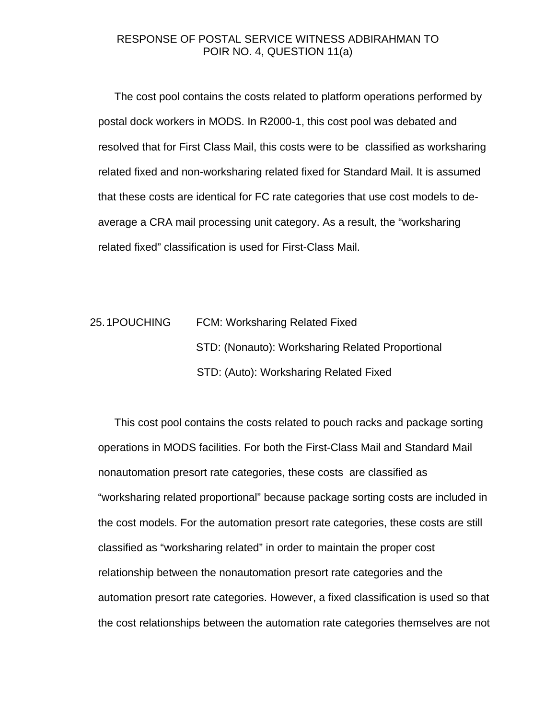The cost pool contains the costs related to platform operations performed by postal dock workers in MODS. In R2000-1, this cost pool was debated and resolved that for First Class Mail, this costs were to be classified as worksharing related fixed and non-worksharing related fixed for Standard Mail. It is assumed that these costs are identical for FC rate categories that use cost models to deaverage a CRA mail processing unit category. As a result, the "worksharing related fixed" classification is used for First-Class Mail.

# 25. 1POUCHING FCM: Worksharing Related Fixed STD: (Nonauto): Worksharing Related Proportional STD: (Auto): Worksharing Related Fixed

This cost pool contains the costs related to pouch racks and package sorting operations in MODS facilities. For both the First-Class Mail and Standard Mail nonautomation presort rate categories, these costs are classified as "worksharing related proportional" because package sorting costs are included in the cost models. For the automation presort rate categories, these costs are still classified as "worksharing related" in order to maintain the proper cost relationship between the nonautomation presort rate categories and the automation presort rate categories. However, a fixed classification is used so that the cost relationships between the automation rate categories themselves are not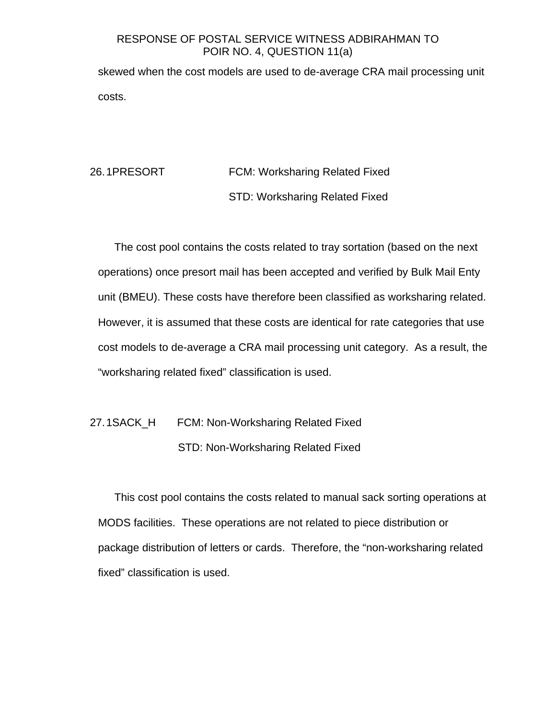skewed when the cost models are used to de-average CRA mail processing unit costs.

## 26. 1PRESORT FCM: Worksharing Related Fixed STD: Worksharing Related Fixed

The cost pool contains the costs related to tray sortation (based on the next operations) once presort mail has been accepted and verified by Bulk Mail Enty unit (BMEU). These costs have therefore been classified as worksharing related. However, it is assumed that these costs are identical for rate categories that use cost models to de-average a CRA mail processing unit category. As a result, the "worksharing related fixed" classification is used.

## 27. 1SACK\_H FCM: Non-Worksharing Related Fixed STD: Non-Worksharing Related Fixed

This cost pool contains the costs related to manual sack sorting operations at MODS facilities. These operations are not related to piece distribution or package distribution of letters or cards. Therefore, the "non-worksharing related fixed" classification is used.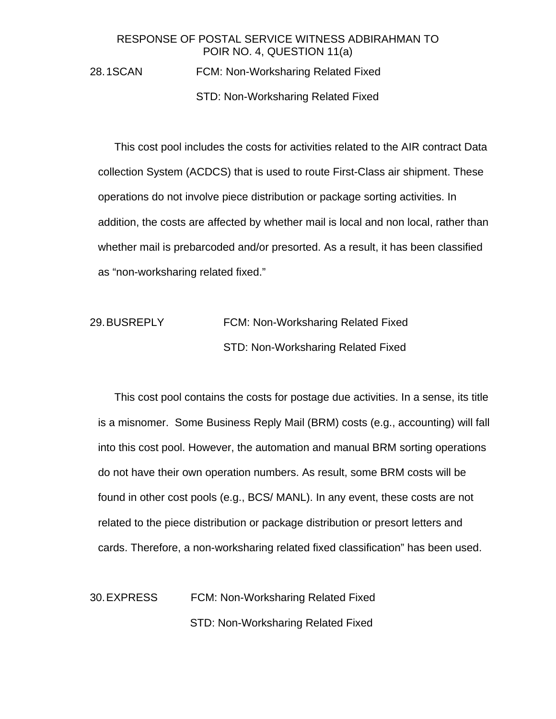28. 1SCAN FCM: Non-Worksharing Related Fixed

STD: Non-Worksharing Related Fixed

This cost pool includes the costs for activities related to the AIR contract Data collection System (ACDCS) that is used to route First-Class air shipment. These operations do not involve piece distribution or package sorting activities. In addition, the costs are affected by whether mail is local and non local, rather than whether mail is prebarcoded and/or presorted. As a result, it has been classified as "non-worksharing related fixed."

29. BUSREPLY FCM: Non-Worksharing Related Fixed STD: Non-Worksharing Related Fixed

This cost pool contains the costs for postage due activities. In a sense, its title is a misnomer. Some Business Reply Mail (BRM) costs (e.g., accounting) will fall into this cost pool. However, the automation and manual BRM sorting operations do not have their own operation numbers. As result, some BRM costs will be found in other cost pools (e.g., BCS/ MANL). In any event, these costs are not related to the piece distribution or package distribution or presort letters and cards. Therefore, a non-worksharing related fixed classification" has been used.

30. EXPRESS FCM: Non-Worksharing Related Fixed STD: Non-Worksharing Related Fixed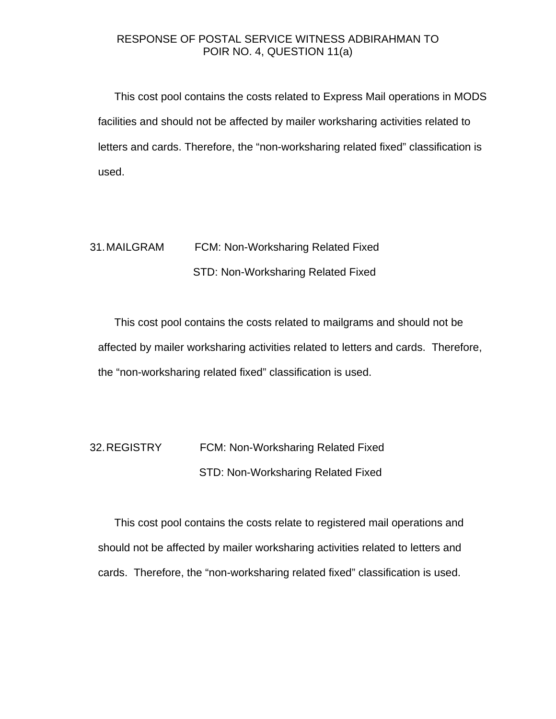This cost pool contains the costs related to Express Mail operations in MODS facilities and should not be affected by mailer worksharing activities related to letters and cards. Therefore, the "non-worksharing related fixed" classification is used.

## 31. MAILGRAM FCM: Non-Worksharing Related Fixed STD: Non-Worksharing Related Fixed

This cost pool contains the costs related to mailgrams and should not be affected by mailer worksharing activities related to letters and cards. Therefore, the "non-worksharing related fixed" classification is used.

32. REGISTRY FCM: Non-Worksharing Related Fixed STD: Non-Worksharing Related Fixed

This cost pool contains the costs relate to registered mail operations and should not be affected by mailer worksharing activities related to letters and cards. Therefore, the "non-worksharing related fixed" classification is used.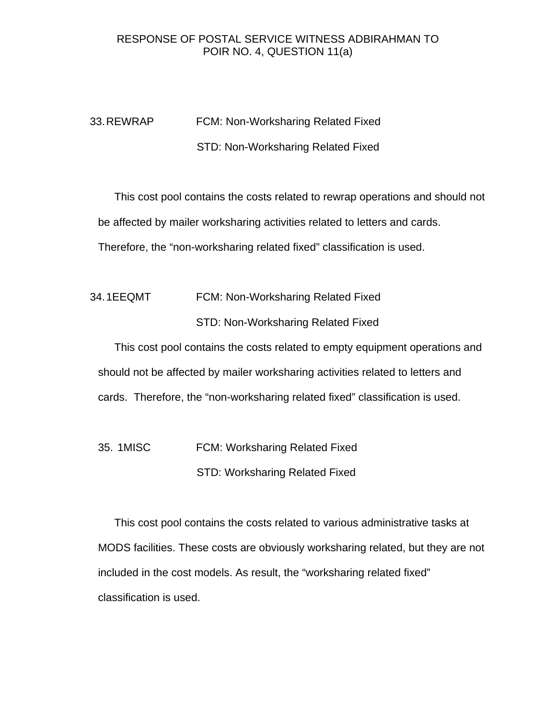## 33. REWRAP FCM: Non-Worksharing Related Fixed STD: Non-Worksharing Related Fixed

This cost pool contains the costs related to rewrap operations and should not be affected by mailer worksharing activities related to letters and cards. Therefore, the "non-worksharing related fixed" classification is used.

## 34. 1EEQMT FCM: Non-Worksharing Related Fixed STD: Non-Worksharing Related Fixed

This cost pool contains the costs related to empty equipment operations and should not be affected by mailer worksharing activities related to letters and cards. Therefore, the "non-worksharing related fixed" classification is used.

35. 1MISC FCM: Worksharing Related Fixed

STD: Worksharing Related Fixed

This cost pool contains the costs related to various administrative tasks at MODS facilities. These costs are obviously worksharing related, but they are not included in the cost models. As result, the "worksharing related fixed" classification is used.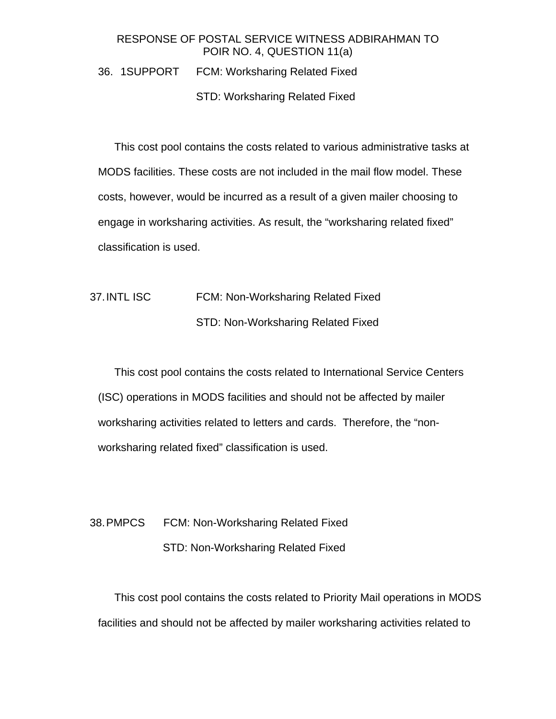## 36. 1SUPPORT FCM: Worksharing Related Fixed

#### STD: Worksharing Related Fixed

This cost pool contains the costs related to various administrative tasks at MODS facilities. These costs are not included in the mail flow model. These costs, however, would be incurred as a result of a given mailer choosing to engage in worksharing activities. As result, the "worksharing related fixed" classification is used.

## 37. INTL ISC FCM: Non-Worksharing Related Fixed STD: Non-Worksharing Related Fixed

This cost pool contains the costs related to International Service Centers (ISC) operations in MODS facilities and should not be affected by mailer worksharing activities related to letters and cards. Therefore, the "nonworksharing related fixed" classification is used.

## 38. PMPCS FCM: Non-Worksharing Related Fixed STD: Non-Worksharing Related Fixed

This cost pool contains the costs related to Priority Mail operations in MODS facilities and should not be affected by mailer worksharing activities related to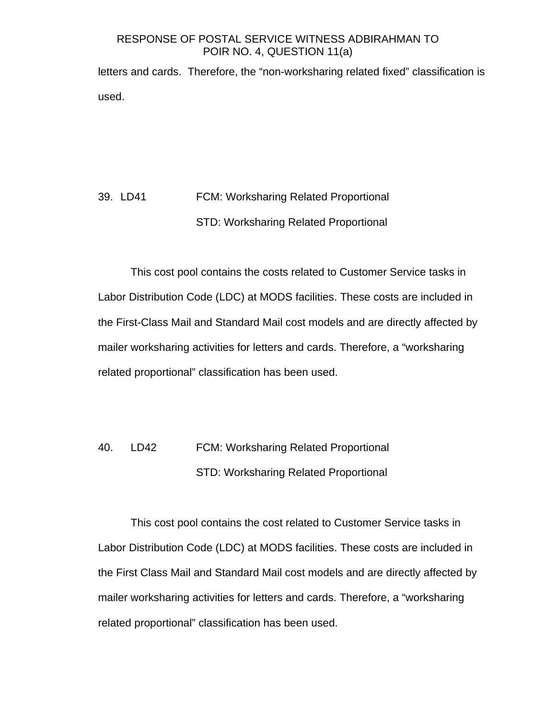letters and cards. Therefore, the "non-worksharing related fixed" classification is used.

## 39. LD41 FCM: Worksharing Related Proportional STD: Worksharing Related Proportional

This cost pool contains the costs related to Customer Service tasks in Labor Distribution Code (LDC) at MODS facilities. These costs are included in the First-Class Mail and Standard Mail cost models and are directly affected by mailer worksharing activities for letters and cards. Therefore, a "worksharing related proportional" classification has been used.

## 40. LD42 FCM: Worksharing Related Proportional STD: Worksharing Related Proportional

This cost pool contains the cost related to Customer Service tasks in Labor Distribution Code (LDC) at MODS facilities. These costs are included in the First Class Mail and Standard Mail cost models and are directly affected by mailer worksharing activities for letters and cards. Therefore, a "worksharing related proportional" classification has been used.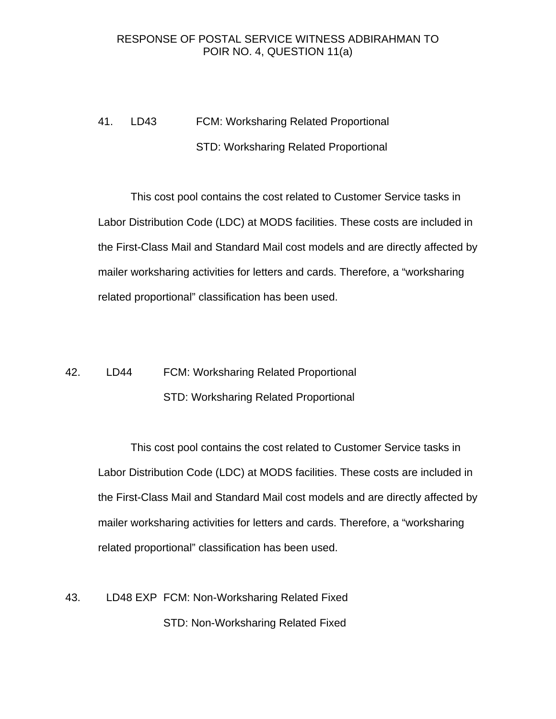## 41. LD43 FCM: Worksharing Related Proportional STD: Worksharing Related Proportional

This cost pool contains the cost related to Customer Service tasks in Labor Distribution Code (LDC) at MODS facilities. These costs are included in the First-Class Mail and Standard Mail cost models and are directly affected by mailer worksharing activities for letters and cards. Therefore, a "worksharing related proportional" classification has been used.

## 42. LD44 FCM: Worksharing Related Proportional STD: Worksharing Related Proportional

This cost pool contains the cost related to Customer Service tasks in Labor Distribution Code (LDC) at MODS facilities. These costs are included in the First-Class Mail and Standard Mail cost models and are directly affected by mailer worksharing activities for letters and cards. Therefore, a "worksharing related proportional" classification has been used.

## 43. LD48 EXP FCM: Non-Worksharing Related Fixed STD: Non-Worksharing Related Fixed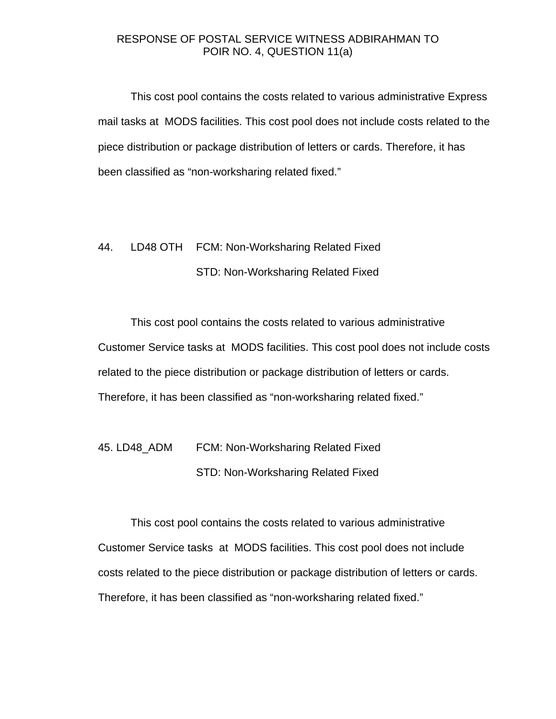This cost pool contains the costs related to various administrative Express mail tasks at MODS facilities. This cost pool does not include costs related to the piece distribution or package distribution of letters or cards. Therefore, it has been classified as "non-worksharing related fixed."

## 44. LD48 OTH FCM: Non-Worksharing Related Fixed STD: Non-Worksharing Related Fixed

This cost pool contains the costs related to various administrative Customer Service tasks at MODS facilities. This cost pool does not include costs related to the piece distribution or package distribution of letters or cards. Therefore, it has been classified as "non-worksharing related fixed."

45. LD48\_ADM FCM: Non-Worksharing Related Fixed STD: Non-Worksharing Related Fixed

This cost pool contains the costs related to various administrative Customer Service tasks at MODS facilities. This cost pool does not include costs related to the piece distribution or package distribution of letters or cards. Therefore, it has been classified as "non-worksharing related fixed."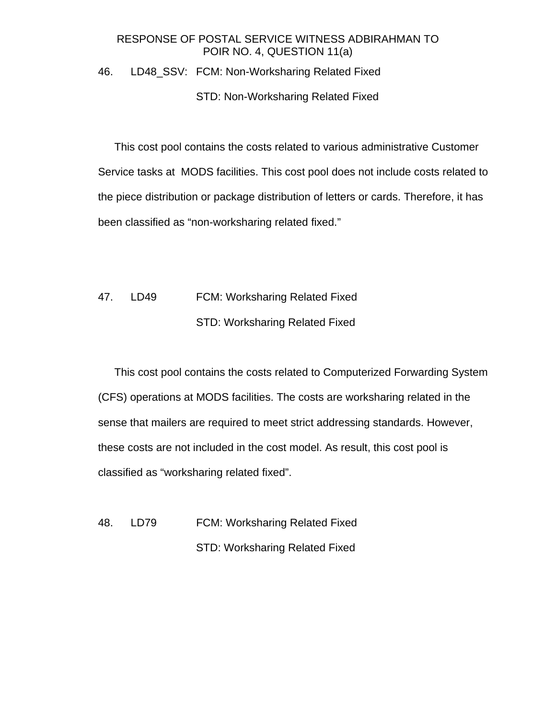## 46. LD48\_SSV: FCM: Non-Worksharing Related Fixed

### STD: Non-Worksharing Related Fixed

This cost pool contains the costs related to various administrative Customer Service tasks at MODS facilities. This cost pool does not include costs related to the piece distribution or package distribution of letters or cards. Therefore, it has been classified as "non-worksharing related fixed."

## 47. LD49 FCM: Worksharing Related Fixed STD: Worksharing Related Fixed

This cost pool contains the costs related to Computerized Forwarding System (CFS) operations at MODS facilities. The costs are worksharing related in the sense that mailers are required to meet strict addressing standards. However, these costs are not included in the cost model. As result, this cost pool is classified as "worksharing related fixed".

48. LD79 FCM: Worksharing Related Fixed STD: Worksharing Related Fixed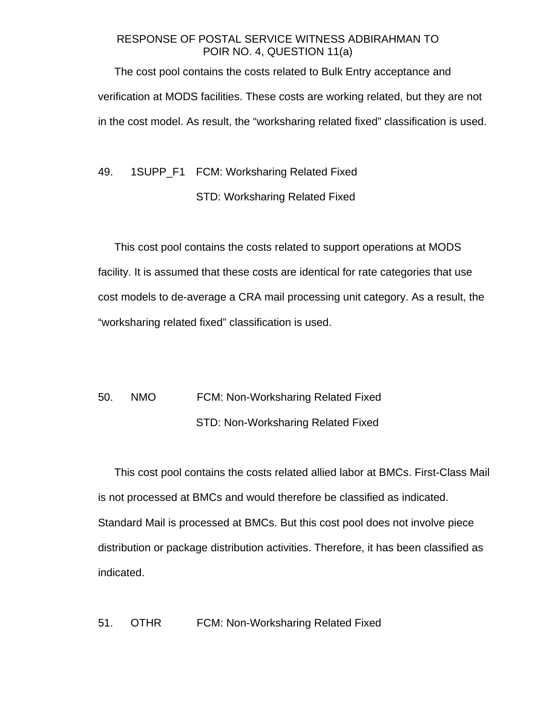The cost pool contains the costs related to Bulk Entry acceptance and verification at MODS facilities. These costs are working related, but they are not in the cost model. As result, the "worksharing related fixed" classification is used.

## 49. 1SUPP\_F1 FCM: Worksharing Related Fixed STD: Worksharing Related Fixed

This cost pool contains the costs related to support operations at MODS facility. It is assumed that these costs are identical for rate categories that use cost models to de-average a CRA mail processing unit category. As a result, the "worksharing related fixed" classification is used.

## 50. NMO FCM: Non-Worksharing Related Fixed STD: Non-Worksharing Related Fixed

This cost pool contains the costs related allied labor at BMCs. First-Class Mail is not processed at BMCs and would therefore be classified as indicated. Standard Mail is processed at BMCs. But this cost pool does not involve piece distribution or package distribution activities. Therefore, it has been classified as indicated.

51. OTHR FCM: Non-Worksharing Related Fixed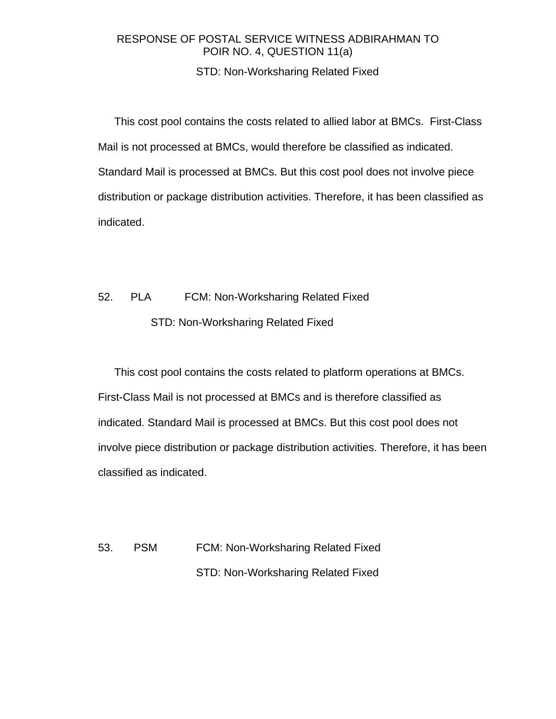## STD: Non-Worksharing Related Fixed

This cost pool contains the costs related to allied labor at BMCs. First-Class Mail is not processed at BMCs, would therefore be classified as indicated. Standard Mail is processed at BMCs. But this cost pool does not involve piece distribution or package distribution activities. Therefore, it has been classified as indicated.

## 52. PLA FCM: Non-Worksharing Related Fixed STD: Non-Worksharing Related Fixed

This cost pool contains the costs related to platform operations at BMCs. First-Class Mail is not processed at BMCs and is therefore classified as indicated. Standard Mail is processed at BMCs. But this cost pool does not involve piece distribution or package distribution activities. Therefore, it has been classified as indicated.

53. PSM FCM: Non-Worksharing Related Fixed STD: Non-Worksharing Related Fixed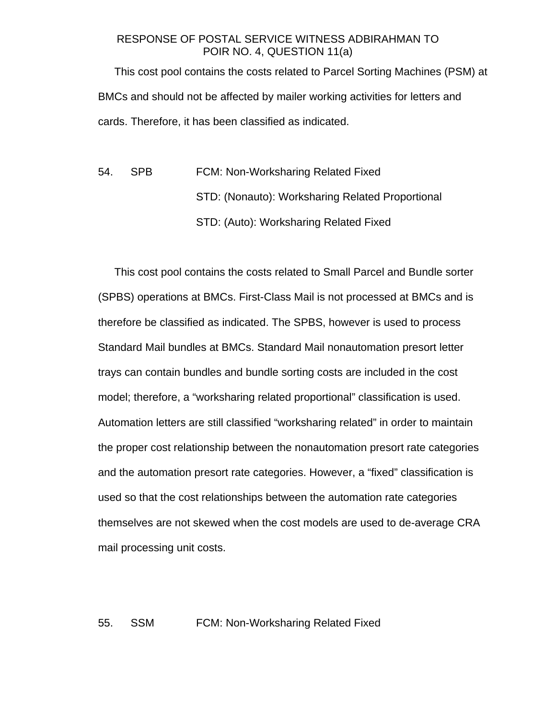This cost pool contains the costs related to Parcel Sorting Machines (PSM) at BMCs and should not be affected by mailer working activities for letters and cards. Therefore, it has been classified as indicated.

54. SPB FCM: Non-Worksharing Related Fixed STD: (Nonauto): Worksharing Related Proportional STD: (Auto): Worksharing Related Fixed

This cost pool contains the costs related to Small Parcel and Bundle sorter (SPBS) operations at BMCs. First-Class Mail is not processed at BMCs and is therefore be classified as indicated. The SPBS, however is used to process Standard Mail bundles at BMCs. Standard Mail nonautomation presort letter trays can contain bundles and bundle sorting costs are included in the cost model; therefore, a "worksharing related proportional" classification is used. Automation letters are still classified "worksharing related" in order to maintain the proper cost relationship between the nonautomation presort rate categories and the automation presort rate categories. However, a "fixed" classification is used so that the cost relationships between the automation rate categories themselves are not skewed when the cost models are used to de-average CRA mail processing unit costs.

#### 55. SSM FCM: Non-Worksharing Related Fixed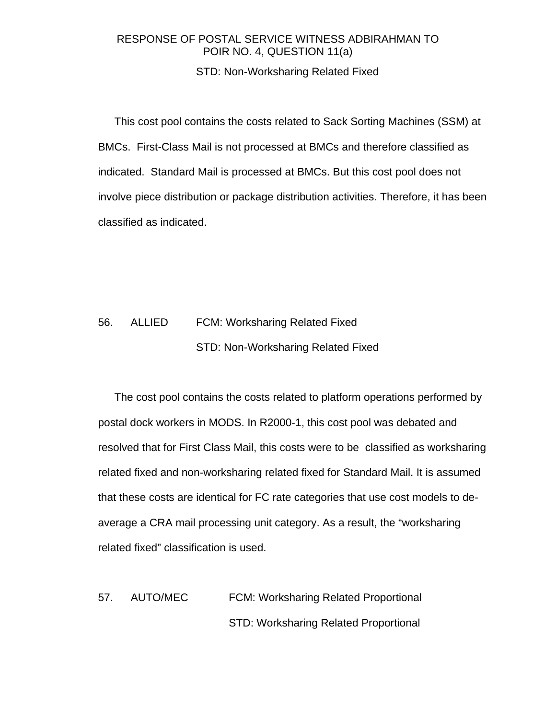### STD: Non-Worksharing Related Fixed

This cost pool contains the costs related to Sack Sorting Machines (SSM) at BMCs. First-Class Mail is not processed at BMCs and therefore classified as indicated. Standard Mail is processed at BMCs. But this cost pool does not involve piece distribution or package distribution activities. Therefore, it has been classified as indicated.

## 56. ALLIED FCM: Worksharing Related Fixed STD: Non-Worksharing Related Fixed

The cost pool contains the costs related to platform operations performed by postal dock workers in MODS. In R2000-1, this cost pool was debated and resolved that for First Class Mail, this costs were to be classified as worksharing related fixed and non-worksharing related fixed for Standard Mail. It is assumed that these costs are identical for FC rate categories that use cost models to deaverage a CRA mail processing unit category. As a result, the "worksharing related fixed" classification is used.

57. AUTO/MEC FCM: Worksharing Related Proportional STD: Worksharing Related Proportional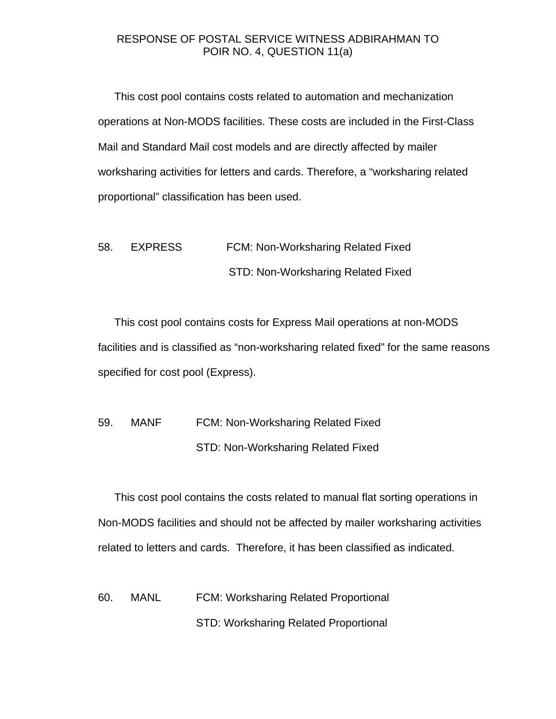This cost pool contains costs related to automation and mechanization operations at Non-MODS facilities. These costs are included in the First-Class Mail and Standard Mail cost models and are directly affected by mailer worksharing activities for letters and cards. Therefore, a "worksharing related proportional" classification has been used.

58. EXPRESS FCM: Non-Worksharing Related Fixed STD: Non-Worksharing Related Fixed

This cost pool contains costs for Express Mail operations at non-MODS facilities and is classified as "non-worksharing related fixed" for the same reasons specified for cost pool (Express).

## 59. MANF FCM: Non-Worksharing Related Fixed STD: Non-Worksharing Related Fixed

This cost pool contains the costs related to manual flat sorting operations in Non-MODS facilities and should not be affected by mailer worksharing activities related to letters and cards. Therefore, it has been classified as indicated.

60. MANL FCM: Worksharing Related Proportional STD: Worksharing Related Proportional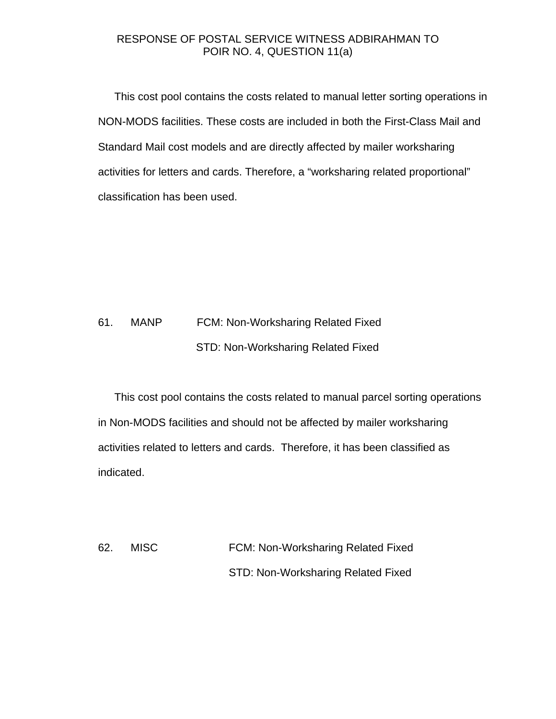This cost pool contains the costs related to manual letter sorting operations in NON-MODS facilities. These costs are included in both the First-Class Mail and Standard Mail cost models and are directly affected by mailer worksharing activities for letters and cards. Therefore, a "worksharing related proportional" classification has been used.

## 61. MANP FCM: Non-Worksharing Related Fixed STD: Non-Worksharing Related Fixed

This cost pool contains the costs related to manual parcel sorting operations in Non-MODS facilities and should not be affected by mailer worksharing activities related to letters and cards. Therefore, it has been classified as indicated.

62. MISC FCM: Non-Worksharing Related Fixed STD: Non-Worksharing Related Fixed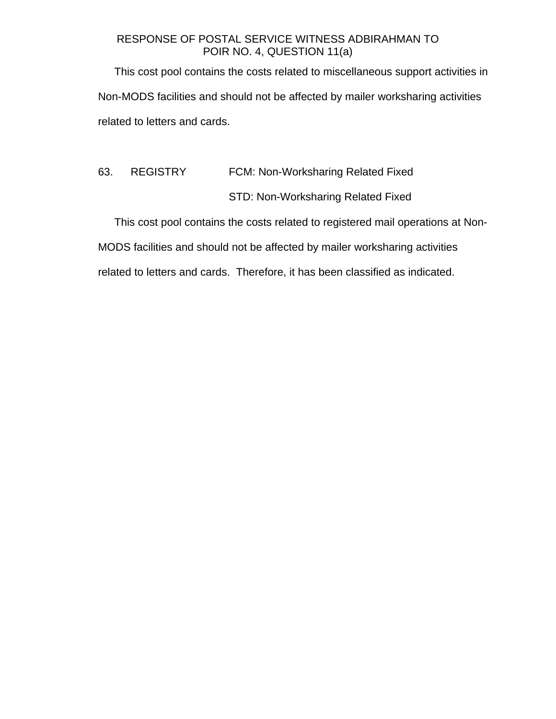This cost pool contains the costs related to miscellaneous support activities in Non-MODS facilities and should not be affected by mailer worksharing activities related to letters and cards.

63. REGISTRY FCM: Non-Worksharing Related Fixed STD: Non-Worksharing Related Fixed

This cost pool contains the costs related to registered mail operations at Non-

MODS facilities and should not be affected by mailer worksharing activities

related to letters and cards. Therefore, it has been classified as indicated.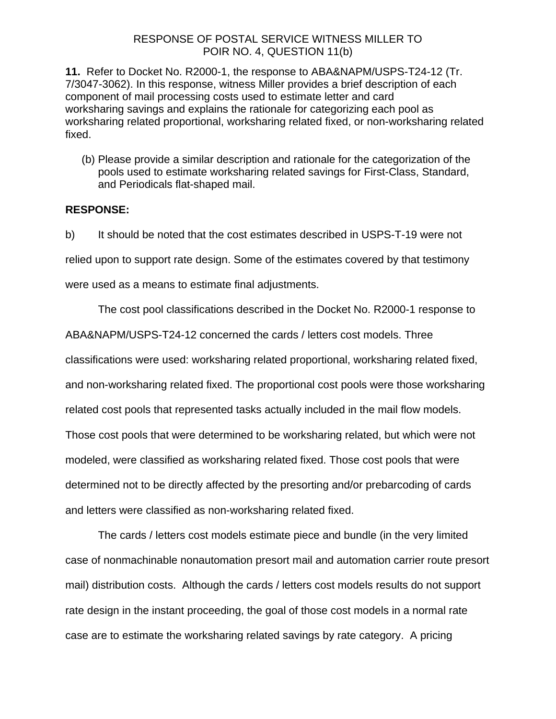**11.** Refer to Docket No. R2000-1, the response to ABA&NAPM/USPS-T24-12 (Tr. 7/3047-3062). In this response, witness Miller provides a brief description of each component of mail processing costs used to estimate letter and card worksharing savings and explains the rationale for categorizing each pool as worksharing related proportional, worksharing related fixed, or non-worksharing related fixed.

(b) Please provide a similar description and rationale for the categorization of the pools used to estimate worksharing related savings for First-Class, Standard, and Periodicals flat-shaped mail.

## **RESPONSE:**

b) It should be noted that the cost estimates described in USPS-T-19 were not relied upon to support rate design. Some of the estimates covered by that testimony were used as a means to estimate final adjustments.

The cost pool classifications described in the Docket No. R2000-1 response to

ABA&NAPM/USPS-T24-12 concerned the cards / letters cost models. Three

classifications were used: worksharing related proportional, worksharing related fixed,

and non-worksharing related fixed. The proportional cost pools were those worksharing

related cost pools that represented tasks actually included in the mail flow models.

Those cost pools that were determined to be worksharing related, but which were not

modeled, were classified as worksharing related fixed. Those cost pools that were

determined not to be directly affected by the presorting and/or prebarcoding of cards

and letters were classified as non-worksharing related fixed.

The cards / letters cost models estimate piece and bundle (in the very limited case of nonmachinable nonautomation presort mail and automation carrier route presort mail) distribution costs. Although the cards / letters cost models results do not support rate design in the instant proceeding, the goal of those cost models in a normal rate case are to estimate the worksharing related savings by rate category. A pricing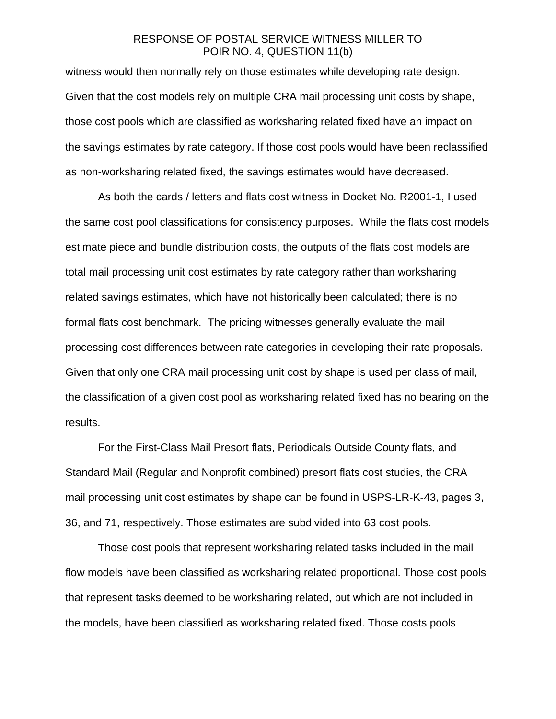witness would then normally rely on those estimates while developing rate design. Given that the cost models rely on multiple CRA mail processing unit costs by shape, those cost pools which are classified as worksharing related fixed have an impact on the savings estimates by rate category. If those cost pools would have been reclassified as non-worksharing related fixed, the savings estimates would have decreased.

As both the cards / letters and flats cost witness in Docket No. R2001-1, I used the same cost pool classifications for consistency purposes. While the flats cost models estimate piece and bundle distribution costs, the outputs of the flats cost models are total mail processing unit cost estimates by rate category rather than worksharing related savings estimates, which have not historically been calculated; there is no formal flats cost benchmark. The pricing witnesses generally evaluate the mail processing cost differences between rate categories in developing their rate proposals. Given that only one CRA mail processing unit cost by shape is used per class of mail, the classification of a given cost pool as worksharing related fixed has no bearing on the results.

For the First-Class Mail Presort flats, Periodicals Outside County flats, and Standard Mail (Regular and Nonprofit combined) presort flats cost studies, the CRA mail processing unit cost estimates by shape can be found in USPS-LR-K-43, pages 3, 36, and 71, respectively. Those estimates are subdivided into 63 cost pools.

Those cost pools that represent worksharing related tasks included in the mail flow models have been classified as worksharing related proportional. Those cost pools that represent tasks deemed to be worksharing related, but which are not included in the models, have been classified as worksharing related fixed. Those costs pools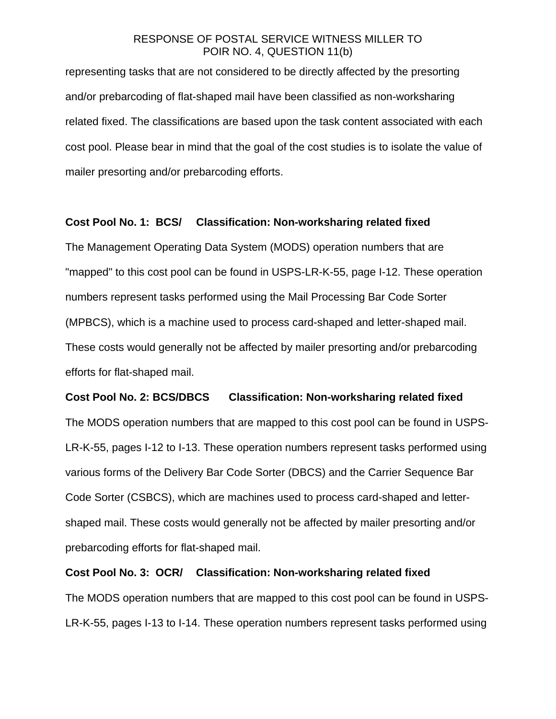representing tasks that are not considered to be directly affected by the presorting and/or prebarcoding of flat-shaped mail have been classified as non-worksharing related fixed. The classifications are based upon the task content associated with each cost pool. Please bear in mind that the goal of the cost studies is to isolate the value of mailer presorting and/or prebarcoding efforts.

### **Cost Pool No. 1: BCS/ Classification: Non-worksharing related fixed**

The Management Operating Data System (MODS) operation numbers that are "mapped" to this cost pool can be found in USPS-LR-K-55, page I-12. These operation numbers represent tasks performed using the Mail Processing Bar Code Sorter (MPBCS), which is a machine used to process card-shaped and letter-shaped mail. These costs would generally not be affected by mailer presorting and/or prebarcoding efforts for flat-shaped mail.

#### **Cost Pool No. 2: BCS/DBCS Classification: Non-worksharing related fixed**

The MODS operation numbers that are mapped to this cost pool can be found in USPS-LR-K-55, pages I-12 to I-13. These operation numbers represent tasks performed using various forms of the Delivery Bar Code Sorter (DBCS) and the Carrier Sequence Bar Code Sorter (CSBCS), which are machines used to process card-shaped and lettershaped mail. These costs would generally not be affected by mailer presorting and/or prebarcoding efforts for flat-shaped mail.

#### **Cost Pool No. 3: OCR/ Classification: Non-worksharing related fixed**

The MODS operation numbers that are mapped to this cost pool can be found in USPS-LR-K-55, pages I-13 to I-14. These operation numbers represent tasks performed using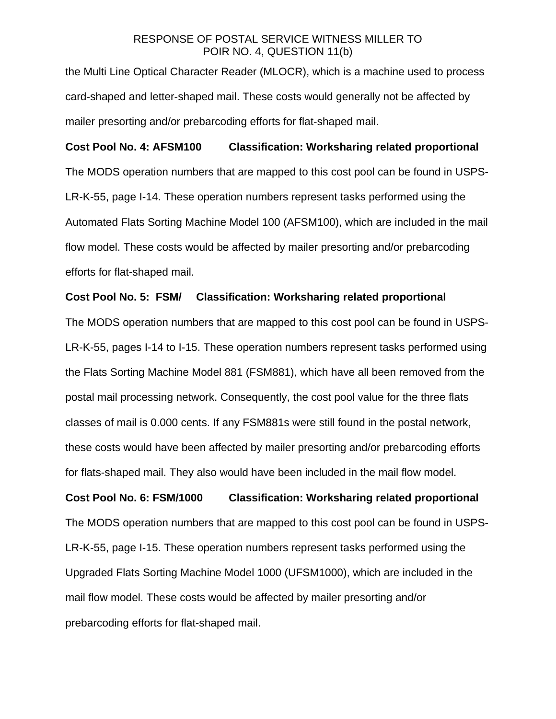the Multi Line Optical Character Reader (MLOCR), which is a machine used to process card-shaped and letter-shaped mail. These costs would generally not be affected by mailer presorting and/or prebarcoding efforts for flat-shaped mail.

## **Cost Pool No. 4: AFSM100 Classification: Worksharing related proportional**

The MODS operation numbers that are mapped to this cost pool can be found in USPS-LR-K-55, page I-14. These operation numbers represent tasks performed using the Automated Flats Sorting Machine Model 100 (AFSM100), which are included in the mail flow model. These costs would be affected by mailer presorting and/or prebarcoding efforts for flat-shaped mail.

#### **Cost Pool No. 5: FSM/ Classification: Worksharing related proportional**

The MODS operation numbers that are mapped to this cost pool can be found in USPS-LR-K-55, pages I-14 to I-15. These operation numbers represent tasks performed using the Flats Sorting Machine Model 881 (FSM881), which have all been removed from the postal mail processing network. Consequently, the cost pool value for the three flats classes of mail is 0.000 cents. If any FSM881s were still found in the postal network, these costs would have been affected by mailer presorting and/or prebarcoding efforts for flats-shaped mail. They also would have been included in the mail flow model.

# **Cost Pool No. 6: FSM/1000 Classification: Worksharing related proportional**  The MODS operation numbers that are mapped to this cost pool can be found in USPS-LR-K-55, page I-15. These operation numbers represent tasks performed using the Upgraded Flats Sorting Machine Model 1000 (UFSM1000), which are included in the mail flow model. These costs would be affected by mailer presorting and/or prebarcoding efforts for flat-shaped mail.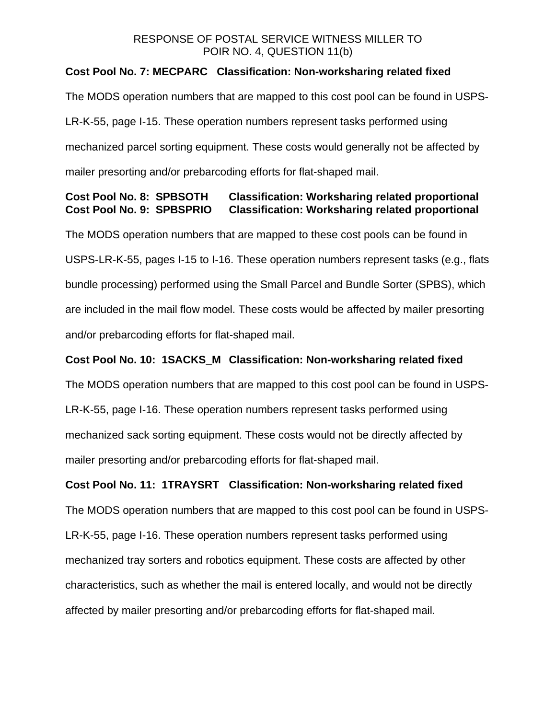## **Cost Pool No. 7: MECPARC Classification: Non-worksharing related fixed**

The MODS operation numbers that are mapped to this cost pool can be found in USPS-LR-K-55, page I-15. These operation numbers represent tasks performed using mechanized parcel sorting equipment. These costs would generally not be affected by mailer presorting and/or prebarcoding efforts for flat-shaped mail.

## **Cost Pool No. 8: SPBSOTH Classification: Worksharing related proportional Cost Pool No. 9: SPBSPRIO Classification: Worksharing related proportional**

The MODS operation numbers that are mapped to these cost pools can be found in USPS-LR-K-55, pages I-15 to I-16. These operation numbers represent tasks (e.g., flats bundle processing) performed using the Small Parcel and Bundle Sorter (SPBS), which are included in the mail flow model. These costs would be affected by mailer presorting and/or prebarcoding efforts for flat-shaped mail.

### **Cost Pool No. 10: 1SACKS\_M Classification: Non-worksharing related fixed**

The MODS operation numbers that are mapped to this cost pool can be found in USPS-LR-K-55, page I-16. These operation numbers represent tasks performed using mechanized sack sorting equipment. These costs would not be directly affected by mailer presorting and/or prebarcoding efforts for flat-shaped mail.

### **Cost Pool No. 11: 1TRAYSRT Classification: Non-worksharing related fixed**

The MODS operation numbers that are mapped to this cost pool can be found in USPS-LR-K-55, page I-16. These operation numbers represent tasks performed using mechanized tray sorters and robotics equipment. These costs are affected by other characteristics, such as whether the mail is entered locally, and would not be directly affected by mailer presorting and/or prebarcoding efforts for flat-shaped mail.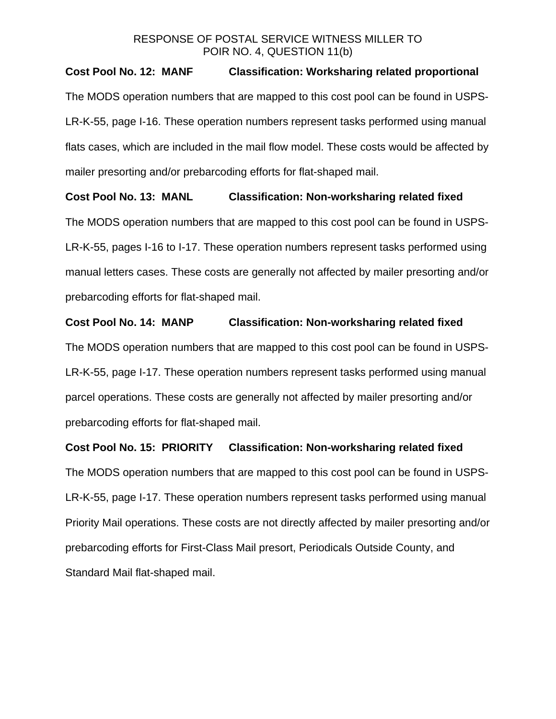## **Cost Pool No. 12: MANF Classification: Worksharing related proportional**

The MODS operation numbers that are mapped to this cost pool can be found in USPS-LR-K-55, page I-16. These operation numbers represent tasks performed using manual flats cases, which are included in the mail flow model. These costs would be affected by mailer presorting and/or prebarcoding efforts for flat-shaped mail.

## **Cost Pool No. 13: MANL Classification: Non-worksharing related fixed**

The MODS operation numbers that are mapped to this cost pool can be found in USPS-LR-K-55, pages I-16 to I-17. These operation numbers represent tasks performed using manual letters cases. These costs are generally not affected by mailer presorting and/or prebarcoding efforts for flat-shaped mail.

## **Cost Pool No. 14: MANP Classification: Non-worksharing related fixed**

The MODS operation numbers that are mapped to this cost pool can be found in USPS-LR-K-55, page I-17. These operation numbers represent tasks performed using manual parcel operations. These costs are generally not affected by mailer presorting and/or prebarcoding efforts for flat-shaped mail.

## **Cost Pool No. 15: PRIORITY Classification: Non-worksharing related fixed**

The MODS operation numbers that are mapped to this cost pool can be found in USPS-LR-K-55, page I-17. These operation numbers represent tasks performed using manual Priority Mail operations. These costs are not directly affected by mailer presorting and/or prebarcoding efforts for First-Class Mail presort, Periodicals Outside County, and Standard Mail flat-shaped mail.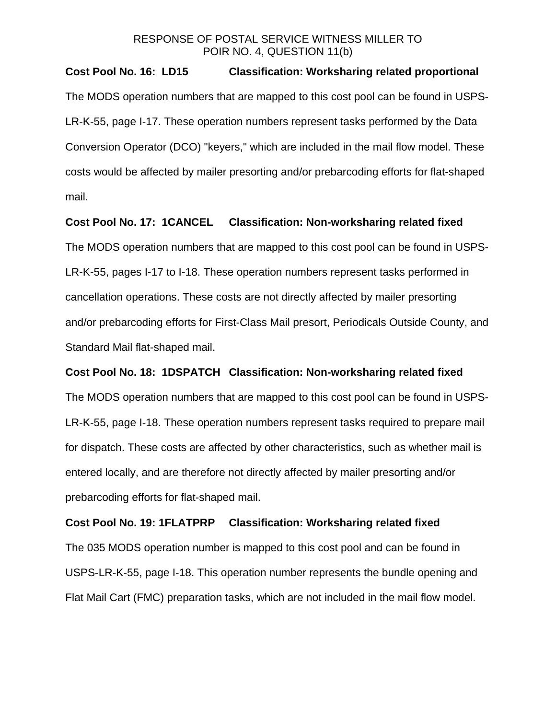#### **Cost Pool No. 16: LD15 Classification: Worksharing related proportional**

The MODS operation numbers that are mapped to this cost pool can be found in USPS-LR-K-55, page I-17. These operation numbers represent tasks performed by the Data Conversion Operator (DCO) "keyers," which are included in the mail flow model. These costs would be affected by mailer presorting and/or prebarcoding efforts for flat-shaped mail.

#### **Cost Pool No. 17: 1CANCEL Classification: Non-worksharing related fixed**

The MODS operation numbers that are mapped to this cost pool can be found in USPS-LR-K-55, pages I-17 to I-18. These operation numbers represent tasks performed in cancellation operations. These costs are not directly affected by mailer presorting and/or prebarcoding efforts for First-Class Mail presort, Periodicals Outside County, and Standard Mail flat-shaped mail.

#### **Cost Pool No. 18: 1DSPATCH Classification: Non-worksharing related fixed**

The MODS operation numbers that are mapped to this cost pool can be found in USPS-LR-K-55, page I-18. These operation numbers represent tasks required to prepare mail for dispatch. These costs are affected by other characteristics, such as whether mail is entered locally, and are therefore not directly affected by mailer presorting and/or prebarcoding efforts for flat-shaped mail.

#### **Cost Pool No. 19: 1FLATPRP Classification: Worksharing related fixed**

The 035 MODS operation number is mapped to this cost pool and can be found in USPS-LR-K-55, page I-18. This operation number represents the bundle opening and Flat Mail Cart (FMC) preparation tasks, which are not included in the mail flow model.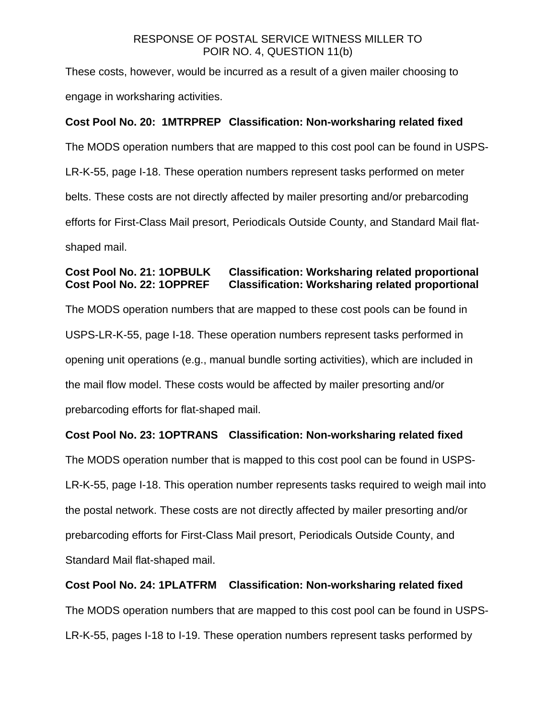These costs, however, would be incurred as a result of a given mailer choosing to engage in worksharing activities.

## **Cost Pool No. 20: 1MTRPREP Classification: Non-worksharing related fixed**

The MODS operation numbers that are mapped to this cost pool can be found in USPS-LR-K-55, page I-18. These operation numbers represent tasks performed on meter belts. These costs are not directly affected by mailer presorting and/or prebarcoding efforts for First-Class Mail presort, Periodicals Outside County, and Standard Mail flatshaped mail.

# **Cost Pool No. 21: 1OPBULK Classification: Worksharing related proportional Cost Pool No. 22: 1OPPREF Classification: Worksharing related proportional**

The MODS operation numbers that are mapped to these cost pools can be found in USPS-LR-K-55, page I-18. These operation numbers represent tasks performed in opening unit operations (e.g., manual bundle sorting activities), which are included in the mail flow model. These costs would be affected by mailer presorting and/or prebarcoding efforts for flat-shaped mail.

## **Cost Pool No. 23: 1OPTRANS Classification: Non-worksharing related fixed**

The MODS operation number that is mapped to this cost pool can be found in USPS-LR-K-55, page I-18. This operation number represents tasks required to weigh mail into the postal network. These costs are not directly affected by mailer presorting and/or prebarcoding efforts for First-Class Mail presort, Periodicals Outside County, and Standard Mail flat-shaped mail.

## **Cost Pool No. 24: 1PLATFRM Classification: Non-worksharing related fixed**

The MODS operation numbers that are mapped to this cost pool can be found in USPS-LR-K-55, pages I-18 to I-19. These operation numbers represent tasks performed by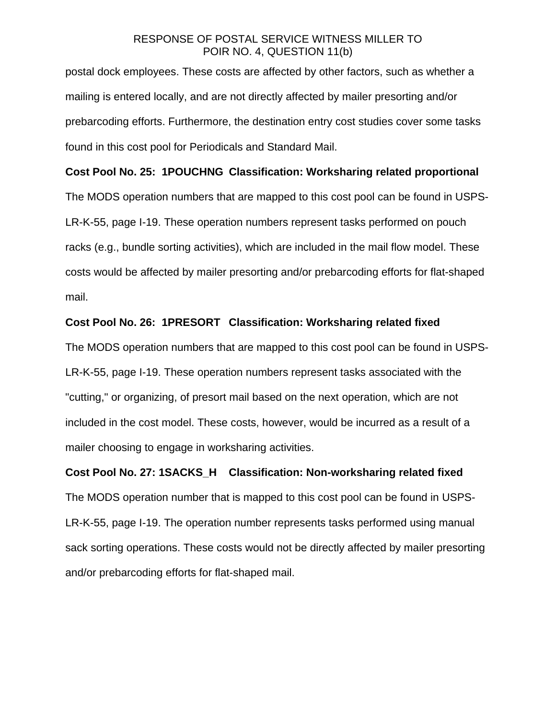postal dock employees. These costs are affected by other factors, such as whether a mailing is entered locally, and are not directly affected by mailer presorting and/or prebarcoding efforts. Furthermore, the destination entry cost studies cover some tasks found in this cost pool for Periodicals and Standard Mail.

#### **Cost Pool No. 25: 1POUCHNG Classification: Worksharing related proportional**

The MODS operation numbers that are mapped to this cost pool can be found in USPS-LR-K-55, page I-19. These operation numbers represent tasks performed on pouch racks (e.g., bundle sorting activities), which are included in the mail flow model. These costs would be affected by mailer presorting and/or prebarcoding efforts for flat-shaped mail.

#### **Cost Pool No. 26: 1PRESORT Classification: Worksharing related fixed**

The MODS operation numbers that are mapped to this cost pool can be found in USPS-LR-K-55, page I-19. These operation numbers represent tasks associated with the "cutting," or organizing, of presort mail based on the next operation, which are not included in the cost model. These costs, however, would be incurred as a result of a mailer choosing to engage in worksharing activities.

#### **Cost Pool No. 27: 1SACKS\_H Classification: Non-worksharing related fixed**

The MODS operation number that is mapped to this cost pool can be found in USPS-LR-K-55, page I-19. The operation number represents tasks performed using manual sack sorting operations. These costs would not be directly affected by mailer presorting and/or prebarcoding efforts for flat-shaped mail.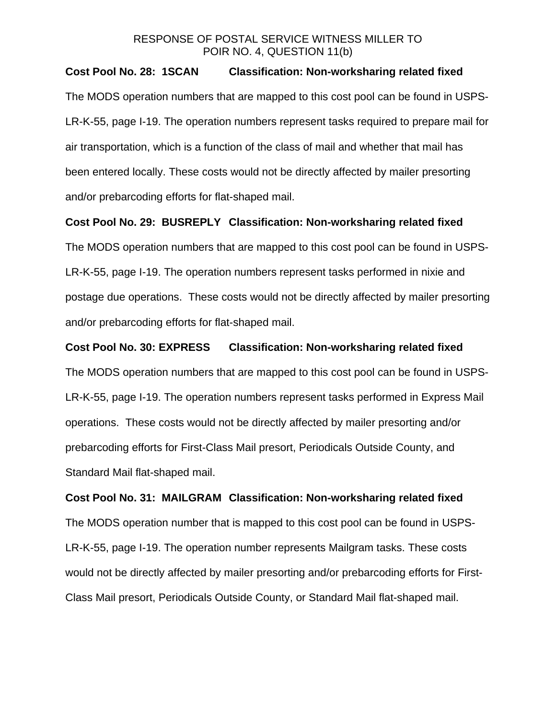#### **Cost Pool No. 28: 1SCAN Classification: Non-worksharing related fixed**

The MODS operation numbers that are mapped to this cost pool can be found in USPS-LR-K-55, page I-19. The operation numbers represent tasks required to prepare mail for air transportation, which is a function of the class of mail and whether that mail has been entered locally. These costs would not be directly affected by mailer presorting and/or prebarcoding efforts for flat-shaped mail.

#### **Cost Pool No. 29: BUSREPLY Classification: Non-worksharing related fixed**

The MODS operation numbers that are mapped to this cost pool can be found in USPS-LR-K-55, page I-19. The operation numbers represent tasks performed in nixie and postage due operations. These costs would not be directly affected by mailer presorting and/or prebarcoding efforts for flat-shaped mail.

#### **Cost Pool No. 30: EXPRESS Classification: Non-worksharing related fixed**

The MODS operation numbers that are mapped to this cost pool can be found in USPS-LR-K-55, page I-19. The operation numbers represent tasks performed in Express Mail operations. These costs would not be directly affected by mailer presorting and/or prebarcoding efforts for First-Class Mail presort, Periodicals Outside County, and Standard Mail flat-shaped mail.

# **Cost Pool No. 31: MAILGRAM Classification: Non-worksharing related fixed**  The MODS operation number that is mapped to this cost pool can be found in USPS-LR-K-55, page I-19. The operation number represents Mailgram tasks. These costs would not be directly affected by mailer presorting and/or prebarcoding efforts for First-Class Mail presort, Periodicals Outside County, or Standard Mail flat-shaped mail.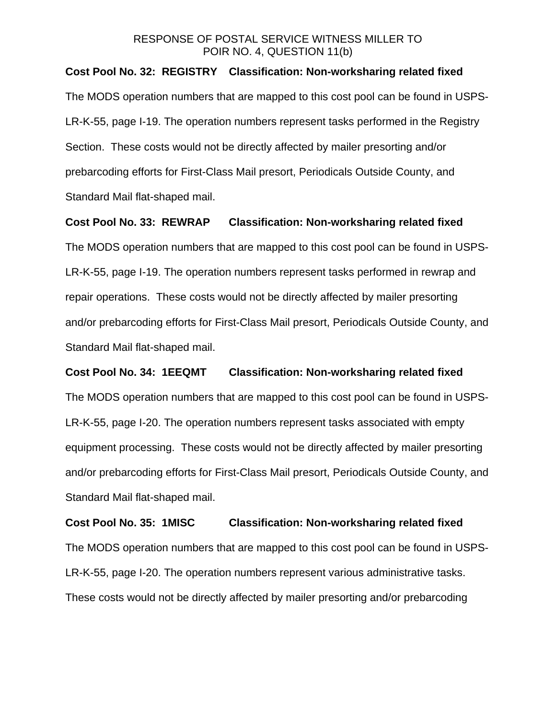#### **Cost Pool No. 32: REGISTRY Classification: Non-worksharing related fixed**

The MODS operation numbers that are mapped to this cost pool can be found in USPS-LR-K-55, page I-19. The operation numbers represent tasks performed in the Registry Section. These costs would not be directly affected by mailer presorting and/or prebarcoding efforts for First-Class Mail presort, Periodicals Outside County, and Standard Mail flat-shaped mail.

#### **Cost Pool No. 33: REWRAP Classification: Non-worksharing related fixed**

The MODS operation numbers that are mapped to this cost pool can be found in USPS-LR-K-55, page I-19. The operation numbers represent tasks performed in rewrap and repair operations. These costs would not be directly affected by mailer presorting and/or prebarcoding efforts for First-Class Mail presort, Periodicals Outside County, and Standard Mail flat-shaped mail.

#### **Cost Pool No. 34: 1EEQMT Classification: Non-worksharing related fixed**

The MODS operation numbers that are mapped to this cost pool can be found in USPS-LR-K-55, page I-20. The operation numbers represent tasks associated with empty equipment processing. These costs would not be directly affected by mailer presorting and/or prebarcoding efforts for First-Class Mail presort, Periodicals Outside County, and Standard Mail flat-shaped mail.

# **Cost Pool No. 35: 1MISC Classification: Non-worksharing related fixed**  The MODS operation numbers that are mapped to this cost pool can be found in USPS-LR-K-55, page I-20. The operation numbers represent various administrative tasks. These costs would not be directly affected by mailer presorting and/or prebarcoding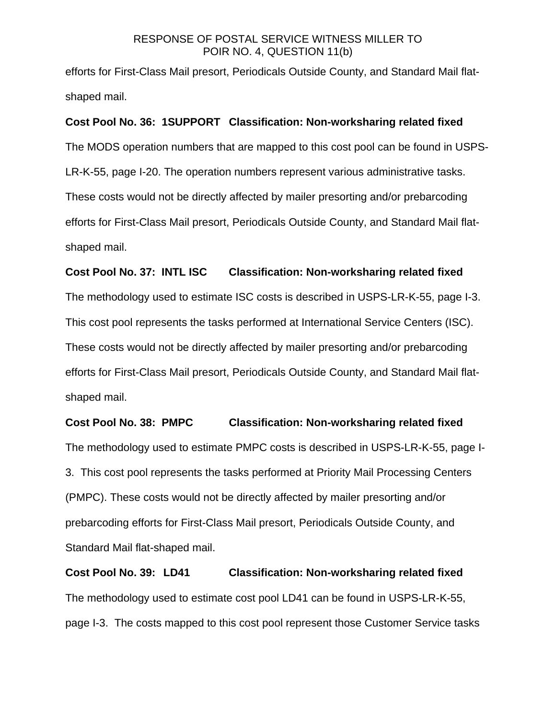efforts for First-Class Mail presort, Periodicals Outside County, and Standard Mail flatshaped mail.

#### **Cost Pool No. 36: 1SUPPORT Classification: Non-worksharing related fixed**

The MODS operation numbers that are mapped to this cost pool can be found in USPS-LR-K-55, page I-20. The operation numbers represent various administrative tasks. These costs would not be directly affected by mailer presorting and/or prebarcoding efforts for First-Class Mail presort, Periodicals Outside County, and Standard Mail flatshaped mail.

#### **Cost Pool No. 37: INTL ISC Classification: Non-worksharing related fixed**

The methodology used to estimate ISC costs is described in USPS-LR-K-55, page I-3. This cost pool represents the tasks performed at International Service Centers (ISC). These costs would not be directly affected by mailer presorting and/or prebarcoding efforts for First-Class Mail presort, Periodicals Outside County, and Standard Mail flatshaped mail.

#### **Cost Pool No. 38: PMPC Classification: Non-worksharing related fixed**

The methodology used to estimate PMPC costs is described in USPS-LR-K-55, page I-3. This cost pool represents the tasks performed at Priority Mail Processing Centers (PMPC). These costs would not be directly affected by mailer presorting and/or prebarcoding efforts for First-Class Mail presort, Periodicals Outside County, and Standard Mail flat-shaped mail.

**Cost Pool No. 39: LD41 Classification: Non-worksharing related fixed**  The methodology used to estimate cost pool LD41 can be found in USPS-LR-K-55, page I-3. The costs mapped to this cost pool represent those Customer Service tasks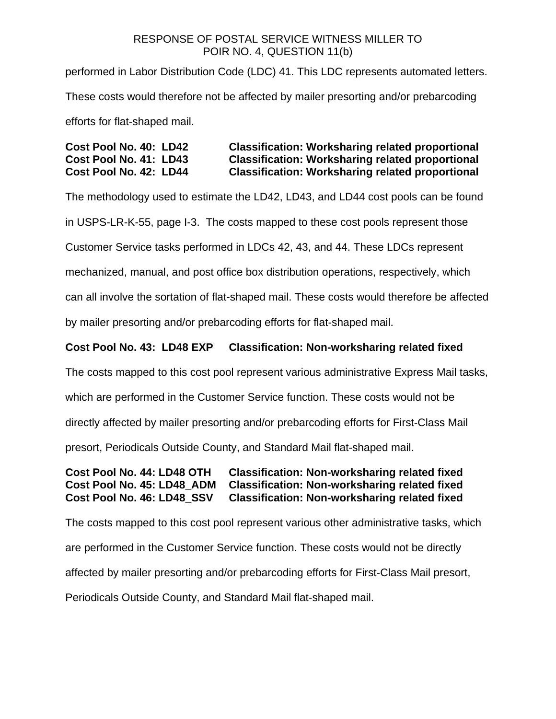performed in Labor Distribution Code (LDC) 41. This LDC represents automated letters. These costs would therefore not be affected by mailer presorting and/or prebarcoding efforts for flat-shaped mail.

## **Cost Pool No. 40: LD42 Classification: Worksharing related proportional Cost Pool No. 41: LD43 Classification: Worksharing related proportional Cost Pool No. 42: LD44 Classification: Worksharing related proportional**

The methodology used to estimate the LD42, LD43, and LD44 cost pools can be found

in USPS-LR-K-55, page I-3. The costs mapped to these cost pools represent those

Customer Service tasks performed in LDCs 42, 43, and 44. These LDCs represent

mechanized, manual, and post office box distribution operations, respectively, which

can all involve the sortation of flat-shaped mail. These costs would therefore be affected

by mailer presorting and/or prebarcoding efforts for flat-shaped mail.

## **Cost Pool No. 43: LD48 EXP Classification: Non-worksharing related fixed**

The costs mapped to this cost pool represent various administrative Express Mail tasks,

which are performed in the Customer Service function. These costs would not be

directly affected by mailer presorting and/or prebarcoding efforts for First-Class Mail

presort, Periodicals Outside County, and Standard Mail flat-shaped mail.

### **Cost Pool No. 44: LD48 OTH Classification: Non-worksharing related fixed Cost Pool No. 45: LD48\_ADM Classification: Non-worksharing related fixed Cost Pool No. 46: LD48\_SSV Classification: Non-worksharing related fixed**

The costs mapped to this cost pool represent various other administrative tasks, which are performed in the Customer Service function. These costs would not be directly affected by mailer presorting and/or prebarcoding efforts for First-Class Mail presort, Periodicals Outside County, and Standard Mail flat-shaped mail.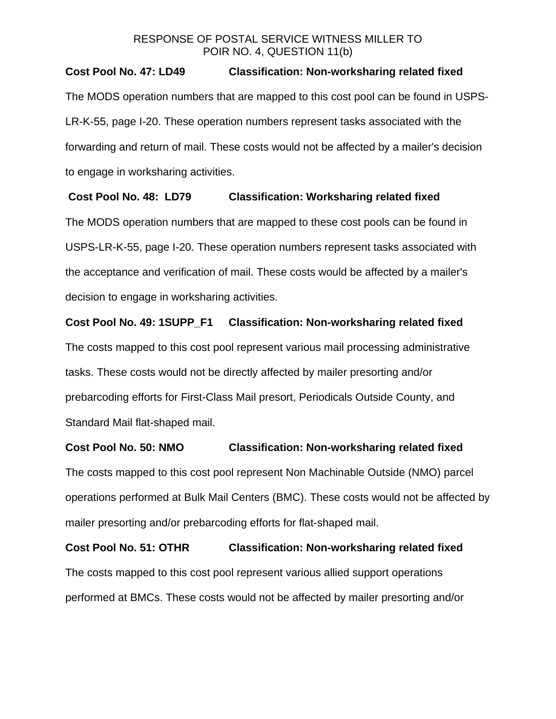### **Cost Pool No. 47: LD49 Classification: Non-worksharing related fixed**

The MODS operation numbers that are mapped to this cost pool can be found in USPS-LR-K-55, page I-20. These operation numbers represent tasks associated with the forwarding and return of mail. These costs would not be affected by a mailer's decision to engage in worksharing activities.

## **Cost Pool No. 48: LD79 Classification: Worksharing related fixed**

The MODS operation numbers that are mapped to these cost pools can be found in USPS-LR-K-55, page I-20. These operation numbers represent tasks associated with the acceptance and verification of mail. These costs would be affected by a mailer's decision to engage in worksharing activities.

## **Cost Pool No. 49: 1SUPP\_F1 Classification: Non-worksharing related fixed**

The costs mapped to this cost pool represent various mail processing administrative tasks. These costs would not be directly affected by mailer presorting and/or prebarcoding efforts for First-Class Mail presort, Periodicals Outside County, and Standard Mail flat-shaped mail.

### **Cost Pool No. 50: NMO Classification: Non-worksharing related fixed**

The costs mapped to this cost pool represent Non Machinable Outside (NMO) parcel operations performed at Bulk Mail Centers (BMC). These costs would not be affected by mailer presorting and/or prebarcoding efforts for flat-shaped mail.

**Cost Pool No. 51: OTHR Classification: Non-worksharing related fixed**  The costs mapped to this cost pool represent various allied support operations performed at BMCs. These costs would not be affected by mailer presorting and/or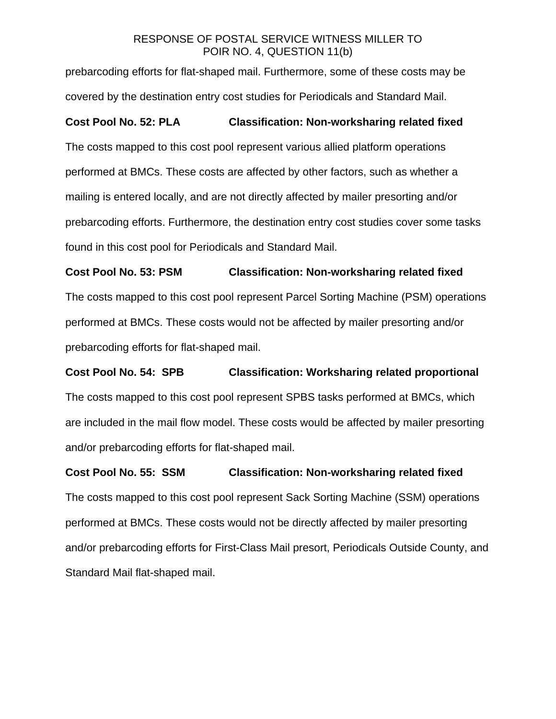prebarcoding efforts for flat-shaped mail. Furthermore, some of these costs may be covered by the destination entry cost studies for Periodicals and Standard Mail.

## **Cost Pool No. 52: PLA Classification: Non-worksharing related fixed**

The costs mapped to this cost pool represent various allied platform operations performed at BMCs. These costs are affected by other factors, such as whether a mailing is entered locally, and are not directly affected by mailer presorting and/or prebarcoding efforts. Furthermore, the destination entry cost studies cover some tasks found in this cost pool for Periodicals and Standard Mail.

**Cost Pool No. 53: PSM Classification: Non-worksharing related fixed**  The costs mapped to this cost pool represent Parcel Sorting Machine (PSM) operations performed at BMCs. These costs would not be affected by mailer presorting and/or

prebarcoding efforts for flat-shaped mail.

**Cost Pool No. 54: SPB Classification: Worksharing related proportional**  The costs mapped to this cost pool represent SPBS tasks performed at BMCs, which are included in the mail flow model. These costs would be affected by mailer presorting and/or prebarcoding efforts for flat-shaped mail.

**Cost Pool No. 55: SSM Classification: Non-worksharing related fixed**  The costs mapped to this cost pool represent Sack Sorting Machine (SSM) operations performed at BMCs. These costs would not be directly affected by mailer presorting and/or prebarcoding efforts for First-Class Mail presort, Periodicals Outside County, and Standard Mail flat-shaped mail.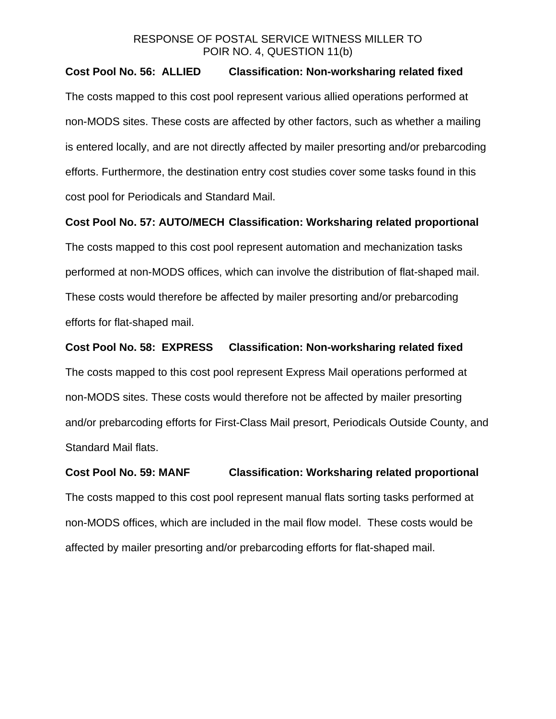#### **Cost Pool No. 56: ALLIED Classification: Non-worksharing related fixed**

The costs mapped to this cost pool represent various allied operations performed at non-MODS sites. These costs are affected by other factors, such as whether a mailing is entered locally, and are not directly affected by mailer presorting and/or prebarcoding efforts. Furthermore, the destination entry cost studies cover some tasks found in this cost pool for Periodicals and Standard Mail.

#### **Cost Pool No. 57: AUTO/MECH Classification: Worksharing related proportional**

The costs mapped to this cost pool represent automation and mechanization tasks performed at non-MODS offices, which can involve the distribution of flat-shaped mail. These costs would therefore be affected by mailer presorting and/or prebarcoding efforts for flat-shaped mail.

#### **Cost Pool No. 58: EXPRESS Classification: Non-worksharing related fixed**

The costs mapped to this cost pool represent Express Mail operations performed at non-MODS sites. These costs would therefore not be affected by mailer presorting and/or prebarcoding efforts for First-Class Mail presort, Periodicals Outside County, and Standard Mail flats.

**Cost Pool No. 59: MANF Classification: Worksharing related proportional**  The costs mapped to this cost pool represent manual flats sorting tasks performed at non-MODS offices, which are included in the mail flow model. These costs would be affected by mailer presorting and/or prebarcoding efforts for flat-shaped mail.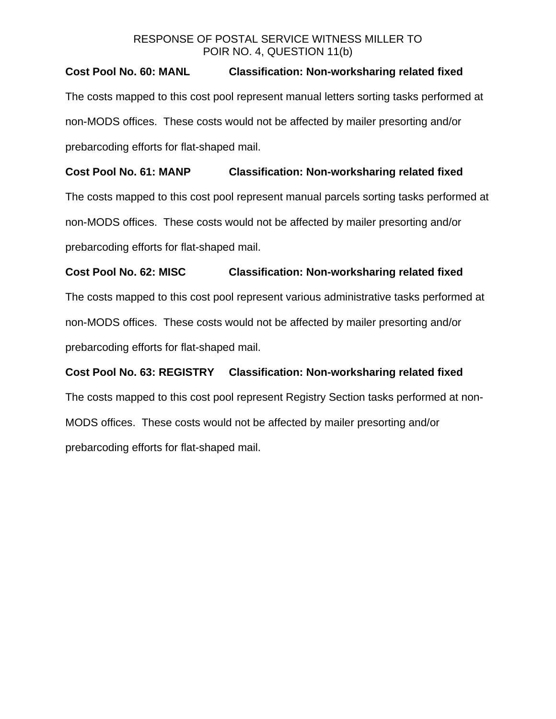## **Cost Pool No. 60: MANL Classification: Non-worksharing related fixed**

The costs mapped to this cost pool represent manual letters sorting tasks performed at non-MODS offices. These costs would not be affected by mailer presorting and/or prebarcoding efforts for flat-shaped mail.

# **Cost Pool No. 61: MANP Classification: Non-worksharing related fixed**

The costs mapped to this cost pool represent manual parcels sorting tasks performed at non-MODS offices. These costs would not be affected by mailer presorting and/or prebarcoding efforts for flat-shaped mail.

## **Cost Pool No. 62: MISC Classification: Non-worksharing related fixed**

The costs mapped to this cost pool represent various administrative tasks performed at non-MODS offices. These costs would not be affected by mailer presorting and/or prebarcoding efforts for flat-shaped mail.

# **Cost Pool No. 63: REGISTRY Classification: Non-worksharing related fixed**  The costs mapped to this cost pool represent Registry Section tasks performed at non-MODS offices. These costs would not be affected by mailer presorting and/or prebarcoding efforts for flat-shaped mail.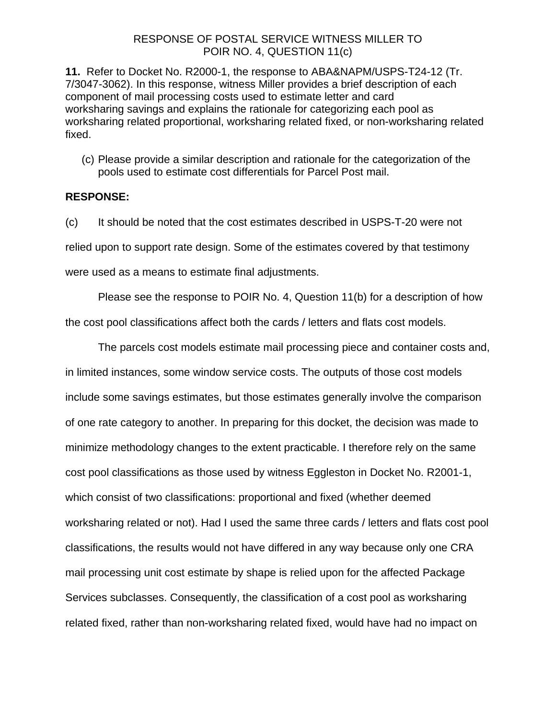**11.** Refer to Docket No. R2000-1, the response to ABA&NAPM/USPS-T24-12 (Tr. 7/3047-3062). In this response, witness Miller provides a brief description of each component of mail processing costs used to estimate letter and card worksharing savings and explains the rationale for categorizing each pool as worksharing related proportional, worksharing related fixed, or non-worksharing related fixed.

(c) Please provide a similar description and rationale for the categorization of the pools used to estimate cost differentials for Parcel Post mail.

#### **RESPONSE:**

(c) It should be noted that the cost estimates described in USPS-T-20 were not relied upon to support rate design. Some of the estimates covered by that testimony were used as a means to estimate final adjustments.

Please see the response to POIR No. 4, Question 11(b) for a description of how

the cost pool classifications affect both the cards / letters and flats cost models.

The parcels cost models estimate mail processing piece and container costs and, in limited instances, some window service costs. The outputs of those cost models include some savings estimates, but those estimates generally involve the comparison of one rate category to another. In preparing for this docket, the decision was made to minimize methodology changes to the extent practicable. I therefore rely on the same cost pool classifications as those used by witness Eggleston in Docket No. R2001-1, which consist of two classifications: proportional and fixed (whether deemed worksharing related or not). Had I used the same three cards / letters and flats cost pool classifications, the results would not have differed in any way because only one CRA mail processing unit cost estimate by shape is relied upon for the affected Package Services subclasses. Consequently, the classification of a cost pool as worksharing related fixed, rather than non-worksharing related fixed, would have had no impact on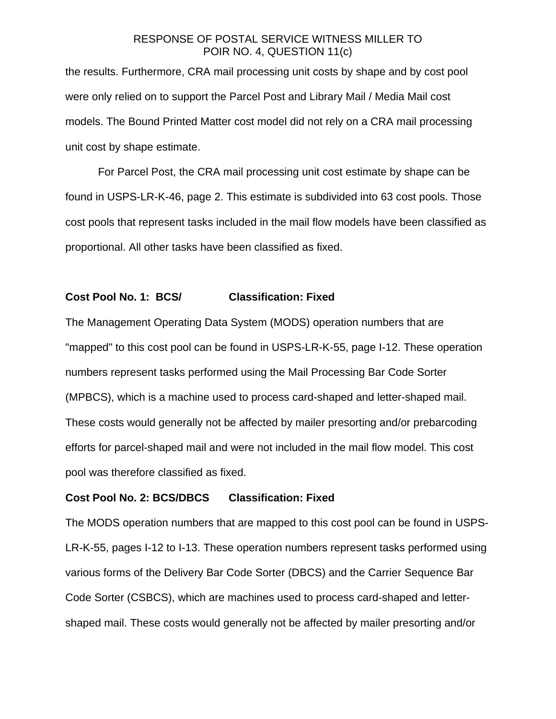the results. Furthermore, CRA mail processing unit costs by shape and by cost pool were only relied on to support the Parcel Post and Library Mail / Media Mail cost models. The Bound Printed Matter cost model did not rely on a CRA mail processing unit cost by shape estimate.

For Parcel Post, the CRA mail processing unit cost estimate by shape can be found in USPS-LR-K-46, page 2. This estimate is subdivided into 63 cost pools. Those cost pools that represent tasks included in the mail flow models have been classified as proportional. All other tasks have been classified as fixed.

### **Cost Pool No. 1: BCS/ Classification: Fixed**

The Management Operating Data System (MODS) operation numbers that are "mapped" to this cost pool can be found in USPS-LR-K-55, page I-12. These operation numbers represent tasks performed using the Mail Processing Bar Code Sorter (MPBCS), which is a machine used to process card-shaped and letter-shaped mail. These costs would generally not be affected by mailer presorting and/or prebarcoding efforts for parcel-shaped mail and were not included in the mail flow model. This cost pool was therefore classified as fixed.

#### **Cost Pool No. 2: BCS/DBCS Classification: Fixed**

The MODS operation numbers that are mapped to this cost pool can be found in USPS-LR-K-55, pages I-12 to I-13. These operation numbers represent tasks performed using various forms of the Delivery Bar Code Sorter (DBCS) and the Carrier Sequence Bar Code Sorter (CSBCS), which are machines used to process card-shaped and lettershaped mail. These costs would generally not be affected by mailer presorting and/or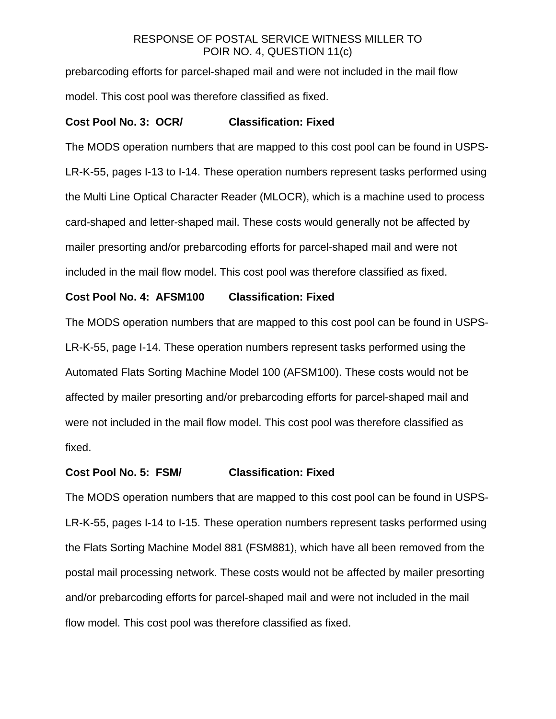prebarcoding efforts for parcel-shaped mail and were not included in the mail flow model. This cost pool was therefore classified as fixed.

#### **Cost Pool No. 3: OCR/ Classification: Fixed**

The MODS operation numbers that are mapped to this cost pool can be found in USPS-LR-K-55, pages I-13 to I-14. These operation numbers represent tasks performed using the Multi Line Optical Character Reader (MLOCR), which is a machine used to process card-shaped and letter-shaped mail. These costs would generally not be affected by mailer presorting and/or prebarcoding efforts for parcel-shaped mail and were not included in the mail flow model. This cost pool was therefore classified as fixed.

### **Cost Pool No. 4: AFSM100 Classification: Fixed**

The MODS operation numbers that are mapped to this cost pool can be found in USPS-LR-K-55, page I-14. These operation numbers represent tasks performed using the Automated Flats Sorting Machine Model 100 (AFSM100). These costs would not be affected by mailer presorting and/or prebarcoding efforts for parcel-shaped mail and were not included in the mail flow model. This cost pool was therefore classified as fixed.

#### **Cost Pool No. 5: FSM/ Classification: Fixed**

The MODS operation numbers that are mapped to this cost pool can be found in USPS-LR-K-55, pages I-14 to I-15. These operation numbers represent tasks performed using the Flats Sorting Machine Model 881 (FSM881), which have all been removed from the postal mail processing network. These costs would not be affected by mailer presorting and/or prebarcoding efforts for parcel-shaped mail and were not included in the mail flow model. This cost pool was therefore classified as fixed.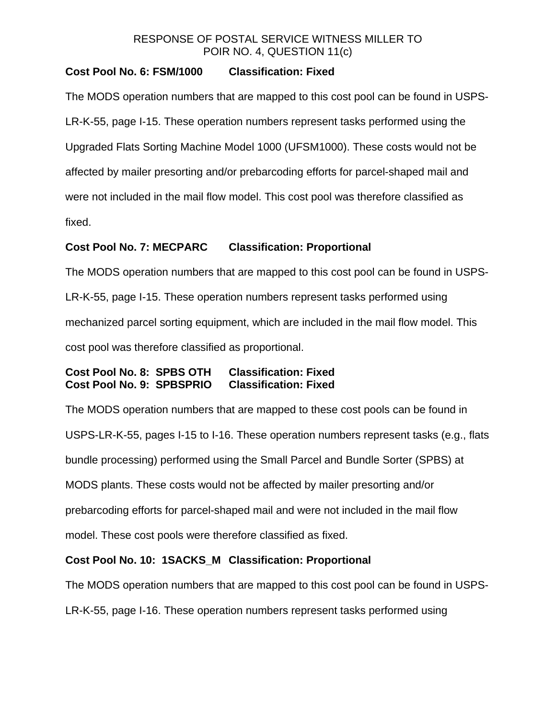# **Cost Pool No. 6: FSM/1000 Classification: Fixed**

The MODS operation numbers that are mapped to this cost pool can be found in USPS-LR-K-55, page I-15. These operation numbers represent tasks performed using the Upgraded Flats Sorting Machine Model 1000 (UFSM1000). These costs would not be affected by mailer presorting and/or prebarcoding efforts for parcel-shaped mail and were not included in the mail flow model. This cost pool was therefore classified as fixed.

## **Cost Pool No. 7: MECPARC Classification: Proportional**

The MODS operation numbers that are mapped to this cost pool can be found in USPS-LR-K-55, page I-15. These operation numbers represent tasks performed using mechanized parcel sorting equipment, which are included in the mail flow model. This cost pool was therefore classified as proportional.

## **Cost Pool No. 8: SPBS OTH Classification: Fixed Cost Pool No. 9: SPBSPRIO Classification: Fixed**

The MODS operation numbers that are mapped to these cost pools can be found in USPS-LR-K-55, pages I-15 to I-16. These operation numbers represent tasks (e.g., flats bundle processing) performed using the Small Parcel and Bundle Sorter (SPBS) at MODS plants. These costs would not be affected by mailer presorting and/or prebarcoding efforts for parcel-shaped mail and were not included in the mail flow model. These cost pools were therefore classified as fixed.

# **Cost Pool No. 10: 1SACKS\_M Classification: Proportional**

The MODS operation numbers that are mapped to this cost pool can be found in USPS-

LR-K-55, page I-16. These operation numbers represent tasks performed using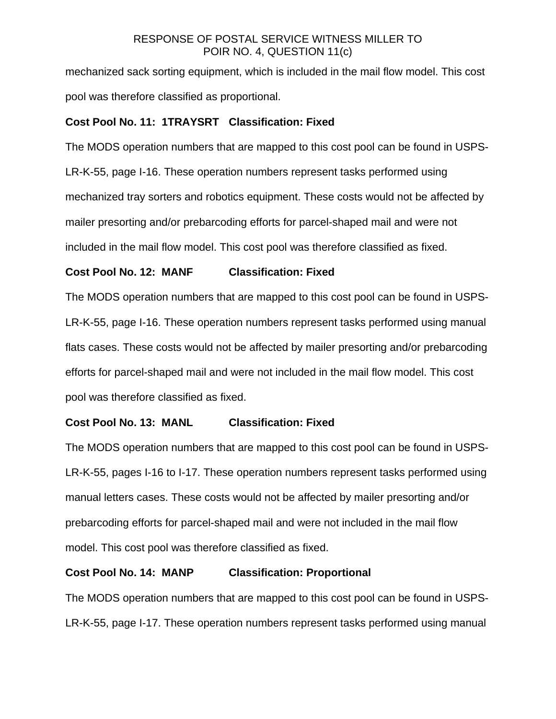mechanized sack sorting equipment, which is included in the mail flow model. This cost pool was therefore classified as proportional.

## **Cost Pool No. 11: 1TRAYSRT Classification: Fixed**

The MODS operation numbers that are mapped to this cost pool can be found in USPS-LR-K-55, page I-16. These operation numbers represent tasks performed using mechanized tray sorters and robotics equipment. These costs would not be affected by mailer presorting and/or prebarcoding efforts for parcel-shaped mail and were not included in the mail flow model. This cost pool was therefore classified as fixed.

## **Cost Pool No. 12: MANF Classification: Fixed**

The MODS operation numbers that are mapped to this cost pool can be found in USPS-LR-K-55, page I-16. These operation numbers represent tasks performed using manual flats cases. These costs would not be affected by mailer presorting and/or prebarcoding efforts for parcel-shaped mail and were not included in the mail flow model. This cost pool was therefore classified as fixed.

## **Cost Pool No. 13: MANL Classification: Fixed**

The MODS operation numbers that are mapped to this cost pool can be found in USPS-LR-K-55, pages I-16 to I-17. These operation numbers represent tasks performed using manual letters cases. These costs would not be affected by mailer presorting and/or prebarcoding efforts for parcel-shaped mail and were not included in the mail flow model. This cost pool was therefore classified as fixed.

### **Cost Pool No. 14: MANP Classification: Proportional**

The MODS operation numbers that are mapped to this cost pool can be found in USPS-LR-K-55, page I-17. These operation numbers represent tasks performed using manual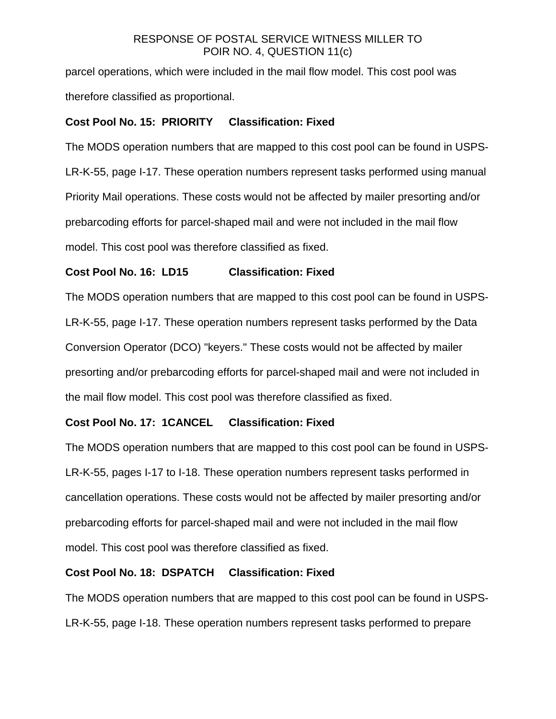parcel operations, which were included in the mail flow model. This cost pool was therefore classified as proportional.

## **Cost Pool No. 15: PRIORITY Classification: Fixed**

The MODS operation numbers that are mapped to this cost pool can be found in USPS-LR-K-55, page I-17. These operation numbers represent tasks performed using manual Priority Mail operations. These costs would not be affected by mailer presorting and/or prebarcoding efforts for parcel-shaped mail and were not included in the mail flow model. This cost pool was therefore classified as fixed.

## **Cost Pool No. 16: LD15 Classification: Fixed**

The MODS operation numbers that are mapped to this cost pool can be found in USPS-LR-K-55, page I-17. These operation numbers represent tasks performed by the Data Conversion Operator (DCO) "keyers." These costs would not be affected by mailer presorting and/or prebarcoding efforts for parcel-shaped mail and were not included in the mail flow model. This cost pool was therefore classified as fixed.

### **Cost Pool No. 17: 1CANCEL Classification: Fixed**

The MODS operation numbers that are mapped to this cost pool can be found in USPS-LR-K-55, pages I-17 to I-18. These operation numbers represent tasks performed in cancellation operations. These costs would not be affected by mailer presorting and/or prebarcoding efforts for parcel-shaped mail and were not included in the mail flow model. This cost pool was therefore classified as fixed.

### **Cost Pool No. 18: DSPATCH Classification: Fixed**

The MODS operation numbers that are mapped to this cost pool can be found in USPS-LR-K-55, page I-18. These operation numbers represent tasks performed to prepare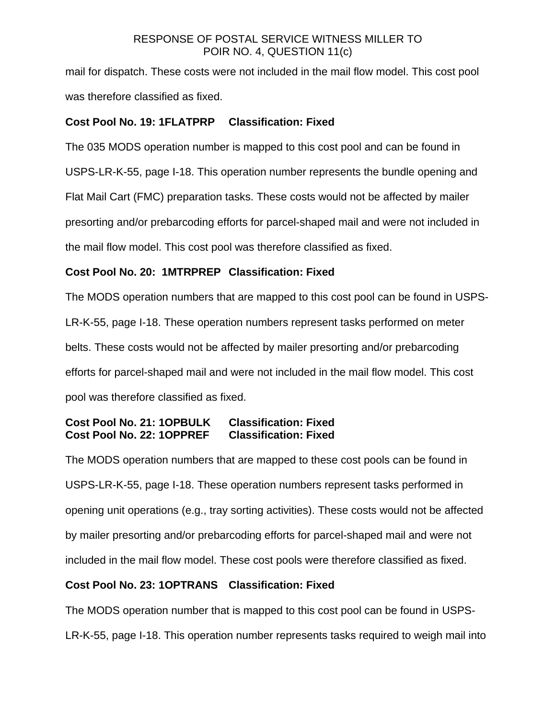mail for dispatch. These costs were not included in the mail flow model. This cost pool was therefore classified as fixed.

## **Cost Pool No. 19: 1FLATPRP Classification: Fixed**

The 035 MODS operation number is mapped to this cost pool and can be found in USPS-LR-K-55, page I-18. This operation number represents the bundle opening and Flat Mail Cart (FMC) preparation tasks. These costs would not be affected by mailer presorting and/or prebarcoding efforts for parcel-shaped mail and were not included in the mail flow model. This cost pool was therefore classified as fixed.

## **Cost Pool No. 20: 1MTRPREP Classification: Fixed**

The MODS operation numbers that are mapped to this cost pool can be found in USPS-LR-K-55, page I-18. These operation numbers represent tasks performed on meter belts. These costs would not be affected by mailer presorting and/or prebarcoding efforts for parcel-shaped mail and were not included in the mail flow model. This cost pool was therefore classified as fixed.

## **Cost Pool No. 21: 1OPBULK Classification: Fixed Cost Pool No. 22: 1OPPREF Classification: Fixed**

The MODS operation numbers that are mapped to these cost pools can be found in USPS-LR-K-55, page I-18. These operation numbers represent tasks performed in opening unit operations (e.g., tray sorting activities). These costs would not be affected by mailer presorting and/or prebarcoding efforts for parcel-shaped mail and were not included in the mail flow model. These cost pools were therefore classified as fixed.

# **Cost Pool No. 23: 1OPTRANS Classification: Fixed**

The MODS operation number that is mapped to this cost pool can be found in USPS-LR-K-55, page I-18. This operation number represents tasks required to weigh mail into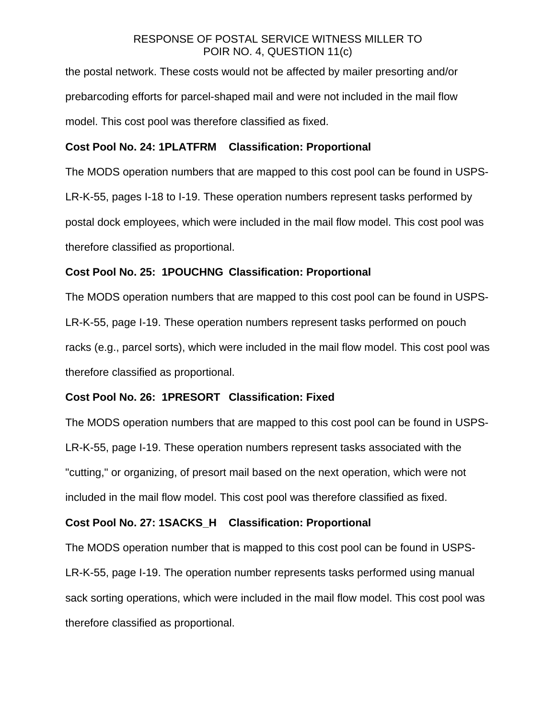the postal network. These costs would not be affected by mailer presorting and/or prebarcoding efforts for parcel-shaped mail and were not included in the mail flow model. This cost pool was therefore classified as fixed.

## **Cost Pool No. 24: 1PLATFRM Classification: Proportional**

The MODS operation numbers that are mapped to this cost pool can be found in USPS-LR-K-55, pages I-18 to I-19. These operation numbers represent tasks performed by postal dock employees, which were included in the mail flow model. This cost pool was therefore classified as proportional.

## **Cost Pool No. 25: 1POUCHNG Classification: Proportional**

The MODS operation numbers that are mapped to this cost pool can be found in USPS-LR-K-55, page I-19. These operation numbers represent tasks performed on pouch racks (e.g., parcel sorts), which were included in the mail flow model. This cost pool was therefore classified as proportional.

## **Cost Pool No. 26: 1PRESORT Classification: Fixed**

The MODS operation numbers that are mapped to this cost pool can be found in USPS-LR-K-55, page I-19. These operation numbers represent tasks associated with the "cutting," or organizing, of presort mail based on the next operation, which were not included in the mail flow model. This cost pool was therefore classified as fixed.

## **Cost Pool No. 27: 1SACKS\_H Classification: Proportional**

The MODS operation number that is mapped to this cost pool can be found in USPS-LR-K-55, page I-19. The operation number represents tasks performed using manual sack sorting operations, which were included in the mail flow model. This cost pool was therefore classified as proportional.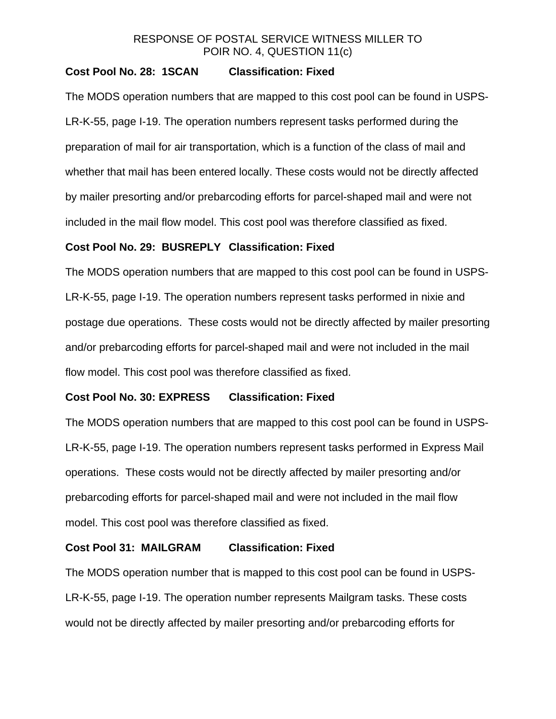## **Cost Pool No. 28: 1SCAN Classification: Fixed**

The MODS operation numbers that are mapped to this cost pool can be found in USPS-LR-K-55, page I-19. The operation numbers represent tasks performed during the preparation of mail for air transportation, which is a function of the class of mail and whether that mail has been entered locally. These costs would not be directly affected by mailer presorting and/or prebarcoding efforts for parcel-shaped mail and were not included in the mail flow model. This cost pool was therefore classified as fixed.

#### **Cost Pool No. 29: BUSREPLY Classification: Fixed**

The MODS operation numbers that are mapped to this cost pool can be found in USPS-LR-K-55, page I-19. The operation numbers represent tasks performed in nixie and postage due operations. These costs would not be directly affected by mailer presorting and/or prebarcoding efforts for parcel-shaped mail and were not included in the mail flow model. This cost pool was therefore classified as fixed.

## **Cost Pool No. 30: EXPRESS Classification: Fixed**

The MODS operation numbers that are mapped to this cost pool can be found in USPS-LR-K-55, page I-19. The operation numbers represent tasks performed in Express Mail operations. These costs would not be directly affected by mailer presorting and/or prebarcoding efforts for parcel-shaped mail and were not included in the mail flow model. This cost pool was therefore classified as fixed.

#### **Cost Pool 31: MAILGRAM Classification: Fixed**

The MODS operation number that is mapped to this cost pool can be found in USPS-LR-K-55, page I-19. The operation number represents Mailgram tasks. These costs would not be directly affected by mailer presorting and/or prebarcoding efforts for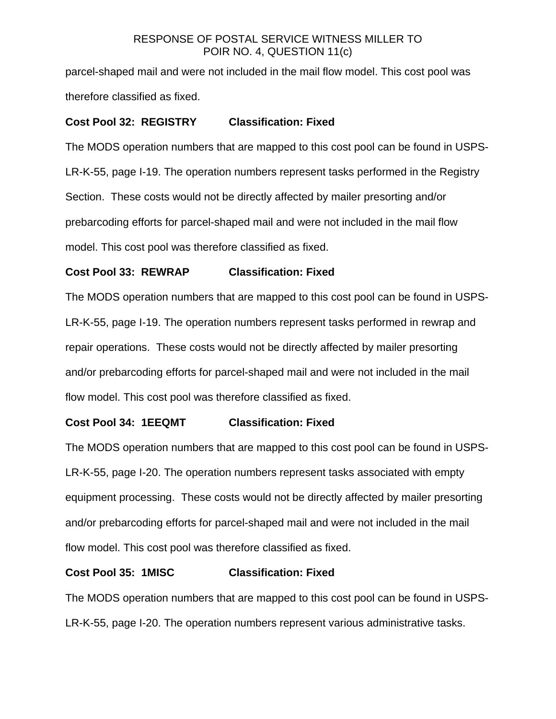parcel-shaped mail and were not included in the mail flow model. This cost pool was therefore classified as fixed.

## **Cost Pool 32: REGISTRY Classification: Fixed**

The MODS operation numbers that are mapped to this cost pool can be found in USPS-LR-K-55, page I-19. The operation numbers represent tasks performed in the Registry Section. These costs would not be directly affected by mailer presorting and/or prebarcoding efforts for parcel-shaped mail and were not included in the mail flow model. This cost pool was therefore classified as fixed.

## **Cost Pool 33: REWRAP Classification: Fixed**

The MODS operation numbers that are mapped to this cost pool can be found in USPS-LR-K-55, page I-19. The operation numbers represent tasks performed in rewrap and repair operations. These costs would not be directly affected by mailer presorting and/or prebarcoding efforts for parcel-shaped mail and were not included in the mail flow model. This cost pool was therefore classified as fixed.

### **Cost Pool 34: 1EEQMT Classification: Fixed**

The MODS operation numbers that are mapped to this cost pool can be found in USPS-LR-K-55, page I-20. The operation numbers represent tasks associated with empty equipment processing. These costs would not be directly affected by mailer presorting and/or prebarcoding efforts for parcel-shaped mail and were not included in the mail flow model. This cost pool was therefore classified as fixed.

### **Cost Pool 35: 1MISC Classification: Fixed**

The MODS operation numbers that are mapped to this cost pool can be found in USPS-LR-K-55, page I-20. The operation numbers represent various administrative tasks.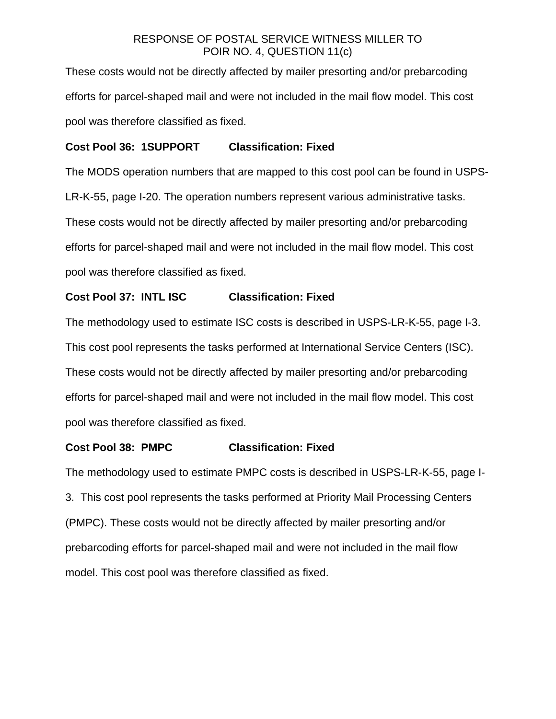These costs would not be directly affected by mailer presorting and/or prebarcoding efforts for parcel-shaped mail and were not included in the mail flow model. This cost pool was therefore classified as fixed.

# **Cost Pool 36: 1SUPPORT Classification: Fixed**

The MODS operation numbers that are mapped to this cost pool can be found in USPS-LR-K-55, page I-20. The operation numbers represent various administrative tasks. These costs would not be directly affected by mailer presorting and/or prebarcoding efforts for parcel-shaped mail and were not included in the mail flow model. This cost pool was therefore classified as fixed.

# **Cost Pool 37: INTL ISC Classification: Fixed**

The methodology used to estimate ISC costs is described in USPS-LR-K-55, page I-3. This cost pool represents the tasks performed at International Service Centers (ISC). These costs would not be directly affected by mailer presorting and/or prebarcoding efforts for parcel-shaped mail and were not included in the mail flow model. This cost pool was therefore classified as fixed.

## **Cost Pool 38: PMPC Classification: Fixed**

The methodology used to estimate PMPC costs is described in USPS-LR-K-55, page I-3. This cost pool represents the tasks performed at Priority Mail Processing Centers (PMPC). These costs would not be directly affected by mailer presorting and/or prebarcoding efforts for parcel-shaped mail and were not included in the mail flow model. This cost pool was therefore classified as fixed.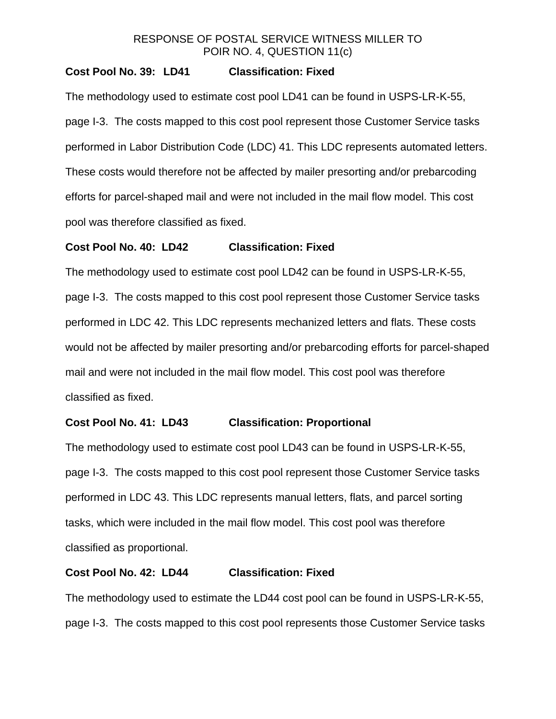## **Cost Pool No. 39: LD41 Classification: Fixed**

The methodology used to estimate cost pool LD41 can be found in USPS-LR-K-55, page I-3. The costs mapped to this cost pool represent those Customer Service tasks performed in Labor Distribution Code (LDC) 41. This LDC represents automated letters. These costs would therefore not be affected by mailer presorting and/or prebarcoding efforts for parcel-shaped mail and were not included in the mail flow model. This cost pool was therefore classified as fixed.

#### **Cost Pool No. 40: LD42 Classification: Fixed**

The methodology used to estimate cost pool LD42 can be found in USPS-LR-K-55, page I-3. The costs mapped to this cost pool represent those Customer Service tasks performed in LDC 42. This LDC represents mechanized letters and flats. These costs would not be affected by mailer presorting and/or prebarcoding efforts for parcel-shaped mail and were not included in the mail flow model. This cost pool was therefore classified as fixed.

#### **Cost Pool No. 41: LD43 Classification: Proportional**

The methodology used to estimate cost pool LD43 can be found in USPS-LR-K-55, page I-3. The costs mapped to this cost pool represent those Customer Service tasks performed in LDC 43. This LDC represents manual letters, flats, and parcel sorting tasks, which were included in the mail flow model. This cost pool was therefore classified as proportional.

#### **Cost Pool No. 42: LD44 Classification: Fixed**

The methodology used to estimate the LD44 cost pool can be found in USPS-LR-K-55, page I-3. The costs mapped to this cost pool represents those Customer Service tasks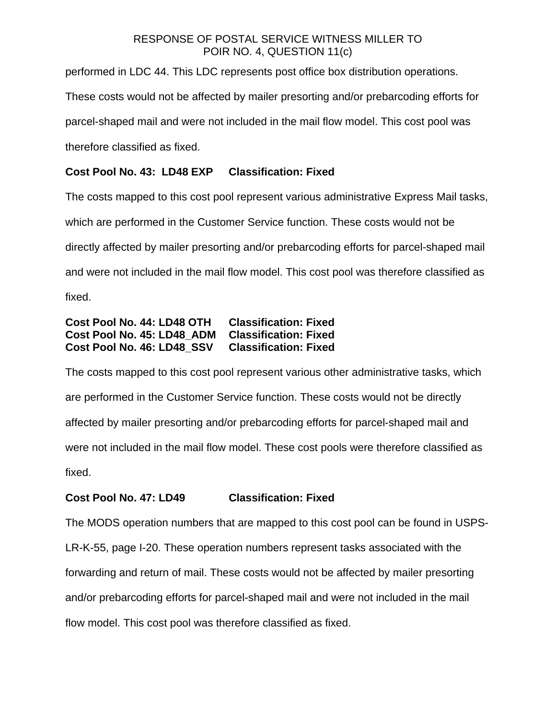performed in LDC 44. This LDC represents post office box distribution operations.

These costs would not be affected by mailer presorting and/or prebarcoding efforts for

parcel-shaped mail and were not included in the mail flow model. This cost pool was

therefore classified as fixed.

# **Cost Pool No. 43: LD48 EXP Classification: Fixed**

The costs mapped to this cost pool represent various administrative Express Mail tasks, which are performed in the Customer Service function. These costs would not be directly affected by mailer presorting and/or prebarcoding efforts for parcel-shaped mail and were not included in the mail flow model. This cost pool was therefore classified as fixed.

## **Cost Pool No. 44: LD48 OTH Classification: Fixed Cost Pool No. 45: LD48\_ADM Classification: Fixed Cost Pool No. 46: LD48\_SSV Classification: Fixed**

The costs mapped to this cost pool represent various other administrative tasks, which are performed in the Customer Service function. These costs would not be directly affected by mailer presorting and/or prebarcoding efforts for parcel-shaped mail and were not included in the mail flow model. These cost pools were therefore classified as fixed.

# **Cost Pool No. 47: LD49 Classification: Fixed**

The MODS operation numbers that are mapped to this cost pool can be found in USPS-LR-K-55, page I-20. These operation numbers represent tasks associated with the forwarding and return of mail. These costs would not be affected by mailer presorting and/or prebarcoding efforts for parcel-shaped mail and were not included in the mail flow model. This cost pool was therefore classified as fixed.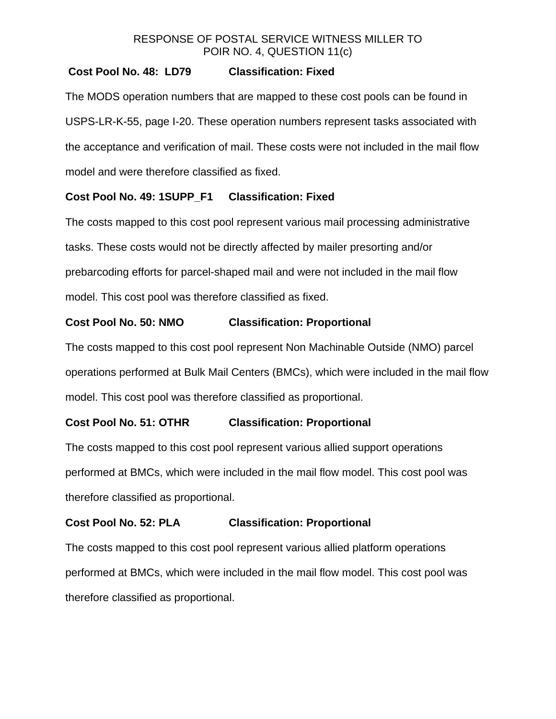## **Cost Pool No. 48: LD79 Classification: Fixed**

The MODS operation numbers that are mapped to these cost pools can be found in USPS-LR-K-55, page I-20. These operation numbers represent tasks associated with the acceptance and verification of mail. These costs were not included in the mail flow model and were therefore classified as fixed.

## **Cost Pool No. 49: 1SUPP\_F1 Classification: Fixed**

The costs mapped to this cost pool represent various mail processing administrative tasks. These costs would not be directly affected by mailer presorting and/or prebarcoding efforts for parcel-shaped mail and were not included in the mail flow model. This cost pool was therefore classified as fixed.

## **Cost Pool No. 50: NMO Classification: Proportional**

The costs mapped to this cost pool represent Non Machinable Outside (NMO) parcel operations performed at Bulk Mail Centers (BMCs), which were included in the mail flow model. This cost pool was therefore classified as proportional.

### **Cost Pool No. 51: OTHR Classification: Proportional**

The costs mapped to this cost pool represent various allied support operations performed at BMCs, which were included in the mail flow model. This cost pool was therefore classified as proportional.

### **Cost Pool No. 52: PLA Classification: Proportional**

The costs mapped to this cost pool represent various allied platform operations performed at BMCs, which were included in the mail flow model. This cost pool was therefore classified as proportional.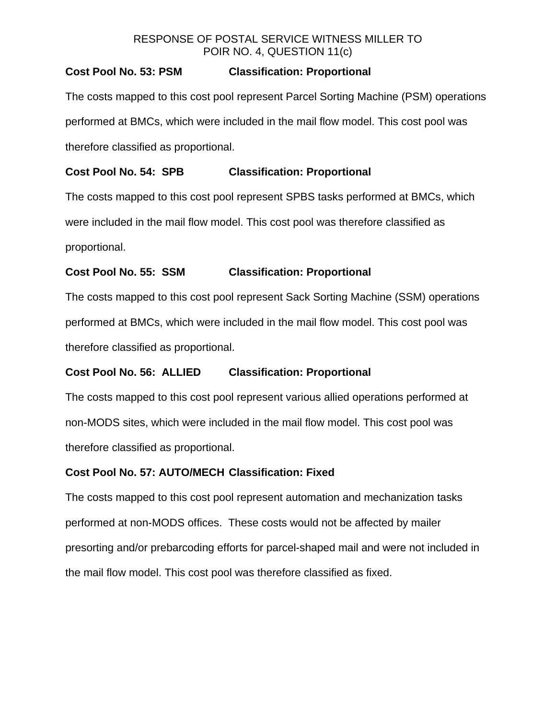## **Cost Pool No. 53: PSM Classification: Proportional**

The costs mapped to this cost pool represent Parcel Sorting Machine (PSM) operations performed at BMCs, which were included in the mail flow model. This cost pool was therefore classified as proportional.

## **Cost Pool No. 54: SPB Classification: Proportional**

The costs mapped to this cost pool represent SPBS tasks performed at BMCs, which were included in the mail flow model. This cost pool was therefore classified as proportional.

## **Cost Pool No. 55: SSM Classification: Proportional**

The costs mapped to this cost pool represent Sack Sorting Machine (SSM) operations performed at BMCs, which were included in the mail flow model. This cost pool was therefore classified as proportional.

## **Cost Pool No. 56: ALLIED Classification: Proportional**

The costs mapped to this cost pool represent various allied operations performed at non-MODS sites, which were included in the mail flow model. This cost pool was therefore classified as proportional.

## **Cost Pool No. 57: AUTO/MECH Classification: Fixed**

The costs mapped to this cost pool represent automation and mechanization tasks performed at non-MODS offices. These costs would not be affected by mailer presorting and/or prebarcoding efforts for parcel-shaped mail and were not included in the mail flow model. This cost pool was therefore classified as fixed.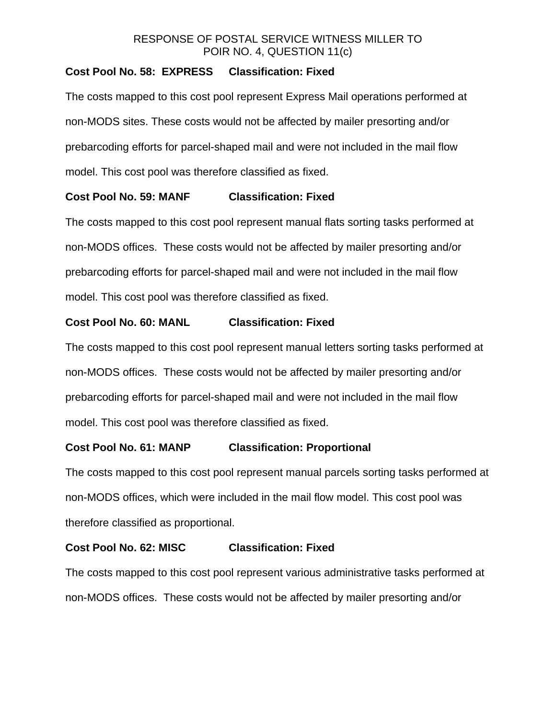## **Cost Pool No. 58: EXPRESS Classification: Fixed**

The costs mapped to this cost pool represent Express Mail operations performed at non-MODS sites. These costs would not be affected by mailer presorting and/or prebarcoding efforts for parcel-shaped mail and were not included in the mail flow model. This cost pool was therefore classified as fixed.

#### **Cost Pool No. 59: MANF Classification: Fixed**

The costs mapped to this cost pool represent manual flats sorting tasks performed at non-MODS offices. These costs would not be affected by mailer presorting and/or prebarcoding efforts for parcel-shaped mail and were not included in the mail flow model. This cost pool was therefore classified as fixed.

#### **Cost Pool No. 60: MANL Classification: Fixed**

The costs mapped to this cost pool represent manual letters sorting tasks performed at non-MODS offices. These costs would not be affected by mailer presorting and/or prebarcoding efforts for parcel-shaped mail and were not included in the mail flow model. This cost pool was therefore classified as fixed.

#### **Cost Pool No. 61: MANP Classification: Proportional**

The costs mapped to this cost pool represent manual parcels sorting tasks performed at non-MODS offices, which were included in the mail flow model. This cost pool was therefore classified as proportional.

#### **Cost Pool No. 62: MISC Classification: Fixed**

The costs mapped to this cost pool represent various administrative tasks performed at non-MODS offices. These costs would not be affected by mailer presorting and/or